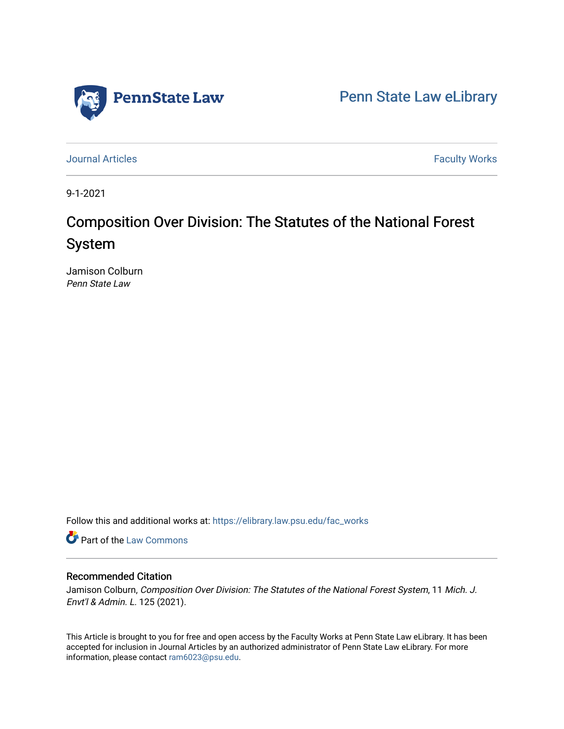

[Penn State Law eLibrary](https://elibrary.law.psu.edu/) 

[Journal Articles](https://elibrary.law.psu.edu/fac_works) **Faculty Works Journal Articles** 

9-1-2021

# Composition Over Division: The Statutes of the National Forest System

Jamison Colburn Penn State Law

Follow this and additional works at: [https://elibrary.law.psu.edu/fac\\_works](https://elibrary.law.psu.edu/fac_works?utm_source=elibrary.law.psu.edu%2Ffac_works%2F436&utm_medium=PDF&utm_campaign=PDFCoverPages)

Part of the [Law Commons](https://network.bepress.com/hgg/discipline/578?utm_source=elibrary.law.psu.edu%2Ffac_works%2F436&utm_medium=PDF&utm_campaign=PDFCoverPages)

## Recommended Citation

Jamison Colburn, Composition Over Division: The Statutes of the National Forest System, 11 Mich. J. Envt'l & Admin. L. 125 (2021).

This Article is brought to you for free and open access by the Faculty Works at Penn State Law eLibrary. It has been accepted for inclusion in Journal Articles by an authorized administrator of Penn State Law eLibrary. For more information, please contact [ram6023@psu.edu](mailto:ram6023@psu.edu).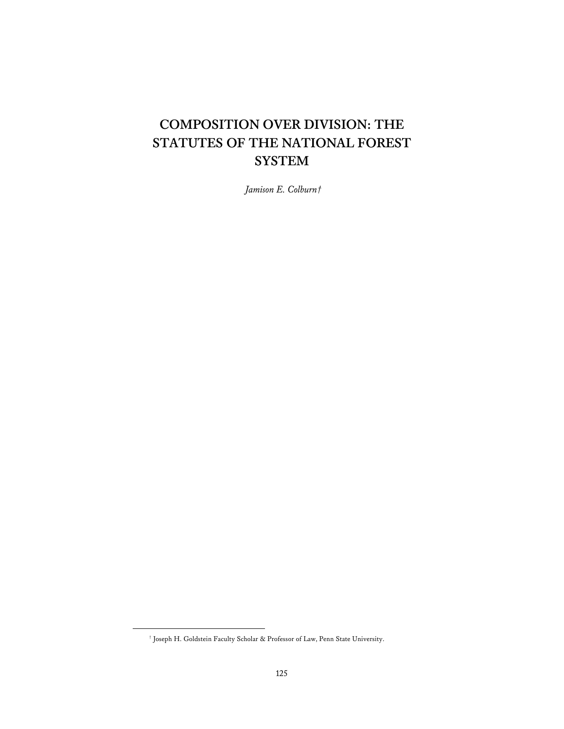## **COMPOSITION OVER DIVISION: THE STATUTES OF THE NATIONAL FOREST SYSTEM**

*Jamison E. Colburn†* 

<sup>†</sup> Joseph H. Goldstein Faculty Scholar & Professor of Law, Penn State University.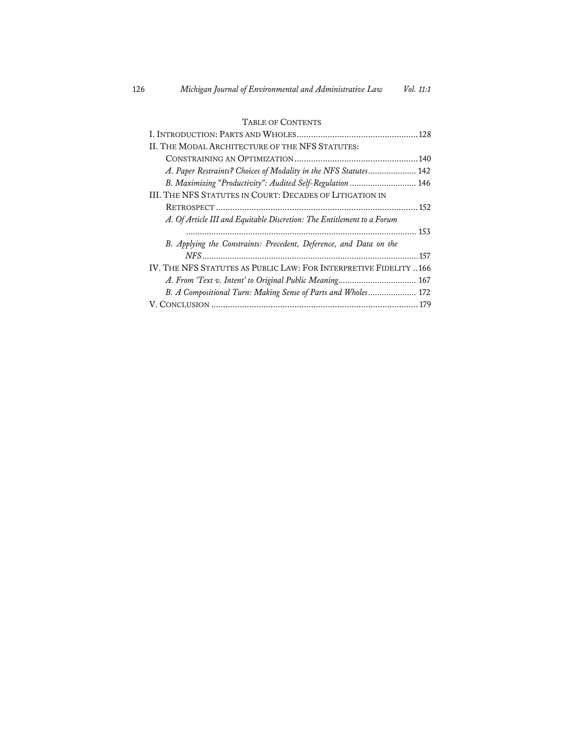## TABLE OF CONTENTS

| II. THE MODAL ARCHITECTURE OF THE NFS STATUTES:                        |
|------------------------------------------------------------------------|
|                                                                        |
| A. Paper Restraints? Choices of Modality in the NFS Statutes 142       |
| B. Maximizing "Productivity": Audited Self-Regulation  146             |
| III. THE NFS STATUTES IN COURT: DECADES OF LITIGATION IN               |
|                                                                        |
| A. Of Article III and Equitable Discretion: The Entitlement to a Forum |
|                                                                        |
| B. Applying the Constraints: Precedent, Deference, and Data on the     |
|                                                                        |
| IV. THE NFS STATUTES AS PUBLIC LAW: FOR INTERPRETIVE FIDELITY  166     |
| A. From 'Text v. Intent' to Original Public Meaning 167                |
| B. A Compositional Turn: Making Sense of Parts and Wholes 172          |
|                                                                        |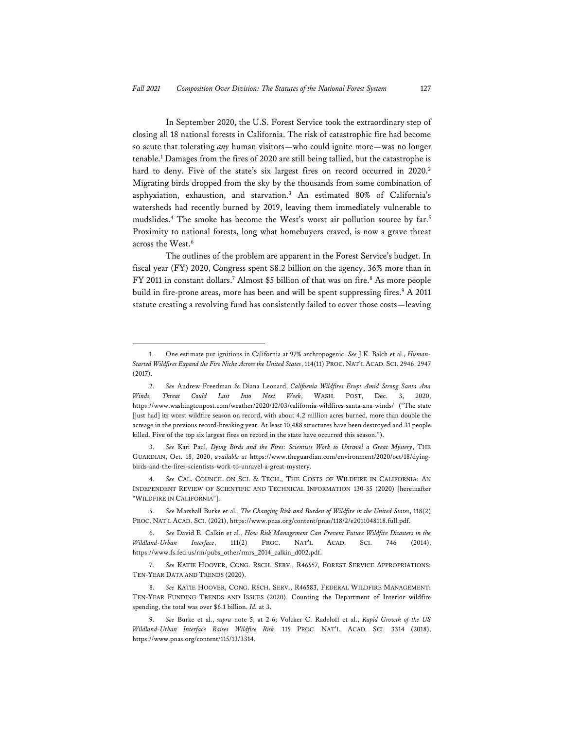In September 2020, the U.S. Forest Service took the extraordinary step of closing all 18 national forests in California. The risk of catastrophic fire had become so acute that tolerating *any* human visitors—who could ignite more—was no longer tenable.<sup>1</sup> Damages from the fires of 2020 are still being tallied, but the catastrophe is hard to deny. Five of the state's six largest fires on record occurred in 2020.<sup>2</sup> Migrating birds dropped from the sky by the thousands from some combination of asphyxiation, exhaustion, and starvation.3 An estimated 80% of California's watersheds had recently burned by 2019, leaving them immediately vulnerable to mudslides.<sup>4</sup> The smoke has become the West's worst air pollution source by far.<sup>5</sup> Proximity to national forests, long what homebuyers craved, is now a grave threat across the West.<sup>6</sup>

The outlines of the problem are apparent in the Forest Service's budget. In fiscal year (FY) 2020, Congress spent \$8.2 billion on the agency, 36% more than in FY 2011 in constant dollars.<sup>7</sup> Almost \$5 billion of that was on fire.<sup>8</sup> As more people build in fire-prone areas, more has been and will be spent suppressing fires.<sup>9</sup> A 2011 statute creating a revolving fund has consistently failed to cover those costs—leaving

<sup>1.</sup> One estimate put ignitions in California at 97% anthropogenic. *See* J.K. Balch et al., *Human-Started Wildfires Expand the Fire Niche Across the United States*, 114(11) PROC. NAT'L ACAD. SCI. 2946, 2947 (2017).

<sup>2.</sup> *See* Andrew Freedman & Diana Leonard, *California Wildfires Erupt Amid Strong Santa Ana Winds, Threat Could Last Into Next Week*, WASH. POST, Dec. 3, 2020, https://www.washingtonpost.com/weather/2020/12/03/california-wildfires-santa-ana-winds/ ("The state [just had] its worst wildfire season on record, with about 4.2 million acres burned, more than double the acreage in the previous record-breaking year. At least 10,488 structures have been destroyed and 31 people killed. Five of the top six largest fires on record in the state have occurred this season.").

<sup>3.</sup> *See* Kari Paul, *Dying Birds and the Fires: Scientists Work to Unravel a Great Mystery*, THE GUARDIAN, Oct. 18, 2020, *available at* https://www.theguardian.com/environment/2020/oct/18/dyingbirds-and-the-fires-scientists-work-to-unravel-a-great-mystery.

<sup>4.</sup> *See* CAL. COUNCIL ON SCI. & TECH., THE COSTS OF WILDFIRE IN CALIFORNIA: AN INDEPENDENT REVIEW OF SCIENTIFIC AND TECHNICAL INFORMATION 130-35 (2020) [hereinafter "WILDFIRE IN CALIFORNIA"].

<sup>5.</sup> *See* Marshall Burke et al., *The Changing Risk and Burden of Wildfire in the United States*, 118(2) PROC. NAT'L ACAD. SCI. (2021), https://www.pnas.org/content/pnas/118/2/e2011048118.full.pdf.

<sup>6.</sup> *See* David E. Calkin et al., *How Risk Management Can Prevent Future Wildfire Disasters in the Wildland-Urban Interface*, 111(2) PROC. NAT'L ACAD. SCI. 746 (2014), https://www.fs.fed.us/rm/pubs\_other/rmrs\_2014\_calkin\_d002.pdf.

<sup>7.</sup> *See* KATIE HOOVER, CONG. RSCH. SERV., R46557, FOREST SERVICE APPROPRIATIONS: TEN-YEAR DATA AND TRENDS (2020).

<sup>8.</sup> *See* KATIE HOOVER, CONG. RSCH. SERV., R46583, FEDERAL WILDFIRE MANAGEMENT: TEN-YEAR FUNDING TRENDS AND ISSUES (2020). Counting the Department of Interior wildfire spending, the total was over \$6.1 billion. *Id.* at 3.

<sup>9.</sup> *See* Burke et al., *supra* note 5, at 2-6; Volcker C. Radeloff et al., *Rapid Growth of the US Wildland-Urban Interface Raises Wildfire Risk*, 115 PROC. NAT'L. ACAD. SCI. 3314 (2018), https://www.pnas.org/content/115/13/3314.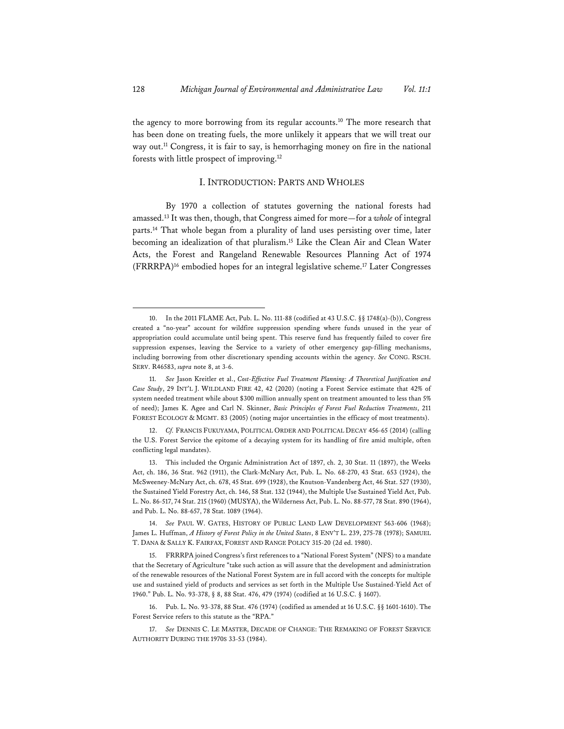the agency to more borrowing from its regular accounts.<sup>10</sup> The more research that has been done on treating fuels, the more unlikely it appears that we will treat our way out.<sup>11</sup> Congress, it is fair to say, is hemorrhaging money on fire in the national forests with little prospect of improving.12

### I. INTRODUCTION: PARTS AND WHOLES

By 1970 a collection of statutes governing the national forests had amassed.13 It was then, though, that Congress aimed for more—for a *whole* of integral parts.14 That whole began from a plurality of land uses persisting over time, later becoming an idealization of that pluralism.15 Like the Clean Air and Clean Water Acts, the Forest and Rangeland Renewable Resources Planning Act of 1974 (FRRRPA)16 embodied hopes for an integral legislative scheme.17 Later Congresses

<sup>10.</sup> In the 2011 FLAME Act, Pub. L. No. 111-88 (codified at 43 U.S.C. §§ 1748(a)-(b)), Congress created a "no-year" account for wildfire suppression spending where funds unused in the year of appropriation could accumulate until being spent. This reserve fund has frequently failed to cover fire suppression expenses, leaving the Service to a variety of other emergency gap-filling mechanisms, including borrowing from other discretionary spending accounts within the agency. *See* CONG. RSCH. SERV. R46583, *supra* note 8, at 3-6.

<sup>11.</sup> *See* Jason Kreitler et al., *Cost-Effective Fuel Treatment Planning: A Theoretical Justification and Case Study*, 29 INT'L J. WILDLAND FIRE 42, 42 (2020) (noting a Forest Service estimate that 42% of system needed treatment while about \$300 million annually spent on treatment amounted to less than 5% of need); James K. Agee and Carl N. Skinner, *Basic Principles of Forest Fuel Reduction Treatments*, 211 FOREST ECOLOGY & MGMT. 83 (2005) (noting major uncertainties in the efficacy of most treatments).

<sup>12.</sup> *Cf.* FRANCIS FUKUYAMA, POLITICAL ORDER AND POLITICAL DECAY 456-65 (2014) (calling the U.S. Forest Service the epitome of a decaying system for its handling of fire amid multiple, often conflicting legal mandates).

<sup>13.</sup> This included the Organic Administration Act of 1897, ch. 2, 30 Stat. 11 (1897), the Weeks Act, ch. 186, 36 Stat. 962 (1911), the Clark-McNary Act, Pub. L. No. 68-270, 43 Stat. 653 (1924), the McSweeney-McNary Act, ch. 678, 45 Stat. 699 (1928), the Knutson-Vandenberg Act, 46 Stat. 527 (1930), the Sustained Yield Forestry Act, ch. 146, 58 Stat. 132 (1944), the Multiple Use Sustained Yield Act, Pub. L. No. 86-517, 74 Stat. 215 (1960) (MUSYA), the Wilderness Act, Pub. L. No. 88-577, 78 Stat. 890 (1964), and Pub. L. No. 88-657, 78 Stat. 1089 (1964).

<sup>14.</sup> *See* PAUL W. GATES, HISTORY OF PUBLIC LAND LAW DEVELOPMENT 563-606 (1968); James L. Huffman, *A History of Forest Policy in the United States*, 8 ENV'T L. 239, 275-78 (1978); SAMUEL T. DANA & SALLY K. FAIRFAX, FOREST AND RANGE POLICY 315-20 (2d ed. 1980).

<sup>15.</sup> FRRRPA joined Congress's first references to a "National Forest System" (NFS) to a mandate that the Secretary of Agriculture "take such action as will assure that the development and administration of the renewable resources of the National Forest System are in full accord with the concepts for multiple use and sustained yield of products and services as set forth in the Multiple Use Sustained-Yield Act of 1960." Pub. L. No. 93-378, § 8, 88 Stat. 476, 479 (1974) (codified at 16 U.S.C. § 1607).

<sup>16.</sup> Pub. L. No. 93-378, 88 Stat. 476 (1974) (codified as amended at 16 U.S.C. §§ 1601-1610). The Forest Service refers to this statute as the "RPA."

<sup>17.</sup> *See* DENNIS C. LE MASTER, DECADE OF CHANGE: THE REMAKING OF FOREST SERVICE AUTHORITY DURING THE 1970S 33-53 (1984).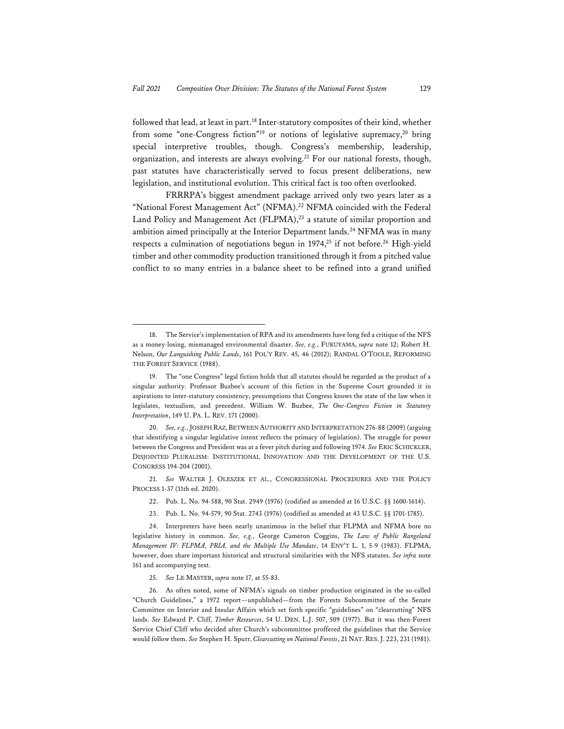followed that lead, at least in part.18 Inter-statutory composites of their kind, whether from some "one-Congress fiction"<sup>19</sup> or notions of legislative supremacy,<sup>20</sup> bring special interpretive troubles, though. Congress's membership, leadership, organization, and interests are always evolving.<sup>21</sup> For our national forests, though, past statutes have characteristically served to focus present deliberations, new legislation, and institutional evolution. This critical fact is too often overlooked.

FRRRPA's biggest amendment package arrived only two years later as a "National Forest Management Act" (NFMA).<sup>22</sup> NFMA coincided with the Federal Land Policy and Management Act (FLPMA),<sup>23</sup> a statute of similar proportion and ambition aimed principally at the Interior Department lands.<sup>24</sup> NFMA was in many respects a culmination of negotiations begun in  $1974$ ,<sup>25</sup> if not before.<sup>26</sup> High-yield timber and other commodity production transitioned through it from a pitched value conflict to so many entries in a balance sheet to be refined into a grand unified

21. *See* WALTER J. OLESZEK ET AL., CONGRESSIONAL PROCEDURES AND THE POLICY PROCESS 1-37 (11th ed. 2020).

- 22. Pub. L. No. 94-588, 90 Stat. 2949 (1976) (codified as amended at 16 U.S.C. §§ 1600-1614).
- 23. Pub. L. No. 94-579, 90 Stat. 2743 (1976) (codified as amended at 43 U.S.C. §§ 1701-1785).

<sup>18.</sup> The Service's implementation of RPA and its amendments have long fed a critique of the NFS as a money-losing, mismanaged environmental disaster. *See, e.g.*, FUKUYAMA, *supra* note 12; Robert H. Nelson, *Our Languishing Public Lands*, 161 POL'Y REV. 45, 46 (2012); RANDAL O'TOOLE, REFORMING THE FOREST SERVICE (1988).

<sup>19.</sup> The "one Congress" legal fiction holds that all statutes should be regarded as the product of a singular authority. Professor Buzbee's account of this fiction in the Supreme Court grounded it in aspirations to inter-statutory consistency, presumptions that Congress knows the state of the law when it legislates, textualism, and precedent. William W. Buzbee, *The One-Congress Fiction in Statutory Interpretation*, 149 U. PA. L. REV. 171 (2000).

<sup>20.</sup> *See, e.g.*, JOSEPH RAZ, BETWEEN AUTHORITY AND INTERPRETATION 276-88 (2009) (arguing that identifying a singular legislative intent reflects the primacy of legislation). The struggle for power between the Congress and President was at a fever pitch during and following 1974. *See* ERIC SCHICKLER, DISJOINTED PLURALISM: INSTITUTIONAL INNOVATION AND THE DEVELOPMENT OF THE U.S. CONGRESS 194-204 (2001).

<sup>24.</sup> Interpreters have been nearly unanimous in the belief that FLPMA and NFMA bore no legislative history in common. *See, e.g.*, George Cameron Coggins, *The Law of Public Rangeland Management IV: FLPMA, PRIA, and the Multiple Use Mandate*, 14 ENV'T L. 1, 5-9 (1983). FLPMA, however, does share important historical and structural similarities with the NFS statutes. *See infra* note 161 and accompanying text.

<sup>25.</sup> *See* LE MASTER, *supra* note 17, at 55-83.

<sup>26.</sup> As often noted, some of NFMA's signals on timber production originated in the so-called "Church Guidelines," a 1972 report—unpublished—from the Forests Subcommittee of the Senate Committee on Interior and Insular Affairs which set forth specific "guidelines" on "clearcutting" NFS lands. *See* Edward P. Cliff, *Timber Resources*, 54 U. DEN. L.J. 507, 509 (1977). But it was then-Forest Service Chief Cliff who decided after Church's subcommittee proffered the guidelines that the Service would follow them. *See* Stephen H. Spurr, *Clearcutting on National Forests*, 21 NAT. RES. J. 223, 231 (1981).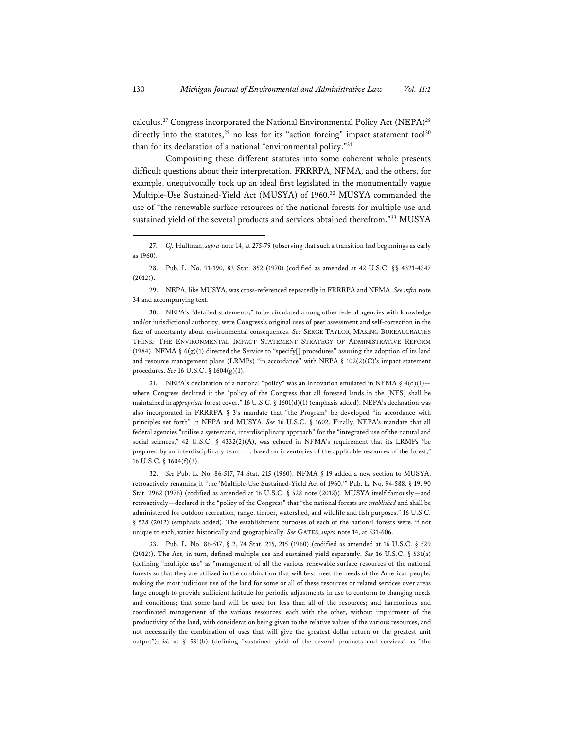calculus.<sup>27</sup> Congress incorporated the National Environmental Policy Act (NEPA)<sup>28</sup> directly into the statutes, $29$  no less for its "action forcing" impact statement tool $30$ than for its declaration of a national "environmental policy."31

Compositing these different statutes into some coherent whole presents difficult questions about their interpretation. FRRRPA, NFMA, and the others, for example, unequivocally took up an ideal first legislated in the monumentally vague Multiple-Use Sustained-Yield Act (MUSYA) of 1960.32 MUSYA commanded the use of "the renewable surface resources of the national forests for multiple use and sustained yield of the several products and services obtained therefrom."33 MUSYA

30. NEPA's "detailed statements," to be circulated among other federal agencies with knowledge and/or jurisdictional authority, were Congress's original uses of peer assessment and self-correction in the face of uncertainty about environmental consequences. *See* SERGE TAYLOR, MAKING BUREAUCRACIES THINK: THE ENVIRONMENTAL IMPACT STATEMENT STRATEGY OF ADMINISTRATIVE REFORM (1984). NFMA §  $6(g)(1)$  directed the Service to "specify[] procedures" assuring the adoption of its land and resource management plans (LRMPs) "in accordance" with NEPA  $\S$  102(2)(C)'s impact statement procedures. *See* 16 U.S.C. § 1604(g)(1).

31. NEPA's declaration of a national "policy" was an innovation emulated in NFMA §  $4(d)(1)$  where Congress declared it the "policy of the Congress that all forested lands in the [NFS] shall be maintained in *appropriate* forest cover." 16 U.S.C. § 1601(d)(1) (emphasis added). NEPA's declaration was also incorporated in FRRRPA § 3's mandate that "the Program" be developed "in accordance with principles set forth" in NEPA and MUSYA. *See* 16 U.S.C. § 1602. Finally, NEPA's mandate that all federal agencies "utilize a systematic, interdisciplinary approach" for the "integrated use of the natural and social sciences," 42 U.S.C. § 4332(2)(A), was echoed in NFMA's requirement that its LRMPs "be prepared by an interdisciplinary team . . . based on inventories of the applicable resources of the forest," 16 U.S.C. § 1604(f)(3).

32. *See* Pub. L. No. 86-517, 74 Stat. 215 (1960). NFMA § 19 added a new section to MUSYA, retroactively renaming it "the 'Multiple-Use Sustained-Yield Act of 1960.'" Pub. L. No. 94-588, § 19, 90 Stat. 2962 (1976) (codified as amended at 16 U.S.C. § 528 note (2012)). MUSYA itself famously—and retroactively—declared it the "policy of the Congress" that "the national forests *are established* and shall be administered for outdoor recreation, range, timber, watershed, and wildlife and fish purposes." 16 U.S.C. § 528 (2012) (emphasis added). The establishment purposes of each of the national forests were, if not unique to each, varied historically and geographically. *See* GATES, *supra* note 14, at 531-606.

33. Pub. L. No. 86-517, § 2, 74 Stat. 215, 215 (1960) (codified as amended at 16 U.S.C. § 529 (2012)). The Act, in turn, defined multiple use and sustained yield separately. *See* 16 U.S.C. § 531(a) (defining "multiple use" as "management of all the various renewable surface resources of the national forests so that they are utilized in the combination that will best meet the needs of the American people; making the most judicious use of the land for some or all of these resources or related services over areas large enough to provide sufficient latitude for periodic adjustments in use to conform to changing needs and conditions; that some land will be used for less than all of the resources; and harmonious and coordinated management of the various resources, each with the other, without impairment of the productivity of the land, with consideration being given to the relative values of the various resources, and not necessarily the combination of uses that will give the greatest dollar return or the greatest unit output"); *id.* at § 531(b) (defining "sustained yield of the several products and services" as "the

<sup>27.</sup> *Cf.* Huffman, *supra* note 14, at 275-79 (observing that such a transition had beginnings as early as 1960).

<sup>28.</sup> Pub. L. No. 91-190, 83 Stat. 852 (1970) (codified as amended at 42 U.S.C. §§ 4321-4347 (2012)).

<sup>29.</sup> NEPA, like MUSYA, was cross-referenced repeatedly in FRRRPA and NFMA. *See infra* note 34 and accompanying text.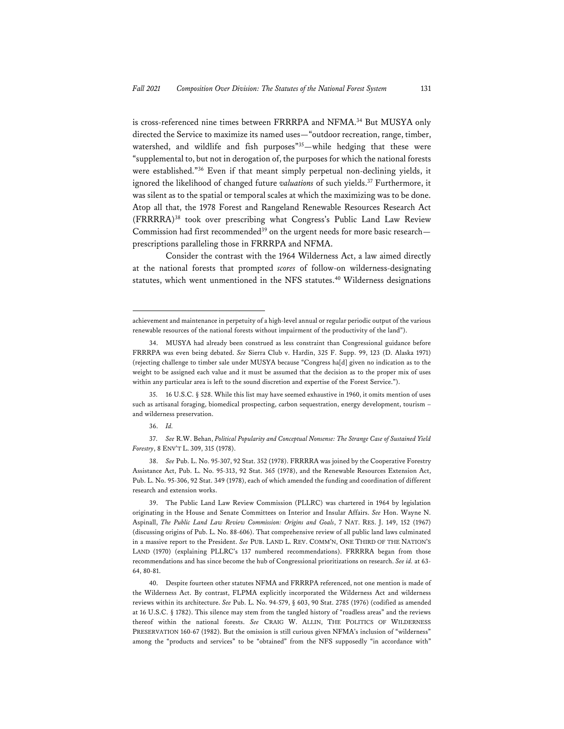is cross-referenced nine times between FRRRPA and NFMA.<sup>34</sup> But MUSYA only directed the Service to maximize its named uses—"outdoor recreation, range, timber, watershed, and wildlife and fish purposes"<sup>35</sup>-while hedging that these were "supplemental to, but not in derogation of, the purposes for which the national forests were established."36 Even if that meant simply perpetual non-declining yields, it ignored the likelihood of changed future *valuations* of such yields.<sup>37</sup> Furthermore, it was silent as to the spatial or temporal scales at which the maximizing was to be done. Atop all that, the 1978 Forest and Rangeland Renewable Resources Research Act (FRRRRA)38 took over prescribing what Congress's Public Land Law Review Commission had first recommended<sup>39</sup> on the urgent needs for more basic research prescriptions paralleling those in FRRRPA and NFMA.

Consider the contrast with the 1964 Wilderness Act, a law aimed directly at the national forests that prompted *scores* of follow-on wilderness-designating statutes, which went unmentioned in the NFS statutes.<sup>40</sup> Wilderness designations

achievement and maintenance in perpetuity of a high-level annual or regular periodic output of the various renewable resources of the national forests without impairment of the productivity of the land").

<sup>34.</sup> MUSYA had already been construed as less constraint than Congressional guidance before FRRRPA was even being debated. *See* Sierra Club v. Hardin, 325 F. Supp. 99, 123 (D. Alaska 1971) (rejecting challenge to timber sale under MUSYA because "Congress ha[d] given no indication as to the weight to be assigned each value and it must be assumed that the decision as to the proper mix of uses within any particular area is left to the sound discretion and expertise of the Forest Service.").

<sup>35. 16</sup> U.S.C. § 528. While this list may have seemed exhaustive in 1960, it omits mention of uses such as artisanal foraging, biomedical prospecting, carbon sequestration, energy development, tourism – and wilderness preservation.

<sup>36.</sup> *Id.*

<sup>37.</sup> *See* R.W. Behan, *Political Popularity and Conceptual Nonsense: The Strange Case of Sustained Yield Forestry*, 8 ENV'T L. 309, 315 (1978).

<sup>38.</sup> *See* Pub. L. No. 95-307, 92 Stat. 352 (1978). FRRRRA was joined by the Cooperative Forestry Assistance Act, Pub. L. No. 95-313, 92 Stat. 365 (1978), and the Renewable Resources Extension Act, Pub. L. No. 95-306, 92 Stat. 349 (1978), each of which amended the funding and coordination of different research and extension works.

<sup>39.</sup> The Public Land Law Review Commission (PLLRC) was chartered in 1964 by legislation originating in the House and Senate Committees on Interior and Insular Affairs. *See* Hon. Wayne N. Aspinall, *The Public Land Law Review Commission: Origins and Goals*, 7 NAT. RES. J. 149, 152 (1967) (discussing origins of Pub. L. No. 88-606). That comprehensive review of all public land laws culminated in a massive report to the President. *See* PUB. LAND L. REV. COMM'N, ONE THIRD OF THE NATION'S LAND (1970) (explaining PLLRC's 137 numbered recommendations). FRRRRA began from those recommendations and has since become the hub of Congressional prioritizations on research. *See id.* at 63- 64, 80-81.

<sup>40.</sup> Despite fourteen other statutes NFMA and FRRRPA referenced, not one mention is made of the Wilderness Act. By contrast, FLPMA explicitly incorporated the Wilderness Act and wilderness reviews within its architecture. *See* Pub. L. No. 94-579, § 603, 90 Stat. 2785 (1976) (codified as amended at 16 U.S.C. § 1782). This silence may stem from the tangled history of "roadless areas" and the reviews thereof within the national forests. *See* CRAIG W. ALLIN, THE POLITICS OF WILDERNESS PRESERVATION 160-67 (1982). But the omission is still curious given NFMA's inclusion of "wilderness" among the "products and services" to be "obtained" from the NFS supposedly "in accordance with"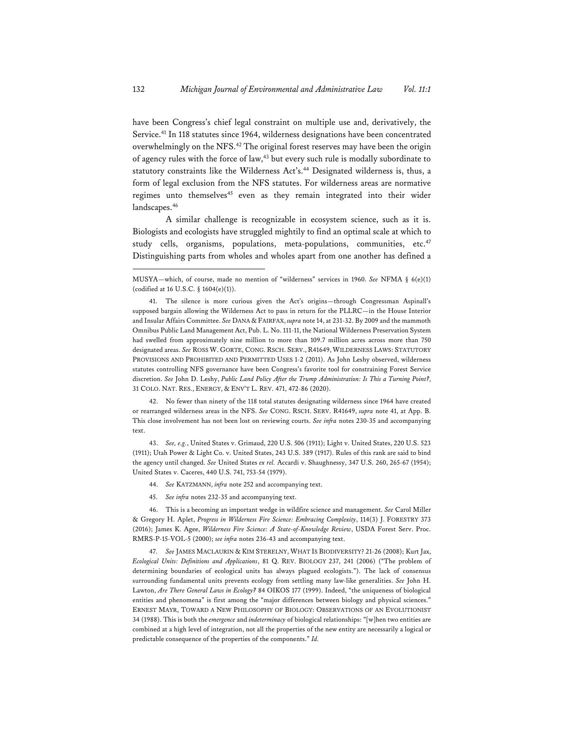have been Congress's chief legal constraint on multiple use and, derivatively, the Service.<sup>41</sup> In 118 statutes since 1964, wilderness designations have been concentrated overwhelmingly on the NFS.<sup>42</sup> The original forest reserves may have been the origin of agency rules with the force of law,<sup>43</sup> but every such rule is modally subordinate to statutory constraints like the Wilderness Act's.<sup>44</sup> Designated wilderness is, thus, a form of legal exclusion from the NFS statutes. For wilderness areas are normative regimes unto themselves<sup>45</sup> even as they remain integrated into their wider landscapes.<sup>46</sup>

A similar challenge is recognizable in ecosystem science, such as it is. Biologists and ecologists have struggled mightily to find an optimal scale at which to study cells, organisms, populations, meta-populations, communities, etc.<sup>47</sup> Distinguishing parts from wholes and wholes apart from one another has defined a

42. No fewer than ninety of the 118 total statutes designating wilderness since 1964 have created or rearranged wilderness areas in the NFS. *See* CONG. RSCH. SERV. R41649, *supra* note 41, at App. B. This close involvement has not been lost on reviewing courts. *See infra* notes 230-35 and accompanying text.

43. *See, e.g.*, United States v. Grimaud, 220 U.S. 506 (1911); Light v. United States, 220 U.S. 523 (1911); Utah Power & Light Co. v. United States, 243 U.S. 389 (1917). Rules of this rank are said to bind the agency until changed. *See* United States *ex rel.* Accardi v. Shaughnessy, 347 U.S. 260, 265-67 (1954); United States v. Caceres, 440 U.S. 741, 753-54 (1979).

- 44. *See* KATZMANN, *infra* note 252 and accompanying text.
- 45. *See infra* notes 232-35 and accompanying text.

46. This is a becoming an important wedge in wildfire science and management. *See* Carol Miller & Gregory H. Aplet, *Progress in Wilderness Fire Science: Embracing Complexity*, 114(3) J. FORESTRY 373 (2016); James K. Agee, *Wilderness Fire Science: A State-of-Knowledge Review*, USDA Forest Serv. Proc. RMRS-P-15-VOL-5 (2000); *see infra* notes 236-43 and accompanying text.

47. *See* JAMES MACLAURIN & KIM STERELNY, WHAT IS BIODIVERSITY? 21-26 (2008); Kurt Jax, *Ecological Units: Definitions and Applications*, 81 Q. REV. BIOLOGY 237, 241 (2006) ("The problem of determining boundaries of ecological units has always plagued ecologists."). The lack of consensus surrounding fundamental units prevents ecology from settling many law-like generalities. *See* John H. Lawton, *Are There General Laws in Ecology?* 84 OIKOS 177 (1999). Indeed, "the uniqueness of biological entities and phenomena" is first among the "major differences between biology and physical sciences." ERNEST MAYR, TOWARD A NEW PHILOSOPHY OF BIOLOGY: OBSERVATIONS OF AN EVOLUTIONIST 34 (1988). This is both the *emergence* and *indeterminacy* of biological relationships: "[w]hen two entities are combined at a high level of integration, not all the properties of the new entity are necessarily a logical or predictable consequence of the properties of the components." *Id.*

MUSYA—which, of course, made no mention of "wilderness" services in 1960. *See* NFMA § 6(e)(1) (codified at 16 U.S.C. § 1604(e)(1)).

<sup>41.</sup> The silence is more curious given the Act's origins—through Congressman Aspinall's supposed bargain allowing the Wilderness Act to pass in return for the PLLRC—in the House Interior and Insular Affairs Committee. *See* DANA & FAIRFAX, *supra* note 14, at 231-32. By 2009 and the mammoth Omnibus Public Land Management Act, Pub. L. No. 111-11, the National Wilderness Preservation System had swelled from approximately nine million to more than 109.7 million acres across more than 750 designated areas. *See* ROSS W. GORTE, CONG. RSCH. SERV., R41649, WILDERNESS LAWS: STATUTORY PROVISIONS AND PROHIBITED AND PERMITTED USES 1-2 (2011). As John Leshy observed, wilderness statutes controlling NFS governance have been Congress's favorite tool for constraining Forest Service discretion. *See* John D. Leshy, *Public Land Policy After the Trump Administration: Is This a Turning Point?*, 31 COLO. NAT. RES., ENERGY, & ENV'T L. REV. 471, 472-86 (2020).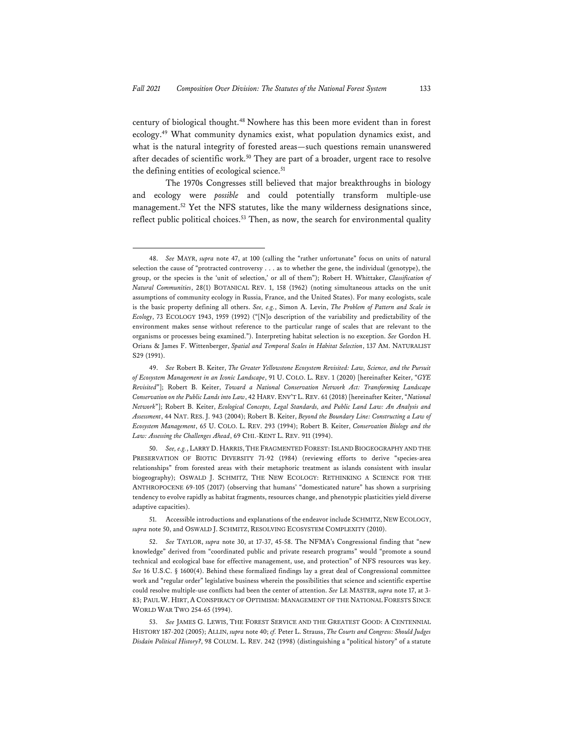century of biological thought.48 Nowhere has this been more evident than in forest ecology.49 What community dynamics exist, what population dynamics exist, and what is the natural integrity of forested areas—such questions remain unanswered after decades of scientific work.<sup>50</sup> They are part of a broader, urgent race to resolve the defining entities of ecological science.<sup>51</sup>

The 1970s Congresses still believed that major breakthroughs in biology and ecology were *possible* and could potentially transform multiple-use management.<sup>52</sup> Yet the NFS statutes, like the many wilderness designations since, reflect public political choices.<sup>53</sup> Then, as now, the search for environmental quality

<sup>48.</sup> *See* MAYR, *supra* note 47, at 100 (calling the "rather unfortunate" focus on units of natural selection the cause of "protracted controversy . . . as to whether the gene, the individual (genotype), the group, or the species is the 'unit of selection,' or all of them"); Robert H. Whittaker, *Classification of Natural Communities*, 28(1) BOTANICAL REV. 1, 158 (1962) (noting simultaneous attacks on the unit assumptions of community ecology in Russia, France, and the United States). For many ecologists, scale is the basic property defining all others. *See, e.g.*, Simon A. Levin, *The Problem of Pattern and Scale in Ecology*, 73 ECOLOGY 1943, 1959 (1992) ("[N]o description of the variability and predictability of the environment makes sense without reference to the particular range of scales that are relevant to the organisms or processes being examined."). Interpreting habitat selection is no exception. *See* Gordon H. Orians & James F. Wittenberger, *Spatial and Temporal Scales in Habitat Selection*, 137 AM. NATURALIST S29 (1991).

<sup>49.</sup> *See* Robert B. Keiter, *The Greater Yellowstone Ecosystem Revisited: Law, Science, and the Pursuit of Ecosystem Management in an Iconic Landscape*, 91 U. COLO. L. REV. 1 (2020) [hereinafter Keiter, "*GYE Revisited*"]; Robert B. Keiter, *Toward a National Conservation Network Act: Transforming Landscape Conservation on the Public Lands into Law*, 42 HARV. ENV'T L. REV. 61 (2018) [hereinafter Keiter, "*National Network*"]; Robert B. Keiter, *Ecological Concepts, Legal Standards, and Public Land Law: An Analysis and Assessment*, 44 NAT. RES. J. 943 (2004); Robert B. Keiter, *Beyond the Boundary Line: Constructing a Law of Ecosystem Management*, 65 U. COLO. L. REV. 293 (1994); Robert B. Keiter, *Conservation Biology and the Law: Assessing the Challenges Ahead*, 69 CHI.-KENT L. REV. 911 (1994).

<sup>50.</sup> *See, e.g.*, LARRY D. HARRIS,THE FRAGMENTED FOREST:ISLAND BIOGEOGRAPHY AND THE PRESERVATION OF BIOTIC DIVERSITY 71-92 (1984) (reviewing efforts to derive "species-area relationships" from forested areas with their metaphoric treatment as islands consistent with insular biogeography); OSWALD J. SCHMITZ, THE NEW ECOLOGY: RETHINKING A SCIENCE FOR THE ANTHROPOCENE 69-105 (2017) (observing that humans' "domesticated nature" has shown a surprising tendency to evolve rapidly as habitat fragments, resources change, and phenotypic plasticities yield diverse adaptive capacities).

<sup>51.</sup> Accessible introductions and explanations of the endeavor include SCHMITZ, NEW ECOLOGY, *supra* note 50, and OSWALD J. SCHMITZ, RESOLVING ECOSYSTEM COMPLEXITY (2010).

<sup>52.</sup> *See* TAYLOR, *supra* note 30, at 17-37, 45-58. The NFMA's Congressional finding that "new knowledge" derived from "coordinated public and private research programs" would "promote a sound technical and ecological base for effective management, use, and protection" of NFS resources was key. *See* 16 U.S.C. § 1600(4). Behind these formalized findings lay a great deal of Congressional committee work and "regular order" legislative business wherein the possibilities that science and scientific expertise could resolve multiple-use conflicts had been the center of attention. *See* LE MASTER, *supra* note 17, at 3- 83; PAUL W. HIRT, A CONSPIRACY OF OPTIMISM: MANAGEMENT OF THE NATIONAL FORESTS SINCE WORLD WAR TWO 254-65 (1994).

<sup>53.</sup> *See* JAMES G. LEWIS, THE FOREST SERVICE AND THE GREATEST GOOD: A CENTENNIAL HISTORY 187-202 (2005); ALLIN, *supra* note 40; *cf.* Peter L. Strauss, *The Courts and Congress: Should Judges Disdain Political History?*, 98 COLUM. L. REV. 242 (1998) (distinguishing a "political history" of a statute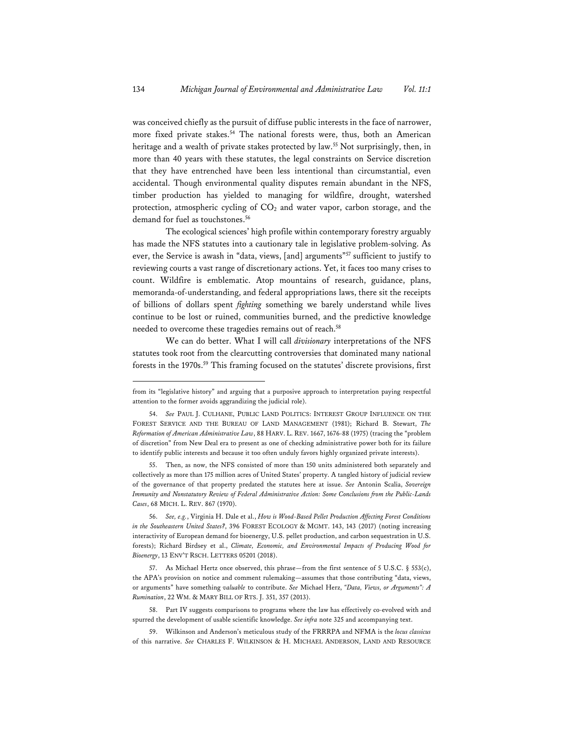was conceived chiefly as the pursuit of diffuse public interests in the face of narrower, more fixed private stakes.<sup>54</sup> The national forests were, thus, both an American heritage and a wealth of private stakes protected by law.<sup>55</sup> Not surprisingly, then, in more than 40 years with these statutes, the legal constraints on Service discretion that they have entrenched have been less intentional than circumstantial, even accidental. Though environmental quality disputes remain abundant in the NFS, timber production has yielded to managing for wildfire, drought, watershed protection, atmospheric cycling of  $CO<sub>2</sub>$  and water vapor, carbon storage, and the demand for fuel as touchstones.<sup>56</sup>

The ecological sciences' high profile within contemporary forestry arguably has made the NFS statutes into a cautionary tale in legislative problem-solving. As ever, the Service is awash in "data, views, [and] arguments"<sup>57</sup> sufficient to justify to reviewing courts a vast range of discretionary actions. Yet, it faces too many crises to count. Wildfire is emblematic. Atop mountains of research, guidance, plans, memoranda-of-understanding, and federal appropriations laws, there sit the receipts of billions of dollars spent *fighting* something we barely understand while lives continue to be lost or ruined, communities burned, and the predictive knowledge needed to overcome these tragedies remains out of reach.<sup>58</sup>

We can do better. What I will call *divisionary* interpretations of the NFS statutes took root from the clearcutting controversies that dominated many national forests in the 1970s.<sup>59</sup> This framing focused on the statutes' discrete provisions, first

55. Then, as now, the NFS consisted of more than 150 units administered both separately and collectively as more than 175 million acres of United States' property. A tangled history of judicial review of the governance of that property predated the statutes here at issue. *See* Antonin Scalia, *Sovereign Immunity and Nonstatutory Review of Federal Administrative Action: Some Conclusions from the Public-Lands Cases*, 68 MICH. L. REV. 867 (1970).

56. *See, e.g.*, Virginia H. Dale et al., *How is Wood-Based Pellet Production Affecting Forest Conditions in the Southeastern United States?*, 396 FOREST ECOLOGY & MGMT. 143, 143 (2017) (noting increasing interactivity of European demand for bioenergy, U.S. pellet production, and carbon sequestration in U.S. forests); Richard Birdsey et al., *Climate, Economic, and Environmental Impacts of Producing Wood for Bioenergy*, 13 ENV'T RSCH. LETTERS 05201 (2018).

57. As Michael Hertz once observed, this phrase—from the first sentence of 5 U.S.C. § 553(c), the APA's provision on notice and comment rulemaking—assumes that those contributing "data, views, or arguments" have something *valuable* to contribute. *See* Michael Herz, *"Data, Views, or Arguments": A Rumination*, 22 WM. & MARY BILL OF RTS. J. 351, 357 (2013).

58. Part IV suggests comparisons to programs where the law has effectively co-evolved with and spurred the development of usable scientific knowledge. *See infra* note 325 and accompanying text.

59. Wilkinson and Anderson's meticulous study of the FRRRPA and NFMA is the *locus classicus* of this narrative. *See* CHARLES F. WILKINSON & H. MICHAEL ANDERSON, LAND AND RESOURCE

from its "legislative history" and arguing that a purposive approach to interpretation paying respectful attention to the former avoids aggrandizing the judicial role).

<sup>54.</sup> *See* PAUL J. CULHANE, PUBLIC LAND POLITICS: INTEREST GROUP INFLUENCE ON THE FOREST SERVICE AND THE BUREAU OF LAND MANAGEMENT (1981); Richard B. Stewart, *The Reformation of American Administrative Law*, 88 HARV. L. REV. 1667, 1676-88 (1975) (tracing the "problem of discretion" from New Deal era to present as one of checking administrative power both for its failure to identify public interests and because it too often unduly favors highly organized private interests).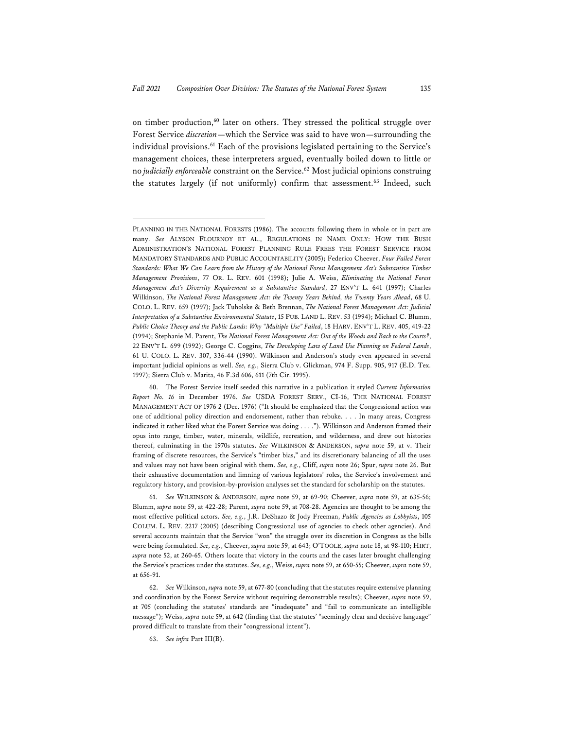on timber production, $60$  later on others. They stressed the political struggle over Forest Service *discretion*—which the Service was said to have won—surrounding the individual provisions.<sup>61</sup> Each of the provisions legislated pertaining to the Service's management choices, these interpreters argued, eventually boiled down to little or no *judicially enforceable* constraint on the Service.62 Most judicial opinions construing the statutes largely (if not uniformly) confirm that assessment.<sup>63</sup> Indeed, such

PLANNING IN THE NATIONAL FORESTS (1986). The accounts following them in whole or in part are many. *See* ALYSON FLOURNOY ET AL., REGULATIONS IN NAME ONLY: HOW THE BUSH ADMINISTRATION'S NATIONAL FOREST PLANNING RULE FREES THE FOREST SERVICE FROM MANDATORY STANDARDS AND PUBLIC ACCOUNTABILITY (2005); Federico Cheever, *Four Failed Forest Standards: What We Can Learn from the History of the National Forest Management Act's Substantive Timber Management Provisions*, 77 OR. L. REV. 601 (1998); Julie A. Weiss, *Eliminating the National Forest Management Act's Diversity Requirement as a Substantive Standard*, 27 ENV'T L. 641 (1997); Charles Wilkinson, *The National Forest Management Act: the Twenty Years Behind, the Twenty Years Ahead*, 68 U. COLO. L. REV. 659 (1997); Jack Tuholske & Beth Brennan, *The National Forest Management Act: Judicial Interpretation of a Substantive Environmental Statute*, 15 PUB. LAND L. REV. 53 (1994); Michael C. Blumm, *Public Choice Theory and the Public Lands: Why "Multiple Use" Failed*, 18 HARV. ENV'T L. REV. 405, 419-22 (1994); Stephanie M. Parent, *The National Forest Management Act: Out of the Woods and Back to the Courts?*, 22 ENV'T L. 699 (1992); George C. Coggins, *The Developing Law of Land Use Planning on Federal Lands*, 61 U. COLO. L. REV. 307, 336-44 (1990). Wilkinson and Anderson's study even appeared in several important judicial opinions as well. *See, e.g.*, Sierra Club v. Glickman, 974 F. Supp. 905, 917 (E.D. Tex. 1997); Sierra Club v. Marita, 46 F.3d 606, 611 (7th Cir. 1995).

<sup>60.</sup> The Forest Service itself seeded this narrative in a publication it styled *Current Information Report No. 16* in December 1976. *See* USDA FOREST SERV., CI-16, THE NATIONAL FOREST MANAGEMENT ACT OF 1976 2 (Dec. 1976) ("It should be emphasized that the Congressional action was one of additional policy direction and endorsement, rather than rebuke. . . . In many areas, Congress indicated it rather liked what the Forest Service was doing . . . ."). Wilkinson and Anderson framed their opus into range, timber, water, minerals, wildlife, recreation, and wilderness, and drew out histories thereof, culminating in the 1970s statutes. *See* WILKINSON & ANDERSON, *supra* note 59, at v. Their framing of discrete resources, the Service's "timber bias," and its discretionary balancing of all the uses and values may not have been original with them. *See, e.g.*, Cliff, *supra* note 26; Spur, *supra* note 26. But their exhaustive documentation and limning of various legislators' roles, the Service's involvement and regulatory history, and provision-by-provision analyses set the standard for scholarship on the statutes.

<sup>61.</sup> *See* WILKINSON & ANDERSON, *supra* note 59, at 69-90; Cheever, *supra* note 59, at 635-56; Blumm, *supra* note 59, at 422-28; Parent, *supra* note 59, at 708-28. Agencies are thought to be among the most effective political actors. *See, e.g.*, J.R. DeShazo & Jody Freeman, *Public Agencies as Lobbyists*, 105 COLUM. L. REV. 2217 (2005) (describing Congressional use of agencies to check other agencies). And several accounts maintain that the Service "won" the struggle over its discretion in Congress as the bills were being formulated. *See, e.g.*, Cheever, *supra* note 59, at 643; O'TOOLE, *supra* note 18, at 98-110; HIRT, *supra* note 52, at 260-65. Others locate that victory in the courts and the cases later brought challenging the Service's practices under the statutes. *See, e.g.*, Weiss, *supra* note 59, at 650-55; Cheever, *supra* note 59, at 656-91.

<sup>62.</sup> *See* Wilkinson, *supra* note 59, at 677-80 (concluding that the statutes require extensive planning and coordination by the Forest Service without requiring demonstrable results); Cheever, *supra* note 59, at 705 (concluding the statutes' standards are "inadequate" and "fail to communicate an intelligible message"); Weiss, *supra* note 59, at 642 (finding that the statutes' "seemingly clear and decisive language" proved difficult to translate from their "congressional intent").

<sup>63.</sup> *See infra* Part III(B).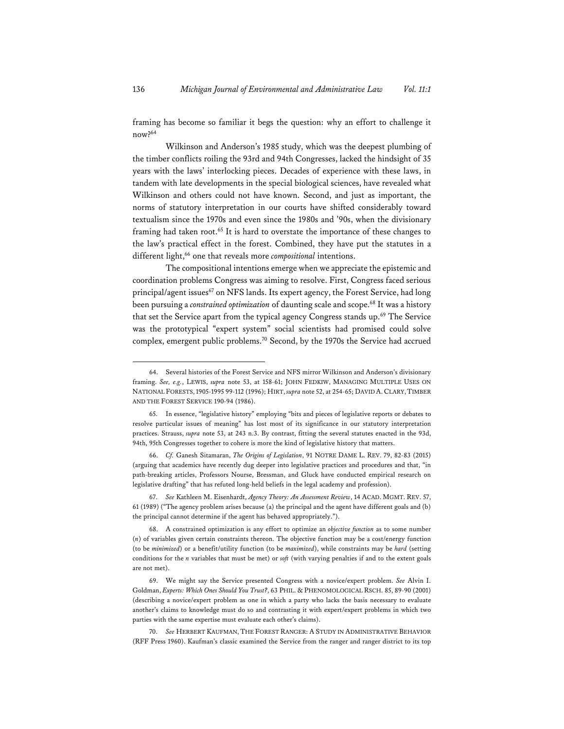framing has become so familiar it begs the question: why an effort to challenge it now?64

Wilkinson and Anderson's 1985 study, which was the deepest plumbing of the timber conflicts roiling the 93rd and 94th Congresses, lacked the hindsight of 35 years with the laws' interlocking pieces. Decades of experience with these laws, in tandem with late developments in the special biological sciences, have revealed what Wilkinson and others could not have known. Second, and just as important, the norms of statutory interpretation in our courts have shifted considerably toward textualism since the 1970s and even since the 1980s and '90s, when the divisionary framing had taken root.<sup>65</sup> It is hard to overstate the importance of these changes to the law's practical effect in the forest. Combined, they have put the statutes in a different light,<sup>66</sup> one that reveals more *compositional* intentions.

The compositional intentions emerge when we appreciate the epistemic and coordination problems Congress was aiming to resolve. First, Congress faced serious principal/agent issues<sup>67</sup> on NFS lands. Its expert agency, the Forest Service, had long been pursuing a *constrained optimization* of daunting scale and scope.68 It was a history that set the Service apart from the typical agency Congress stands up.<sup>69</sup> The Service was the prototypical "expert system" social scientists had promised could solve complex, emergent public problems.70 Second, by the 1970s the Service had accrued

<sup>64.</sup> Several histories of the Forest Service and NFS mirror Wilkinson and Anderson's divisionary framing. *See, e.g.*, LEWIS, *supra* note 53, at 158-61; JOHN FEDKIW, MANAGING MULTIPLE USES ON NATIONAL FORESTS,1905-1995 99-112 (1996); HIRT, *supra* note 52, at 254-65; DAVID A.CLARY,TIMBER AND THE FOREST SERVICE 190-94 (1986).

<sup>65.</sup> In essence, "legislative history" employing "bits and pieces of legislative reports or debates to resolve particular issues of meaning" has lost most of its significance in our statutory interpretation practices. Strauss, *supra* note 53, at 243 n.3. By contrast, fitting the several statutes enacted in the 93d, 94th, 95th Congresses together to cohere is more the kind of legislative history that matters.

<sup>66.</sup> *Cf.* Ganesh Sitamaran, *The Origins of Legislation*, 91 NOTRE DAME L. REV. 79, 82-83 (2015) (arguing that academics have recently dug deeper into legislative practices and procedures and that, "in path-breaking articles, Professors Nourse, Bressman, and Gluck have conducted empirical research on legislative drafting" that has refuted long-held beliefs in the legal academy and profession).

<sup>67.</sup> *See* Kathleen M. Eisenhardt, *Agency Theory: An Assessment Review*, 14 ACAD. MGMT. REV. 57, 61 (1989) ("The agency problem arises because (a) the principal and the agent have different goals and (b) the principal cannot determine if the agent has behaved appropriately.").

<sup>68.</sup> A constrained optimization is any effort to optimize an *objective function* as to some number (*n*) of variables given certain constraints thereon. The objective function may be a cost/energy function (to be *minimized*) or a benefit/utility function (to be *maximized*), while constraints may be *hard* (setting conditions for the *n* variables that must be met) or *soft* (with varying penalties if and to the extent goals are not met).

<sup>69.</sup> We might say the Service presented Congress with a novice/expert problem. *See* Alvin I. Goldman, *Experts: Which Ones Should You Trust?*, 63 PHIL. & PHENOMOLOGICAL RSCH. 85, 89-90 (2001) (describing a novice/expert problem as one in which a party who lacks the basis necessary to evaluate another's claims to knowledge must do so and contrasting it with expert/expert problems in which two parties with the same expertise must evaluate each other's claims).

<sup>70.</sup> *See* HERBERT KAUFMAN, THE FOREST RANGER: A STUDY IN ADMINISTRATIVE BEHAVIOR (RFF Press 1960). Kaufman's classic examined the Service from the ranger and ranger district to its top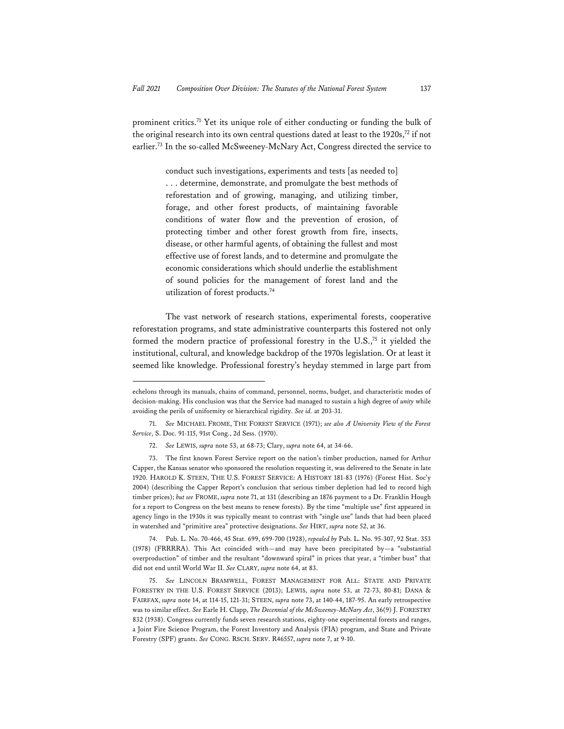prominent critics.71 Yet its unique role of either conducting or funding the bulk of the original research into its own central questions dated at least to the  $1920s$ ,<sup>72</sup> if not earlier.73 In the so-called McSweeney-McNary Act, Congress directed the service to

> conduct such investigations, experiments and tests [as needed to] . . . determine, demonstrate, and promulgate the best methods of reforestation and of growing, managing, and utilizing timber, forage, and other forest products, of maintaining favorable conditions of water flow and the prevention of erosion, of protecting timber and other forest growth from fire, insects, disease, or other harmful agents, of obtaining the fullest and most effective use of forest lands, and to determine and promulgate the economic considerations which should underlie the establishment of sound policies for the management of forest land and the utilization of forest products.74

The vast network of research stations, experimental forests, cooperative reforestation programs, and state administrative counterparts this fostered not only formed the modern practice of professional forestry in the U.S.,75 it yielded the institutional, cultural, and knowledge backdrop of the 1970s legislation. Or at least it seemed like knowledge. Professional forestry's heyday stemmed in large part from

74. Pub. L. No. 70-466, 45 Stat. 699, 699-700 (1928), *repealed by* Pub. L. No. 95-307, 92 Stat. 353 (1978) (FRRRRA). This Act coincided with—and may have been precipitated by—a "substantial overproduction" of timber and the resultant "downward spiral" in prices that year, a "timber bust" that did not end until World War II. *See* CLARY, *supra* note 64, at 83.

75. *See* LINCOLN BRAMWELL, FOREST MANAGEMENT FOR ALL: STATE AND PRIVATE FORESTRY IN THE U.S. FOREST SERVICE (2013); LEWIS, *supra* note 53, at 72-73, 80-81; DANA & FAIRFAX, *supra* note 14, at 114-15, 121-31; STEEN, *supra* note 73, at 140-44, 187-95. An early retrospective was to similar effect. *See* Earle H. Clapp, *The Decennial of the McSweeney-McNary Act*, 36(9) J. FORESTRY 832 (1938). Congress currently funds seven research stations, eighty-one experimental forests and ranges, a Joint Fire Science Program, the Forest Inventory and Analysis (FIA) program, and State and Private Forestry (SPF) grants. *See* CONG. RSCH. SERV. R46557, *supra* note 7, at 9-10.

echelons through its manuals, chains of command, personnel, norms, budget, and characteristic modes of decision-making. His conclusion was that the Service had managed to sustain a high degree of *unity* while avoiding the perils of uniformity or hierarchical rigidity. *See id.* at 203-31.

<sup>71.</sup> *See* MICHAEL FROME, THE FOREST SERVICE (1971); *see also A University View of the Forest Service*, S. Doc. 91-115, 91st Cong., 2d Sess. (1970).

<sup>72.</sup> *See* LEWIS, *supra* note 53, at 68-73; Clary, *supra* note 64, at 34-66.

<sup>73.</sup> The first known Forest Service report on the nation's timber production, named for Arthur Capper, the Kansas senator who sponsored the resolution requesting it, was delivered to the Senate in late 1920. HAROLD K. STEEN, THE U.S. FOREST SERVICE: A HISTORY 181-83 (1976) (Forest Hist. Soc'y 2004) (describing the Capper Report's conclusion that serious timber depletion had led to record high timber prices); *but see* FROME, *supra* note 71, at 131 (describing an 1876 payment to a Dr. Franklin Hough for a report to Congress on the best means to renew forests). By the time "multiple use" first appeared in agency lingo in the 1930s it was typically meant to contrast with "single use" lands that had been placed in watershed and "primitive area" protective designations. *See* HIRT, *supra* note 52, at 36.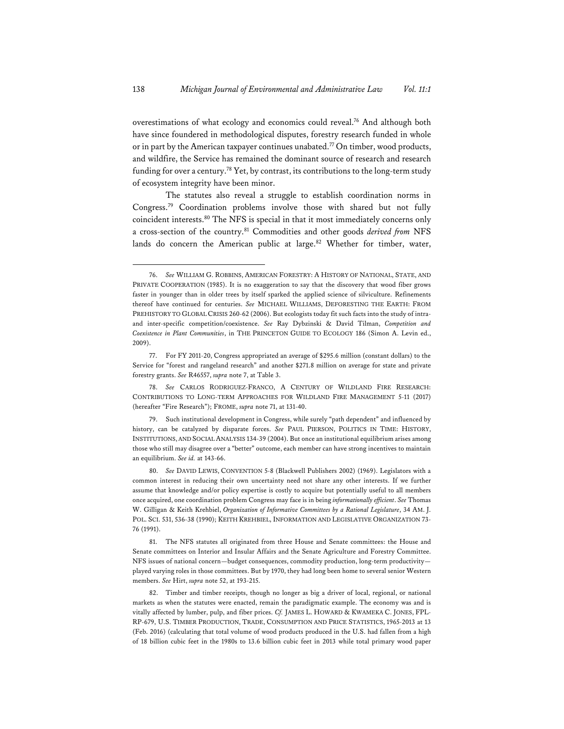overestimations of what ecology and economics could reveal.76 And although both have since foundered in methodological disputes, forestry research funded in whole or in part by the American taxpayer continues unabated.<sup>77</sup> On timber, wood products, and wildfire, the Service has remained the dominant source of research and research funding for over a century.<sup>78</sup> Yet, by contrast, its contributions to the long-term study of ecosystem integrity have been minor.

The statutes also reveal a struggle to establish coordination norms in Congress.79 Coordination problems involve those with shared but not fully coincident interests.80 The NFS is special in that it most immediately concerns only a cross-section of the country.81 Commodities and other goods *derived from* NFS lands do concern the American public at large.<sup>82</sup> Whether for timber, water,

79. Such institutional development in Congress, while surely "path dependent" and influenced by history, can be catalyzed by disparate forces. *See* PAUL PIERSON, POLITICS IN TIME: HISTORY, INSTITUTIONS, AND SOCIAL ANALYSIS 134-39 (2004). But once an institutional equilibrium arises among those who still may disagree over a "better" outcome, each member can have strong incentives to maintain an equilibrium. *See id.* at 143-66.

80. *See* DAVID LEWIS, CONVENTION 5-8 (Blackwell Publishers 2002) (1969). Legislators with a common interest in reducing their own uncertainty need not share any other interests. If we further assume that knowledge and/or policy expertise is costly to acquire but potentially useful to all members once acquired, one coordination problem Congress may face is in being *informationally efficient*. *See* Thomas W. Gilligan & Keith Krehbiel, *Organization of Informative Committees by a Rational Legislature*, 34 AM. J. POL. SCI. 531, 536-38 (1990); KEITH KREHBIEL, INFORMATION AND LEGISLATIVE ORGANIZATION 73- 76 (1991).

81. The NFS statutes all originated from three House and Senate committees: the House and Senate committees on Interior and Insular Affairs and the Senate Agriculture and Forestry Committee. NFS issues of national concern—budget consequences, commodity production, long-term productivity played varying roles in those committees. But by 1970, they had long been home to several senior Western members. *See* Hirt, *supra* note 52, at 193-215.

82. Timber and timber receipts, though no longer as big a driver of local, regional, or national markets as when the statutes were enacted, remain the paradigmatic example. The economy was and is vitally affected by lumber, pulp, and fiber prices. *Cf.* JAMES L. HOWARD & KWAMEKA C. JONES, FPL-RP-679, U.S. TIMBER PRODUCTION, TRADE, CONSUMPTION AND PRICE STATISTICS, 1965-2013 at 13 (Feb. 2016) (calculating that total volume of wood products produced in the U.S. had fallen from a high of 18 billion cubic feet in the 1980s to 13.6 billion cubic feet in 2013 while total primary wood paper

<sup>76.</sup> *See* WILLIAM G. ROBBINS, AMERICAN FORESTRY: A HISTORY OF NATIONAL, STATE, AND PRIVATE COOPERATION (1985). It is no exaggeration to say that the discovery that wood fiber grows faster in younger than in older trees by itself sparked the applied science of silviculture. Refinements thereof have continued for centuries. *See* MICHAEL WILLIAMS, DEFORESTING THE EARTH: FROM PREHISTORY TO GLOBAL CRISIS 260-62 (2006). But ecologists today fit such facts into the study of intraand inter-specific competition/coexistence. *See* Ray Dybzinski & David Tilman, *Competition and Coexistence in Plant Communities*, in THE PRINCETON GUIDE TO ECOLOGY 186 (Simon A. Levin ed., 2009).

<sup>77.</sup> For FY 2011-20, Congress appropriated an average of \$295.6 million (constant dollars) to the Service for "forest and rangeland research" and another \$271.8 million on average for state and private forestry grants. *See* R46557, *supra* note 7, at Table 3.

<sup>78.</sup> *See* CARLOS RODRIGUEZ-FRANCO, A CENTURY OF WILDLAND FIRE RESEARCH: CONTRIBUTIONS TO LONG-TERM APPROACHES FOR WILDLAND FIRE MANAGEMENT 5-11 (2017) (hereafter "Fire Research"); FROME, *supra* note 71, at 131-40.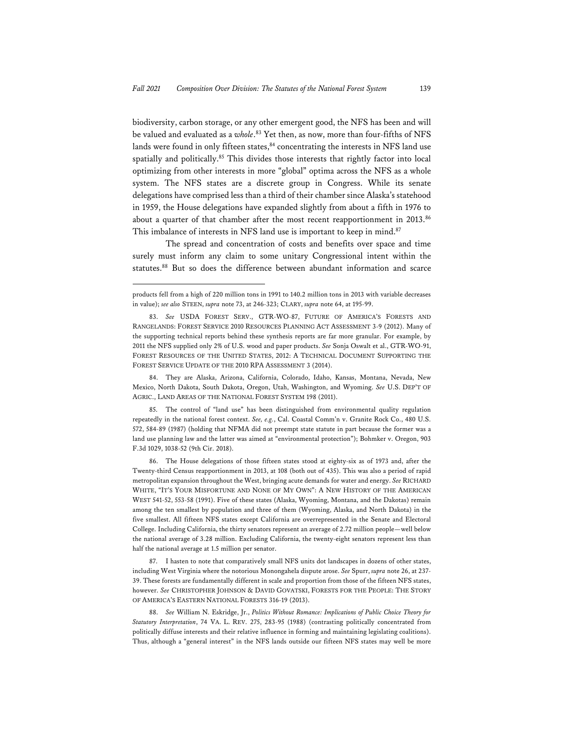biodiversity, carbon storage, or any other emergent good, the NFS has been and will be valued and evaluated as a *whole*. 83 Yet then, as now, more than four-fifths of NFS lands were found in only fifteen states,  $84$  concentrating the interests in NFS land use spatially and politically.<sup>85</sup> This divides those interests that rightly factor into local optimizing from other interests in more "global" optima across the NFS as a whole system. The NFS states are a discrete group in Congress. While its senate delegations have comprised less than a third of their chamber since Alaska's statehood in 1959, the House delegations have expanded slightly from about a fifth in 1976 to about a quarter of that chamber after the most recent reapportionment in 2013.<sup>86</sup> This imbalance of interests in NFS land use is important to keep in mind.<sup>87</sup>

The spread and concentration of costs and benefits over space and time surely must inform any claim to some unitary Congressional intent within the statutes.<sup>88</sup> But so does the difference between abundant information and scarce

84. They are Alaska, Arizona, California, Colorado, Idaho, Kansas, Montana, Nevada, New Mexico, North Dakota, South Dakota, Oregon, Utah, Washington, and Wyoming. *See* U.S. DEP'T OF AGRIC., LAND AREAS OF THE NATIONAL FOREST SYSTEM 198 (2011).

85. The control of "land use" has been distinguished from environmental quality regulation repeatedly in the national forest context. *See, e.g.*, Cal. Coastal Comm'n v. Granite Rock Co., 480 U.S. 572, 584-89 (1987) (holding that NFMA did not preempt state statute in part because the former was a land use planning law and the latter was aimed at "environmental protection"); Bohmker v. Oregon, 903 F.3d 1029, 1038-52 (9th Cir. 2018).

86. The House delegations of those fifteen states stood at eighty-six as of 1973 and, after the Twenty-third Census reapportionment in 2013, at 108 (both out of 435). This was also a period of rapid metropolitan expansion throughout the West, bringing acute demands for water and energy. *See* RICHARD WHITE, "IT'S YOUR MISFORTUNE AND NONE OF MY OWN": A NEW HISTORY OF THE AMERICAN WEST 541-52, 553-58 (1991). Five of these states (Alaska, Wyoming, Montana, and the Dakotas) remain among the ten smallest by population and three of them (Wyoming, Alaska, and North Dakota) in the five smallest. All fifteen NFS states except California are overrepresented in the Senate and Electoral College. Including California, the thirty senators represent an average of 2.72 million people—well below the national average of 3.28 million. Excluding California, the twenty-eight senators represent less than half the national average at 1.5 million per senator.

87. I hasten to note that comparatively small NFS units dot landscapes in dozens of other states, including West Virginia where the notorious Monongahela dispute arose. *See* Spurr, *supra* note 26, at 237- 39. These forests are fundamentally different in scale and proportion from those of the fifteen NFS states, however. *See* CHRISTOPHER JOHNSON & DAVID GOVATSKI, FORESTS FOR THE PEOPLE: THE STORY OF AMERICA'S EASTERN NATIONAL FORESTS 316-19 (2013).

88. *See* William N. Eskridge, Jr., *Politics Without Romance: Implications of Public Choice Theory for Statutory Interpretation*, 74 VA. L. REV. 275, 283-95 (1988) (contrasting politically concentrated from politically diffuse interests and their relative influence in forming and maintaining legislating coalitions). Thus, although a "general interest" in the NFS lands outside our fifteen NFS states may well be more

products fell from a high of 220 million tons in 1991 to 140.2 million tons in 2013 with variable decreases in value); *see also* STEEN, *supra* note 73, at 246-323; CLARY, *supra* note 64, at 195-99.

<sup>83.</sup> *See* USDA FOREST SERV., GTR-WO-87, FUTURE OF AMERICA'S FORESTS AND RANGELANDS: FOREST SERVICE 2010 RESOURCES PLANNING ACT ASSESSMENT 3-9 (2012). Many of the supporting technical reports behind these synthesis reports are far more granular. For example, by 2011 the NFS supplied only 2% of U.S. wood and paper products. *See* Sonja Oswalt et al., GTR-WO-91, FOREST RESOURCES OF THE UNITED STATES, 2012: A TECHNICAL DOCUMENT SUPPORTING THE FOREST SERVICE UPDATE OF THE 2010 RPA ASSESSMENT 3 (2014).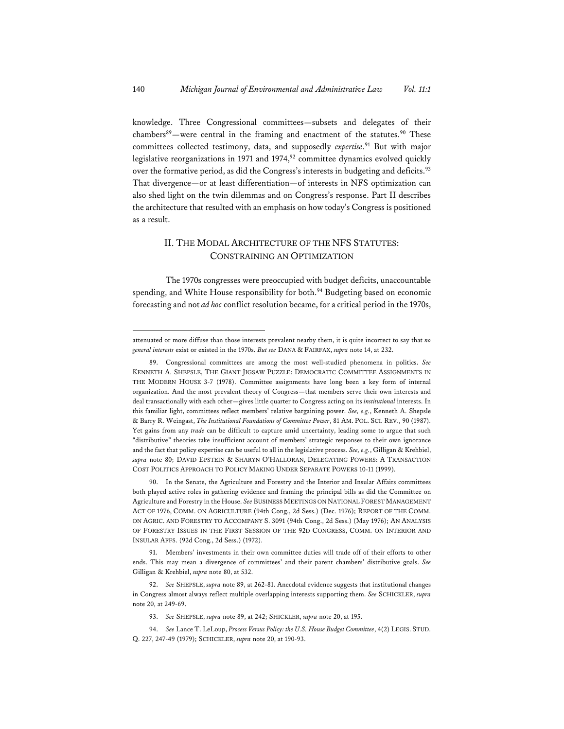knowledge. Three Congressional committees—subsets and delegates of their chambers $89$ —were central in the framing and enactment of the statutes. $90$  These committees collected testimony, data, and supposedly *expertise*. 91 But with major legislative reorganizations in 1971 and 1974,<sup>92</sup> committee dynamics evolved quickly over the formative period, as did the Congress's interests in budgeting and deficits.<sup>93</sup> That divergence—or at least differentiation—of interests in NFS optimization can also shed light on the twin dilemmas and on Congress's response. Part II describes the architecture that resulted with an emphasis on how today's Congress is positioned as a result.

## II. THE MODAL ARCHITECTURE OF THE NFS STATUTES: CONSTRAINING AN OPTIMIZATION

The 1970s congresses were preoccupied with budget deficits, unaccountable spending, and White House responsibility for both.<sup>94</sup> Budgeting based on economic forecasting and not *ad hoc* conflict resolution became, for a critical period in the 1970s,

attenuated or more diffuse than those interests prevalent nearby them, it is quite incorrect to say that *no general interests* exist or existed in the 1970s. *But see* DANA & FAIRFAX, *supra* note 14, at 232.

<sup>89.</sup> Congressional committees are among the most well-studied phenomena in politics. *See* KENNETH A. SHEPSLE, THE GIANT JIGSAW PUZZLE: DEMOCRATIC COMMITTEE ASSIGNMENTS IN THE MODERN HOUSE 3-7 (1978). Committee assignments have long been a key form of internal organization. And the most prevalent theory of Congress—that members serve their own interests and deal transactionally with each other—gives little quarter to Congress acting on its *institutional* interests. In this familiar light, committees reflect members' relative bargaining power. *See, e.g.*, Kenneth A. Shepsle & Barry R. Weingast, *The Institutional Foundations of Committee Power*, 81 AM. POL. SCI. REV., 90 (1987). Yet gains from any *trade* can be difficult to capture amid uncertainty, leading some to argue that such "distributive" theories take insufficient account of members' strategic responses to their own ignorance and the fact that policy expertise can be useful to all in the legislative process. *See, e.g.*, Gilligan & Krehbiel, *supra* note 80; DAVID EPSTEIN & SHARYN O'HALLORAN, DELEGATING POWERS: A TRANSACTION COST POLITICS APPROACH TO POLICY MAKING UNDER SEPARATE POWERS 10-11 (1999).

<sup>90.</sup> In the Senate, the Agriculture and Forestry and the Interior and Insular Affairs committees both played active roles in gathering evidence and framing the principal bills as did the Committee on Agriculture and Forestry in the House. *See* BUSINESS MEETINGS ON NATIONAL FOREST MANAGEMENT ACT OF 1976, COMM. ON AGRICULTURE (94th Cong., 2d Sess.) (Dec. 1976); REPORT OF THE COMM. ON AGRIC. AND FORESTRY TO ACCOMPANY S. 3091 (94th Cong., 2d Sess.) (May 1976); AN ANALYSIS OF FORESTRY ISSUES IN THE FIRST SESSION OF THE 92D CONGRESS, COMM. ON INTERIOR AND INSULAR AFFS. (92d Cong., 2d Sess.) (1972).

<sup>91.</sup> Members' investments in their own committee duties will trade off of their efforts to other ends. This may mean a divergence of committees' and their parent chambers' distributive goals. *See* Gilligan & Krehbiel, *supra* note 80, at 532.

<sup>92.</sup> *See* SHEPSLE, *supra* note 89, at 262-81. Anecdotal evidence suggests that institutional changes in Congress almost always reflect multiple overlapping interests supporting them. *See* SCHICKLER, *supra* note 20, at 249-69.

<sup>93.</sup> *See* SHEPSLE, *supra* note 89, at 242; SHICKLER, *supra* note 20, at 195.

<sup>94.</sup> *See* Lance T. LeLoup, *Process Versus Policy: the U.S. House Budget Committee*, 4(2) LEGIS. STUD. Q. 227, 247-49 (1979); SCHICKLER, *supra* note 20, at 190-93.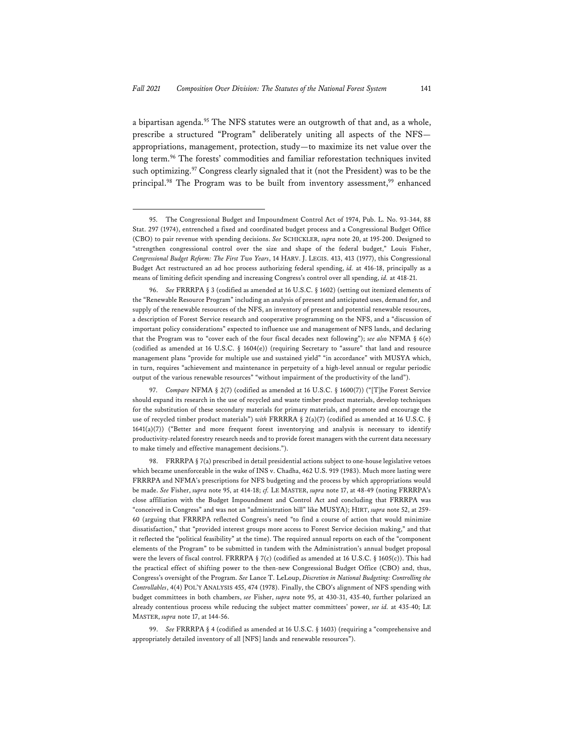a bipartisan agenda.<sup>95</sup> The NFS statutes were an outgrowth of that and, as a whole, prescribe a structured "Program" deliberately uniting all aspects of the NFS appropriations, management, protection, study—to maximize its net value over the long term.96 The forests' commodities and familiar reforestation techniques invited such optimizing.<sup>97</sup> Congress clearly signaled that it (not the President) was to be the principal.<sup>98</sup> The Program was to be built from inventory assessment,<sup>99</sup> enhanced

<sup>95.</sup> The Congressional Budget and Impoundment Control Act of 1974, Pub. L. No. 93-344, 88 Stat. 297 (1974), entrenched a fixed and coordinated budget process and a Congressional Budget Office (CBO) to pair revenue with spending decisions. *See* SCHICKLER, *supra* note 20, at 195-200. Designed to "strengthen congressional control over the size and shape of the federal budget," Louis Fisher, *Congressional Budget Reform: The First Two Years*, 14 HARV. J. LEGIS. 413, 413 (1977), this Congressional Budget Act restructured an ad hoc process authorizing federal spending, *id.* at 416-18, principally as a means of limiting deficit spending and increasing Congress's control over all spending, *id.* at 418-21.

<sup>96.</sup> *See* FRRRPA § 3 (codified as amended at 16 U.S.C. § 1602) (setting out itemized elements of the "Renewable Resource Program" including an analysis of present and anticipated uses, demand for, and supply of the renewable resources of the NFS, an inventory of present and potential renewable resources, a description of Forest Service research and cooperative programming on the NFS, and a "discussion of important policy considerations" expected to influence use and management of NFS lands, and declaring that the Program was to "cover each of the four fiscal decades next following"); *see also* NFMA § 6(e) (codified as amended at 16 U.S.C. § 1604(e)) (requiring Secretary to "assure" that land and resource management plans "provide for multiple use and sustained yield" "in accordance" with MUSYA which, in turn, requires "achievement and maintenance in perpetuity of a high-level annual or regular periodic output of the various renewable resources" "without impairment of the productivity of the land").

<sup>97.</sup> *Compare* NFMA § 2(7) (codified as amended at 16 U.S.C. § 1600(7)) ("[T]he Forest Service should expand its research in the use of recycled and waste timber product materials, develop techniques for the substitution of these secondary materials for primary materials, and promote and encourage the use of recycled timber product materials") *with* FRRRRA § 2(a)(7) (codified as amended at 16 U.S.C. § 1641(a)(7)) ("Better and more frequent forest inventorying and analysis is necessary to identify productivity-related forestry research needs and to provide forest managers with the current data necessary to make timely and effective management decisions.").

<sup>98.</sup> FRRRPA § 7(a) prescribed in detail presidential actions subject to one-house legislative vetoes which became unenforceable in the wake of INS v. Chadha, 462 U.S. 919 (1983). Much more lasting were FRRRPA and NFMA's prescriptions for NFS budgeting and the process by which appropriations would be made. *See* Fisher, *supra* note 95, at 414-18; *cf.* LE MASTER, *supra* note 17, at 48-49 (noting FRRRPA's close affiliation with the Budget Impoundment and Control Act and concluding that FRRRPA was "conceived in Congress" and was not an "administration bill" like MUSYA); HIRT, *supra* note 52, at 259- 60 (arguing that FRRRPA reflected Congress's need "to find a course of action that would minimize dissatisfaction," that "provided interest groups more access to Forest Service decision making," and that it reflected the "political feasibility" at the time). The required annual reports on each of the "component elements of the Program" to be submitted in tandem with the Administration's annual budget proposal were the levers of fiscal control. FRRRPA § 7(c) (codified as amended at 16 U.S.C. § 1605(c)). This had the practical effect of shifting power to the then-new Congressional Budget Office (CBO) and, thus, Congress's oversight of the Program. *See* Lance T. LeLoup, *Discretion in National Budgeting: Controlling the Controllables*, 4(4) POL'Y ANALYSIS 455, 474 (1978). Finally, the CBO's alignment of NFS spending with budget committees in both chambers, *see* Fisher, *supra* note 95, at 430-31, 435-40, further polarized an already contentious process while reducing the subject matter committees' power, *see id.* at 435-40; LE MASTER, *supra* note 17, at 144-56.

<sup>99.</sup> *See* FRRRPA § 4 (codified as amended at 16 U.S.C. § 1603) (requiring a "comprehensive and appropriately detailed inventory of all [NFS] lands and renewable resources").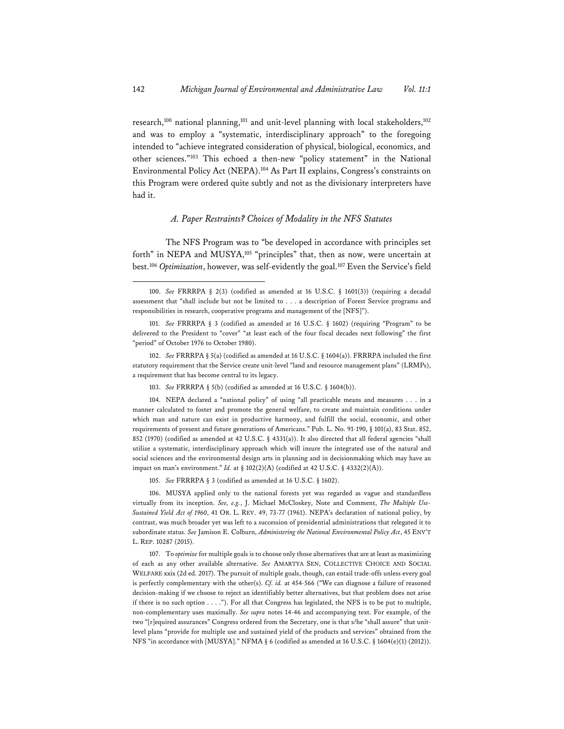research,<sup>100</sup> national planning,<sup>101</sup> and unit-level planning with local stakeholders,<sup>102</sup> and was to employ a "systematic, interdisciplinary approach" to the foregoing intended to "achieve integrated consideration of physical, biological, economics, and other sciences."103 This echoed a then-new "policy statement" in the National Environmental Policy Act (NEPA).104 As Part II explains, Congress's constraints on this Program were ordered quite subtly and not as the divisionary interpreters have had it.

## *A. Paper Restraints? Choices of Modality in the NFS Statutes*

The NFS Program was to "be developed in accordance with principles set forth" in NEPA and MUSYA,<sup>105</sup> "principles" that, then as now, were uncertain at best.106 *Optimization*, however, was self-evidently the goal.107 Even the Service's field

104. NEPA declared a "national policy" of using "all practicable means and measures . . . in a manner calculated to foster and promote the general welfare, to create and maintain conditions under which man and nature can exist in productive harmony, and fulfill the social, economic, and other requirements of present and future generations of Americans." Pub. L. No. 91-190, § 101(a), 83 Stat. 852, 852 (1970) (codified as amended at 42 U.S.C. § 4331(a)). It also directed that all federal agencies "shall utilize a systematic, interdisciplinary approach which will insure the integrated use of the natural and social sciences and the environmental design arts in planning and in decisionmaking which may have an impact on man's environment." *Id.* at § 102(2)(A) (codified at 42 U.S.C. § 4332(2)(A)).

105. *See* FRRRPA § 3 (codified as amended at 16 U.S.C. § 1602).

106. MUSYA applied only to the national forests yet was regarded as vague and standardless virtually from its inception. *See, e.g.*, J. Michael McCloskey, Note and Comment, *The Multiple Use-Sustained Yield Act of 1960*, 41 OR. L. REV. 49, 73-77 (1961). NEPA's declaration of national policy, by contrast, was much broader yet was left to a succession of presidential administrations that relegated it to subordinate status. *See* Jamison E. Colburn, *Administering the National Environmental Policy Act*, 45 ENV'T L. REP. 10287 (2015).

107. To *optimize* for multiple goals is to choose only those alternatives that are at least as maximizing of each as any other available alternative. *See* AMARTYA SEN, COLLECTIVE CHOICE AND SOCIAL WELFARE xxix (2d ed. 2017). The pursuit of multiple goals, though, can entail trade-offs unless every goal is perfectly complementary with the other(s). *Cf. id.* at 454-566 ("We can diagnose a failure of reasoned decision-making if we choose to reject an identifiably better alternatives, but that problem does not arise if there is no such option . . . ."). For all that Congress has legislated, the NFS is to be put to multiple, non-complementary uses maximally. *See supra* notes 14-46 and accompanying text. For example, of the two "[r]equired assurances" Congress ordered from the Secretary, one is that s/he "shall assure" that unitlevel plans "provide for multiple use and sustained yield of the products and services" obtained from the NFS "in accordance with [MUSYA]." NFMA § 6 (codified as amended at 16 U.S.C. § 1604(e)(1) (2012)).

<sup>100.</sup> *See* FRRRPA § 2(3) (codified as amended at 16 U.S.C. § 1601(3)) (requiring a decadal assessment that "shall include but not be limited to . . . a description of Forest Service programs and responsibilities in research, cooperative programs and management of the [NFS]").

<sup>101.</sup> *See* FRRRPA § 3 (codified as amended at 16 U.S.C. § 1602) (requiring "Program" to be delivered to the President to "cover" "at least each of the four fiscal decades next following" the first "period" of October 1976 to October 1980).

<sup>102.</sup> *See* FRRRPA § 5(a) (codified as amended at 16 U.S.C. § 1604(a)). FRRRPA included the first statutory requirement that the Service create unit-level "land and resource management plans" (LRMPs), a requirement that has become central to its legacy.

<sup>103.</sup> *See* FRRRPA § 5(b) (codified as amended at 16 U.S.C. § 1604(b)).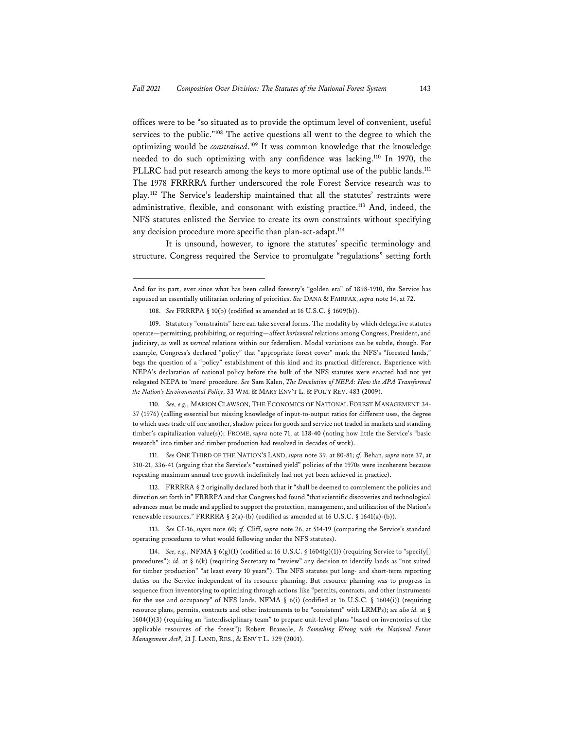offices were to be "so situated as to provide the optimum level of convenient, useful services to the public."108 The active questions all went to the degree to which the optimizing would be *constrained*. 109 It was common knowledge that the knowledge needed to do such optimizing with any confidence was lacking.110 In 1970, the PLLRC had put research among the keys to more optimal use of the public lands.<sup>111</sup> The 1978 FRRRRA further underscored the role Forest Service research was to play.112 The Service's leadership maintained that all the statutes' restraints were administrative, flexible, and consonant with existing practice.<sup>113</sup> And, indeed, the NFS statutes enlisted the Service to create its own constraints without specifying any decision procedure more specific than plan-act-adapt.<sup>114</sup>

It is unsound, however, to ignore the statutes' specific terminology and structure. Congress required the Service to promulgate "regulations" setting forth

And for its part, ever since what has been called forestry's "golden era" of 1898-1910, the Service has espoused an essentially utilitarian ordering of priorities. *See* DANA & FAIRFAX, *supra* note 14, at 72.

<sup>108.</sup> *See* FRRRPA § 10(b) (codified as amended at 16 U.S.C. § 1609(b)).

<sup>109.</sup> Statutory "constraints" here can take several forms. The modality by which delegative statutes operate—permitting, prohibiting, or requiring—affect *horizontal* relations among Congress, President, and judiciary, as well as *vertical* relations within our federalism. Modal variations can be subtle, though. For example, Congress's declared "policy" that "appropriate forest cover" mark the NFS's "forested lands," begs the question of a "policy" establishment of this kind and its practical difference. Experience with NEPA's declaration of national policy before the bulk of the NFS statutes were enacted had not yet relegated NEPA to 'mere' procedure. *See* Sam Kalen, *The Devolution of NEPA: How the APA Transformed the Nation's Environmental Policy*, 33 WM. & MARY ENV'T L. & POL'Y REV. 483 (2009).

<sup>110.</sup> *See, e.g.*, MARION CLAWSON, THE ECONOMICS OF NATIONAL FOREST MANAGEMENT 34- 37 (1976) (calling essential but missing knowledge of input-to-output ratios for different uses, the degree to which uses trade off one another, shadow prices for goods and service not traded in markets and standing timber's capitalization value(s)); FROME, *supra* note 71, at 138-40 (noting how little the Service's "basic research" into timber and timber production had resolved in decades of work).

<sup>111.</sup> *See* ONE THIRD OF THE NATION'S LAND, *supra* note 39, at 80-81; *cf.* Behan, *supra* note 37, at 310-21, 336-41 (arguing that the Service's "sustained yield" policies of the 1970s were incoherent because repeating maximum annual tree growth indefinitely had not yet been achieved in practice).

<sup>112.</sup> FRRRRA § 2 originally declared both that it "shall be deemed to complement the policies and direction set forth in" FRRRPA and that Congress had found "that scientific discoveries and technological advances must be made and applied to support the protection, management, and utilization of the Nation's renewable resources." FRRRRA § 2(a)-(b) (codified as amended at 16 U.S.C. § 1641(a)-(b)).

<sup>113.</sup> *See* CI-16, *supra* note 60; *cf.* Cliff, *supra* note 26, at 514-19 (comparing the Service's standard operating procedures to what would following under the NFS statutes).

<sup>114.</sup> *See, e.g.*, NFMA § 6(g)(1) (codified at 16 U.S.C. § 1604(g)(1)) (requiring Service to "specify[] procedures"); *id.* at § 6(k) (requiring Secretary to "review" any decision to identify lands as "not suited for timber production" "at least every 10 years"). The NFS statutes put long- and short-term reporting duties on the Service independent of its resource planning. But resource planning was to progress in sequence from inventorying to optimizing through actions like "permits, contracts, and other instruments for the use and occupancy" of NFS lands. NFMA § 6(i) (codified at 16 U.S.C. § 1604(i)) (requiring resource plans, permits, contracts and other instruments to be "consistent" with LRMPs); *see also id.* at § 1604(f)(3) (requiring an "interdisciplinary team" to prepare unit-level plans "based on inventories of the applicable resources of the forest"); Robert Brazeale, *Is Something Wrong with the National Forest Management Act?*, 21 J. LAND, RES., & ENV'T L. 329 (2001).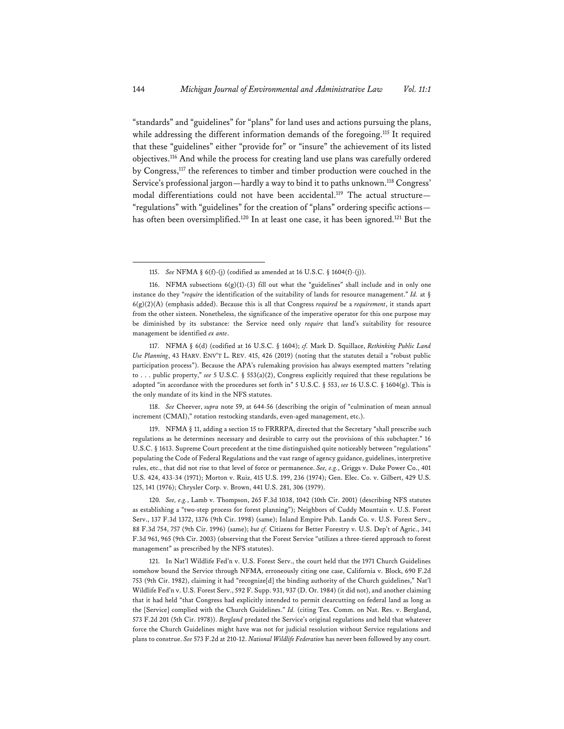"standards" and "guidelines" for "plans" for land uses and actions pursuing the plans, while addressing the different information demands of the foregoing.<sup>115</sup> It required that these "guidelines" either "provide for" or "insure" the achievement of its listed objectives.116 And while the process for creating land use plans was carefully ordered by Congress,117 the references to timber and timber production were couched in the Service's professional jargon—hardly a way to bind it to paths unknown.118 Congress' modal differentiations could not have been accidental.<sup>119</sup> The actual structure-"regulations" with "guidelines" for the creation of "plans" ordering specific actions has often been oversimplified.<sup>120</sup> In at least one case, it has been ignored.<sup>121</sup> But the

118. *See* Cheever, *supra* note 59, at 644-56 (describing the origin of "culmination of mean annual increment (CMAI)," rotation restocking standards, even-aged management, etc.).

119. NFMA § 11, adding a section 15 to FRRRPA, directed that the Secretary "shall prescribe such regulations as he determines necessary and desirable to carry out the provisions of this subchapter." 16 U.S.C. § 1613. Supreme Court precedent at the time distinguished quite noticeably between "regulations" populating the Code of Federal Regulations and the vast range of agency guidance, guidelines, interpretive rules, etc., that did not rise to that level of force or permanence. *See, e.g.*, Griggs v. Duke Power Co., 401 U.S. 424, 433-34 (1971); Morton v. Ruiz, 415 U.S. 199, 236 (1974); Gen. Elec. Co. v. Gilbert, 429 U.S. 125, 141 (1976); Chrysler Corp. v. Brown, 441 U.S. 281, 306 (1979).

120*. See, e.g.*, Lamb v. Thompson, 265 F.3d 1038, 1042 (10th Cir. 2001) (describing NFS statutes as establishing a "two-step process for forest planning"); Neighbors of Cuddy Mountain v. U.S. Forest Serv., 137 F.3d 1372, 1376 (9th Cir. 1998) (same); Inland Empire Pub. Lands Co. v. U.S. Forest Serv., 88 F.3d 754, 757 (9th Cir. 1996) (same); *but cf.* Citizens for Better Forestry v. U.S. Dep't of Agric., 341 F.3d 961, 965 (9th Cir. 2003) (observing that the Forest Service "utilizes a three-tiered approach to forest management" as prescribed by the NFS statutes).

121. In Nat'l Wildlife Fed'n v. U.S. Forest Serv., the court held that the 1971 Church Guidelines somehow bound the Service through NFMA, erroneously citing one case, California v. Block, 690 F.2d 753 (9th Cir. 1982), claiming it had "recognize[d] the binding authority of the Church guidelines," Nat'l Wildlife Fed'n v. U.S. Forest Serv., 592 F. Supp. 931, 937 (D. Or. 1984) (it did not), and another claiming that it had held "that Congress had explicitly intended to permit clearcutting on federal land as long as the [Service] complied with the Church Guidelines." *Id.* (citing Tex. Comm. on Nat. Res. v. Bergland, 573 F.2d 201 (5th Cir. 1978)). *Bergland* predated the Service's original regulations and held that whatever force the Church Guidelines might have was not for judicial resolution without Service regulations and plans to construe. *See* 573 F.2d at 210-12. *National Wildlife Federation* has never been followed by any court.

<sup>115.</sup> *See* NFMA § 6(f)-(j) (codified as amended at 16 U.S.C. § 1604(f)-(j)).

<sup>116.</sup> NFMA subsections 6(g)(1)-(3) fill out what the "guidelines" shall include and in only one instance do they "*require* the identification of the suitability of lands for resource management." *Id.* at § 6(g)(2)(A) (emphasis added). Because this is all that Congress *required* be a *requirement*, it stands apart from the other sixteen. Nonetheless, the significance of the imperative operator for this one purpose may be diminished by its substance: the Service need only *require* that land's suitability for resource management be identified *ex ante*.

<sup>117.</sup> NFMA § 6(d) (codified at 16 U.S.C. § 1604); *cf.* Mark D. Squillace, *Rethinking Public Land Use Planning*, 43 HARV. ENV'T L. REV. 415, 426 (2019) (noting that the statutes detail a "robust public participation process"). Because the APA's rulemaking provision has always exempted matters "relating to . . . public property," *see* 5 U.S.C. § 553(a)(2), Congress explicitly required that these regulations be adopted "in accordance with the procedures set forth in" 5 U.S.C. § 553, *see* 16 U.S.C. § 1604(g). This is the only mandate of its kind in the NFS statutes.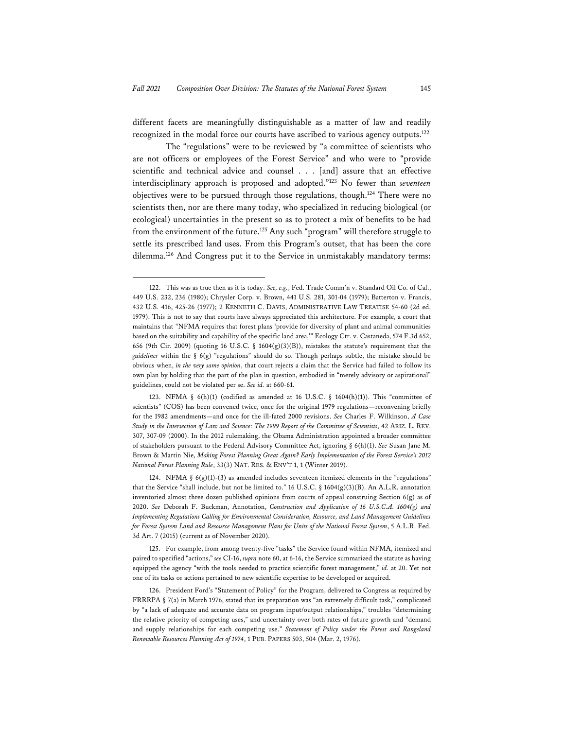different facets are meaningfully distinguishable as a matter of law and readily recognized in the modal force our courts have ascribed to various agency outputs.122

The "regulations" were to be reviewed by "a committee of scientists who are not officers or employees of the Forest Service" and who were to "provide scientific and technical advice and counsel . . . [and] assure that an effective interdisciplinary approach is proposed and adopted."123 No fewer than *seventeen* objectives were to be pursued through those regulations, though.124 There were no scientists then, nor are there many today, who specialized in reducing biological (or ecological) uncertainties in the present so as to protect a mix of benefits to be had from the environment of the future.125 Any such "program" will therefore struggle to settle its prescribed land uses. From this Program's outset, that has been the core dilemma.126 And Congress put it to the Service in unmistakably mandatory terms:

<sup>122.</sup> This was as true then as it is today. *See, e.g.*, Fed. Trade Comm'n v. Standard Oil Co. of Cal., 449 U.S. 232, 236 (1980); Chrysler Corp. v. Brown, 441 U.S. 281, 301-04 (1979); Batterton v. Francis, 432 U.S. 416, 425-26 (1977); 2 KENNETH C. DAVIS, ADMINISTRATIVE LAW TREATISE 54-60 (2d ed. 1979). This is not to say that courts have always appreciated this architecture. For example, a court that maintains that "NFMA requires that forest plans 'provide for diversity of plant and animal communities based on the suitability and capability of the specific land area,'" Ecology Ctr. v. Castaneda, 574 F.3d 652, 656 (9th Cir. 2009) (quoting 16 U.S.C. § 1604(g)(3)(B)), mistakes the statute's requirement that the *guidelines* within the § 6(g) "regulations" should do so. Though perhaps subtle, the mistake should be obvious when, *in the very same opinion*, that court rejects a claim that the Service had failed to follow its own plan by holding that the part of the plan in question, embodied in "merely advisory or aspirational" guidelines, could not be violated per se. *See id.* at 660-61.

<sup>123.</sup> NFMA § 6(h)(1) (codified as amended at 16 U.S.C. § 1604(h)(1)). This "committee of scientists" (COS) has been convened twice, once for the original 1979 regulations—reconvening briefly for the 1982 amendments—and once for the ill-fated 2000 revisions. *See* Charles F. Wilkinson, *A Case Study in the Intersection of Law and Science: The 1999 Report of the Committee of Scientists*, 42 ARIZ. L. REV. 307, 307-09 (2000). In the 2012 rulemaking, the Obama Administration appointed a broader committee of stakeholders pursuant to the Federal Advisory Committee Act, ignoring § 6(h)(1). *See* Susan Jane M. Brown & Martin Nie, *Making Forest Planning Great Again? Early Implementation of the Forest Service's 2012 National Forest Planning Rule*, 33(3) NAT. RES. & ENV'T 1, 1 (Winter 2019).

<sup>124.</sup> NFMA §  $6(g)(1)-(3)$  as amended includes seventeen itemized elements in the "regulations" that the Service "shall include, but not be limited to." 16 U.S.C. § 1604(g)(3)(B). An A.L.R. annotation inventoried almost three dozen published opinions from courts of appeal construing Section 6(g) as of 2020. *See* Deborah F. Buckman, Annotation, *Construction and Application of 16 U.S.C.A. 1604(g) and Implementing Regulations Calling for Environmental Consideration, Resource, and Land Management Guidelines for Forest System Land and Resource Management Plans for Units of the National Forest System*, 5 A.L.R. Fed. 3d Art. 7 (2015) (current as of November 2020).

<sup>125.</sup> For example, from among twenty-five "tasks" the Service found within NFMA, itemized and paired to specified "actions," *see* CI-16, *supra* note 60, at 6-16, the Service summarized the statute as having equipped the agency "with the tools needed to practice scientific forest management," *id.* at 20. Yet not one of its tasks or actions pertained to new scientific expertise to be developed or acquired.

<sup>126.</sup> President Ford's "Statement of Policy" for the Program, delivered to Congress as required by FRRRPA § 7(a) in March 1976, stated that its preparation was "an extremely difficult task," complicated by "a lack of adequate and accurate data on program input/output relationships," troubles "determining the relative priority of competing uses," and uncertainty over both rates of future growth and "demand and supply relationships for each competing use." *Statement of Policy under the Forest and Rangeland Renewable Resources Planning Act of 1974*, 1 PUB. PAPERS 503, 504 (Mar. 2, 1976).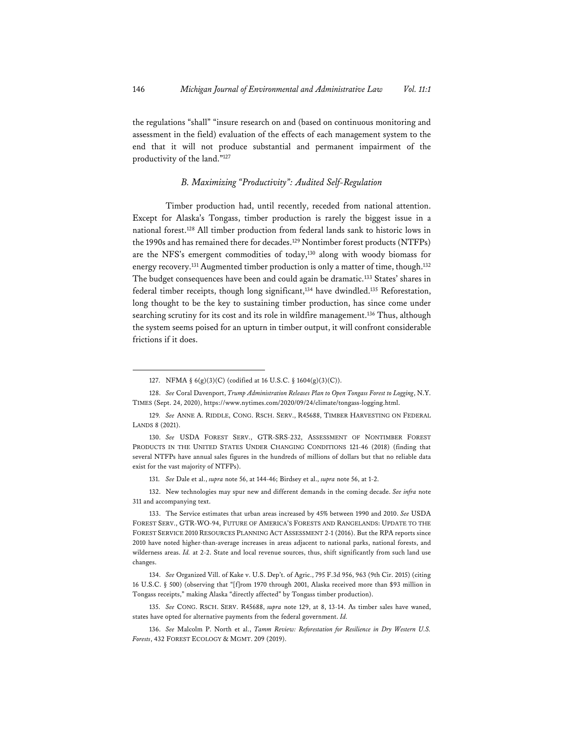the regulations "shall" "insure research on and (based on continuous monitoring and assessment in the field) evaluation of the effects of each management system to the end that it will not produce substantial and permanent impairment of the productivity of the land."127

## *B. Maximizing "Productivity": Audited Self-Regulation*

Timber production had, until recently, receded from national attention. Except for Alaska's Tongass, timber production is rarely the biggest issue in a national forest.128 All timber production from federal lands sank to historic lows in the 1990s and has remained there for decades.<sup>129</sup> Nontimber forest products (NTFPs) are the NFS's emergent commodities of today,130 along with woody biomass for energy recovery.<sup>131</sup> Augmented timber production is only a matter of time, though.<sup>132</sup> The budget consequences have been and could again be dramatic.<sup>133</sup> States' shares in federal timber receipts, though long significant,<sup>134</sup> have dwindled.<sup>135</sup> Reforestation, long thought to be the key to sustaining timber production, has since come under searching scrutiny for its cost and its role in wildfire management.136 Thus, although the system seems poised for an upturn in timber output, it will confront considerable frictions if it does.

<sup>127.</sup> NFMA § 6(g)(3)(C) (codified at 16 U.S.C. § 1604(g)(3)(C)).

<sup>128.</sup> *See* Coral Davenport, *Trump Administration Releases Plan to Open Tongass Forest to Logging*, N.Y. TIMES (Sept. 24, 2020), https://www.nytimes.com/2020/09/24/climate/tongass-logging.html.

<sup>129</sup>*. See* ANNE A. RIDDLE, CONG. RSCH. SERV., R45688, TIMBER HARVESTING ON FEDERAL LANDS 8 (2021).

<sup>130.</sup> *See* USDA FOREST SERV., GTR-SRS-232, ASSESSMENT OF NONTIMBER FOREST PRODUCTS IN THE UNITED STATES UNDER CHANGING CONDITIONS 121-46 (2018) (finding that several NTFPs have annual sales figures in the hundreds of millions of dollars but that no reliable data exist for the vast majority of NTFPs).

<sup>131.</sup> *See* Dale et al., *supra* note 56, at 144-46; Birdsey et al., *supra* note 56, at 1-2.

<sup>132.</sup> New technologies may spur new and different demands in the coming decade. *See infra* note 311 and accompanying text.

<sup>133.</sup> The Service estimates that urban areas increased by 45% between 1990 and 2010. *See* USDA FOREST SERV., GTR-WO-94, FUTURE OF AMERICA'S FORESTS AND RANGELANDS: UPDATE TO THE FOREST SERVICE 2010 RESOURCES PLANNING ACT ASSESSMENT 2-1 (2016). But the RPA reports since 2010 have noted higher-than-average increases in areas adjacent to national parks, national forests, and wilderness areas. *Id.* at 2-2. State and local revenue sources, thus, shift significantly from such land use changes.

<sup>134.</sup> *See* Organized Vill. of Kake v. U.S. Dep't. of Agric., 795 F.3d 956, 963 (9th Cir. 2015) (citing 16 U.S.C. § 500) (observing that "[f]rom 1970 through 2001, Alaska received more than \$93 million in Tongass receipts," making Alaska "directly affected" by Tongass timber production).

<sup>135.</sup> *See* CONG. RSCH. SERV. R45688, *supra* note 129, at 8, 13-14. As timber sales have waned, states have opted for alternative payments from the federal government. *Id.*

<sup>136.</sup> *See* Malcolm P. North et al., *Tamm Review: Reforestation for Resilience in Dry Western U.S. Forests*, 432 FOREST ECOLOGY & MGMT. 209 (2019).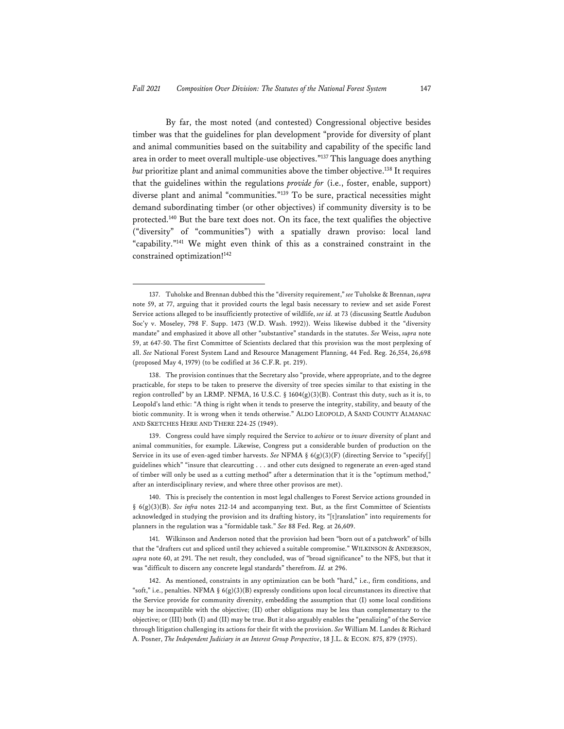By far, the most noted (and contested) Congressional objective besides timber was that the guidelines for plan development "provide for diversity of plant and animal communities based on the suitability and capability of the specific land area in order to meet overall multiple-use objectives."137 This language does anything *but* prioritize plant and animal communities above the timber objective.<sup>138</sup> It requires that the guidelines within the regulations *provide for* (i.e., foster, enable, support) diverse plant and animal "communities."139 To be sure, practical necessities might demand subordinating timber (or other objectives) if community diversity is to be protected.140 But the bare text does not. On its face, the text qualifies the objective ("diversity" of "communities") with a spatially drawn proviso: local land "capability."141 We might even think of this as a constrained constraint in the constrained optimization!142

<sup>137.</sup> Tuholske and Brennan dubbed this the "diversity requirement," *see* Tuholske & Brennan, *supra* note 59, at 77, arguing that it provided courts the legal basis necessary to review and set aside Forest Service actions alleged to be insufficiently protective of wildlife, *see id.* at 73 (discussing Seattle Audubon Soc'y v. Moseley, 798 F. Supp. 1473 (W.D. Wash. 1992)). Weiss likewise dubbed it the "diversity mandate" and emphasized it above all other "substantive" standards in the statutes. *See* Weiss, *supra* note 59, at 647-50. The first Committee of Scientists declared that this provision was the most perplexing of all. *See* National Forest System Land and Resource Management Planning, 44 Fed. Reg. 26,554, 26,698 (proposed May 4, 1979) (to be codified at 36 C.F.R. pt. 219).

<sup>138.</sup> The provision continues that the Secretary also "provide, where appropriate, and to the degree practicable, for steps to be taken to preserve the diversity of tree species similar to that existing in the region controlled" by an LRMP. NFMA, 16 U.S.C. § 1604(g)(3)(B). Contrast this duty, such as it is, to Leopold's land ethic: "A thing is right when it tends to preserve the integrity, stability, and beauty of the biotic community. It is wrong when it tends otherwise." ALDO LEOPOLD, A SAND COUNTY ALMANAC AND SKETCHES HERE AND THERE 224-25 (1949).

<sup>139.</sup> Congress could have simply required the Service to *achieve* or to *insure* diversity of plant and animal communities, for example. Likewise, Congress put a considerable burden of production on the Service in its use of even-aged timber harvests. *See* NFMA § 6(g)(3)(F) (directing Service to "specify[] guidelines which" "insure that clearcutting . . . and other cuts designed to regenerate an even-aged stand of timber will only be used as a cutting method" after a determination that it is the "optimum method," after an interdisciplinary review, and where three other provisos are met).

<sup>140.</sup> This is precisely the contention in most legal challenges to Forest Service actions grounded in § 6(g)(3)(B). *See infra* notes 212-14 and accompanying text. But, as the first Committee of Scientists acknowledged in studying the provision and its drafting history, its "[t]ranslation" into requirements for planners in the regulation was a "formidable task." *See* 88 Fed. Reg. at 26,609.

<sup>141.</sup> Wilkinson and Anderson noted that the provision had been "born out of a patchwork" of bills that the "drafters cut and spliced until they achieved a suitable compromise." WILKINSON & ANDERSON, *supra* note 60, at 291. The net result, they concluded, was of "broad significance" to the NFS, but that it was "difficult to discern any concrete legal standards" therefrom. *Id.* at 296.

<sup>142.</sup> As mentioned, constraints in any optimization can be both "hard," i.e., firm conditions, and "soft," i.e., penalties. NFMA §  $6(g)(3)(B)$  expressly conditions upon local circumstances its directive that the Service provide for community diversity, embedding the assumption that (I) some local conditions may be incompatible with the objective; (II) other obligations may be less than complementary to the objective; or (III) both (I) and (II) may be true. But it also arguably enables the "penalizing" of the Service through litigation challenging its actions for their fit with the provision. *See* William M. Landes & Richard A. Posner, *The Independent Judiciary in an Interest Group Perspective*, 18 J.L. & ECON. 875, 879 (1975).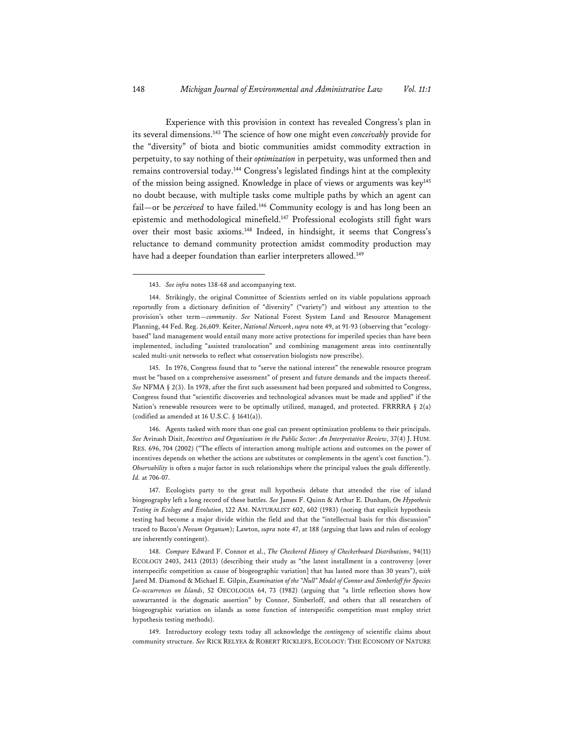Experience with this provision in context has revealed Congress's plan in its several dimensions.143 The science of how one might even *conceivably* provide for the "diversity" of biota and biotic communities amidst commodity extraction in perpetuity, to say nothing of their *optimization* in perpetuity, was unformed then and remains controversial today.144 Congress's legislated findings hint at the complexity of the mission being assigned. Knowledge in place of views or arguments was key<sup>145</sup> no doubt because, with multiple tasks come multiple paths by which an agent can fail—or be *perceived* to have failed.<sup>146</sup> Community ecology is and has long been an epistemic and methodological minefield.147 Professional ecologists still fight wars over their most basic axioms.148 Indeed, in hindsight, it seems that Congress's reluctance to demand community protection amidst commodity production may have had a deeper foundation than earlier interpreters allowed.<sup>149</sup>

145. In 1976, Congress found that to "serve the national interest" the renewable resource program must be "based on a comprehensive assessment" of present and future demands and the impacts thereof. *See* NFMA § 2(3). In 1978, after the first such assessment had been prepared and submitted to Congress, Congress found that "scientific discoveries and technological advances must be made and applied" if the Nation's renewable resources were to be optimally utilized, managed, and protected. FRRRRA  $\S$  2(a) (codified as amended at 16 U.S.C. § 1641(a)).

146. Agents tasked with more than one goal can present optimization problems to their principals. *See* Avinash Dixit, *Incentives and Organizations in the Public Sector: An Interpretative Review*, 37(4) J. HUM. RES. 696, 704 (2002) ("The effects of interaction among multiple actions and outcomes on the power of incentives depends on whether the actions are substitutes or complements in the agent's cost function."). *Observability* is often a major factor in such relationships where the principal values the goals differently. *Id.* at 706-07.

147. Ecologists party to the great null hypothesis debate that attended the rise of island biogeography left a long record of these battles. *See* James F. Quinn & Arthur E. Dunham, *On Hypothesis Testing in Ecology and Evolution*, 122 AM. NATURALIST 602, 602 (1983) (noting that explicit hypothesis testing had become a major divide within the field and that the "intellectual basis for this discussion" traced to Bacon's *Novum Organum*); Lawton, *supra* note 47, at 188 (arguing that laws and rules of ecology are inherently contingent).

148. *Compare* Edward F. Connor et al., *The Checkered History of Checkerboard Distributions*, 94(11) ECOLOGY 2403, 2413 (2013) (describing their study as "the latest installment in a controversy [over interspecific competition as cause of biogeographic variation] that has lasted more than 30 years"), *with* Jared M. Diamond & Michael E. Gilpin, *Examination of the "Null" Model of Connor and Simberloff for Species Co-occurrences on Islands*, 52 OECOLOGIA 64, 73 (1982) (arguing that "a little reflection shows how unwarranted is the dogmatic assertion" by Connor, Simberloff, and others that all researchers of biogeographic variation on islands as some function of interspecific competition must employ strict hypothesis testing methods).

149. Introductory ecology texts today all acknowledge the *contingency* of scientific claims about community structure. *See* RICK RELYEA & ROBERT RICKLEFS, ECOLOGY: THE ECONOMY OF NATURE

<sup>143.</sup> *See infra* notes 138-68 and accompanying text.

<sup>144.</sup> Strikingly, the original Committee of Scientists settled on its viable populations approach reportedly from a dictionary definition of "diversity" ("variety") and without any attention to the provision's other term—*community*. *See* National Forest System Land and Resource Management Planning, 44 Fed. Reg. 26,609. Keiter, *National Network*, *supra* note 49, at 91-93 (observing that "ecologybased" land management would entail many more active protections for imperiled species than have been implemented, including "assisted translocation" and combining management areas into continentally scaled multi-unit networks to reflect what conservation biologists now prescribe).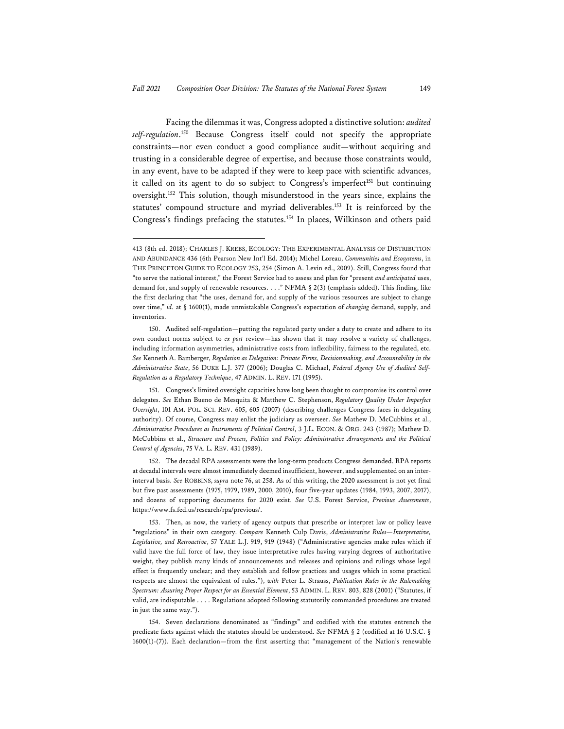Facing the dilemmas it was, Congress adopted a distinctive solution: *audited self-regulation*. 150 Because Congress itself could not specify the appropriate constraints—nor even conduct a good compliance audit—without acquiring and trusting in a considerable degree of expertise, and because those constraints would, in any event, have to be adapted if they were to keep pace with scientific advances, it called on its agent to do so subject to Congress's imperfect<sup>151</sup> but continuing oversight.152 This solution, though misunderstood in the years since, explains the statutes' compound structure and myriad deliverables.153 It is reinforced by the Congress's findings prefacing the statutes.154 In places, Wilkinson and others paid

<sup>413 (8</sup>th ed. 2018); CHARLES J. KREBS, ECOLOGY: THE EXPERIMENTAL ANALYSIS OF DISTRIBUTION AND ABUNDANCE 436 (6th Pearson New Int'l Ed. 2014); Michel Loreau, *Communities and Ecosystems*, in THE PRINCETON GUIDE TO ECOLOGY 253, 254 (Simon A. Levin ed., 2009). Still, Congress found that "to serve the national interest," the Forest Service had to assess and plan for "present *and anticipated* uses, demand for, and supply of renewable resources. . . ." NFMA § 2(3) (emphasis added). This finding, like the first declaring that "the uses, demand for, and supply of the various resources are subject to change over time," *id.* at § 1600(1), made unmistakable Congress's expectation of *changing* demand, supply, and inventories.

<sup>150.</sup> Audited self-regulation—putting the regulated party under a duty to create and adhere to its own conduct norms subject to *ex post* review—has shown that it may resolve a variety of challenges, including information asymmetries, administrative costs from inflexibility, fairness to the regulated, etc. *See* Kenneth A. Bamberger, *Regulation as Delegation: Private Firms, Decisionmaking, and Accountability in the Administrative State*, 56 DUKE L.J. 377 (2006); Douglas C. Michael, *Federal Agency Use of Audited Self-Regulation as a Regulatory Technique*, 47 ADMIN. L. REV. 171 (1995).

<sup>151.</sup> Congress's limited oversight capacities have long been thought to compromise its control over delegates. *See* Ethan Bueno de Mesquita & Matthew C. Stephenson, *Regulatory Quality Under Imperfect Oversight*, 101 AM. POL. SCI. REV. 605, 605 (2007) (describing challenges Congress faces in delegating authority). Of course, Congress may enlist the judiciary as overseer. *See* Mathew D. McCubbins et al., *Administrative Procedures as Instruments of Political Control*, 3 J.L. ECON. & ORG. 243 (1987); Mathew D. McCubbins et al., *Structure and Process, Politics and Policy: Administrative Arrangements and the Political Control of Agencies*, 75 VA. L. REV. 431 (1989).

<sup>152.</sup> The decadal RPA assessments were the long-term products Congress demanded. RPA reports at decadal intervals were almost immediately deemed insufficient, however, and supplemented on an interinterval basis. *See* ROBBINS, *supra* note 76, at 258. As of this writing, the 2020 assessment is not yet final but five past assessments (1975, 1979, 1989, 2000, 2010), four five-year updates (1984, 1993, 2007, 2017), and dozens of supporting documents for 2020 exist. *See* U.S. Forest Service, *Previous Assessments*, https://www.fs.fed.us/research/rpa/previous/.

<sup>153.</sup> Then, as now, the variety of agency outputs that prescribe or interpret law or policy leave "regulations" in their own category. *Compare* Kenneth Culp Davis, *Administrative Rules—Interpretative, Legislative, and Retroactive*, 57 YALE L.J. 919, 919 (1948) ("Administrative agencies make rules which if valid have the full force of law, they issue interpretative rules having varying degrees of authoritative weight, they publish many kinds of announcements and releases and opinions and rulings whose legal effect is frequently unclear; and they establish and follow practices and usages which in some practical respects are almost the equivalent of rules."), *with* Peter L. Strauss, *Publication Rules in the Rulemaking Spectrum: Assuring Proper Respect for an Essential Element*, 53 ADMIN. L. REV. 803, 828 (2001) ("Statutes, if valid, are indisputable . . . . Regulations adopted following statutorily commanded procedures are treated in just the same way.").

<sup>154.</sup> Seven declarations denominated as "findings" and codified with the statutes entrench the predicate facts against which the statutes should be understood. *See* NFMA § 2 (codified at 16 U.S.C. § 1600(1)-(7)). Each declaration—from the first asserting that "management of the Nation's renewable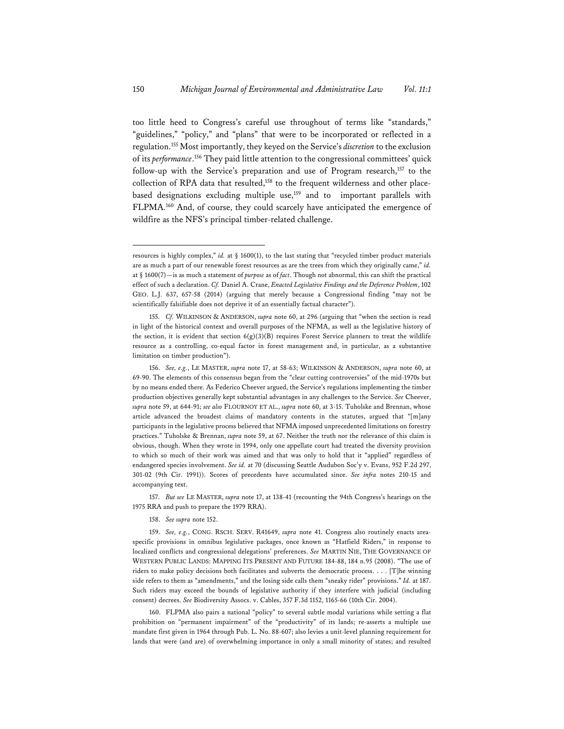too little heed to Congress's careful use throughout of terms like "standards," "guidelines," "policy," and "plans" that were to be incorporated or reflected in a regulation.155 Most importantly, they keyed on the Service's *discretion* to the exclusion of its *performance*. 156 They paid little attention to the congressional committees' quick follow-up with the Service's preparation and use of Program research,<sup>157</sup> to the collection of RPA data that resulted,<sup>158</sup> to the frequent wilderness and other placebased designations excluding multiple use,<sup>159</sup> and to important parallels with FLPMA.160 And, of course, they could scarcely have anticipated the emergence of wildfire as the NFS's principal timber-related challenge.

157. *But see* LE MASTER, *supra* note 17, at 138-41 (recounting the 94th Congress's hearings on the 1975 RRA and push to prepare the 1979 RRA).

160. FLPMA also pairs a national "policy" to several subtle modal variations while setting a flat prohibition on "permanent impairment" of the "productivity" of its lands; re-asserts a multiple use mandate first given in 1964 through Pub. L. No. 88-607; also levies a unit-level planning requirement for lands that were (and are) of overwhelming importance in only a small minority of states; and resulted

resources is highly complex," *id.* at  $\S$  1600(1), to the last stating that "recycled timber product materials are as much a part of our renewable forest resources as are the trees from which they originally came," *id.* at § 1600(7)—is as much a statement of *purpose* as of *fact*. Though not abnormal, this can shift the practical effect of such a declaration. *Cf.* Daniel A. Crane, *Enacted Legislative Findings and the Deference Problem*, 102 GEO. L.J. 637, 657-58 (2014) (arguing that merely because a Congressional finding "may not be scientifically falsifiable does not deprive it of an essentially factual character").

<sup>155.</sup> *Cf.* WILKINSON & ANDERSON, *supra* note 60, at 296 (arguing that "when the section is read in light of the historical context and overall purposes of the NFMA, as well as the legislative history of the section, it is evident that section  $6(g)(3)(B)$  requires Forest Service planners to treat the wildlife resource as a controlling, co-equal factor in forest management and, in particular, as a substantive limitation on timber production").

<sup>156.</sup> *See, e.g.*, LE MASTER, *supra* note 17, at 58-63; WILKINSON & ANDERSON, *supra* note 60, at 69-90. The elements of this consensus began from the "clear cutting controversies" of the mid-1970s but by no means ended there. As Federico Cheever argued, the Service's regulations implementing the timber production objectives generally kept substantial advantages in any challenges to the Service. *See* Cheever, *supra* note 59, at 644-91; *see also* FLOURNOY ET AL., *supra* note 60, at 3-15. Tuholske and Brennan, whose article advanced the broadest claims of mandatory contents in the statutes, argued that "[m]any participants in the legislative process believed that NFMA imposed unprecedented limitations on forestry practices." Tuholske & Brennan, *supra* note 59, at 67. Neither the truth nor the relevance of this claim is obvious, though. When they wrote in 1994, only one appellate court had treated the diversity provision to which so much of their work was aimed and that was only to hold that it "applied" regardless of endangered species involvement. *See id.* at 70 (discussing Seattle Audubon Soc'y v. Evans, 952 F.2d 297, 301-02 (9th Cir. 1991)). Scores of precedents have accumulated since. *See infra* notes 210-15 and accompanying text.

<sup>158.</sup> *See supra* note 152.

<sup>159.</sup> *See, e.g.*, CONG. RSCH. SERV. R41649, *supra* note 41. Congress also routinely enacts areaspecific provisions in omnibus legislative packages, once known as "Hatfield Riders," in response to localized conflicts and congressional delegations' preferences. *See* MARTIN NIE, THE GOVERNANCE OF WESTERN PUBLIC LANDS: MAPPING ITS PRESENT AND FUTURE 184-88, 184 n.95 (2008). "The use of riders to make policy decisions both facilitates and subverts the democratic process. . . . [T]he winning side refers to them as "amendments," and the losing side calls them "sneaky rider" provisions." *Id.* at 187. Such riders may exceed the bounds of legislative authority if they interfere with judicial (including consent) decrees. *See* Biodiversity Assocs. v. Cables, 357 F.3d 1152, 1165-66 (10th Cir. 2004).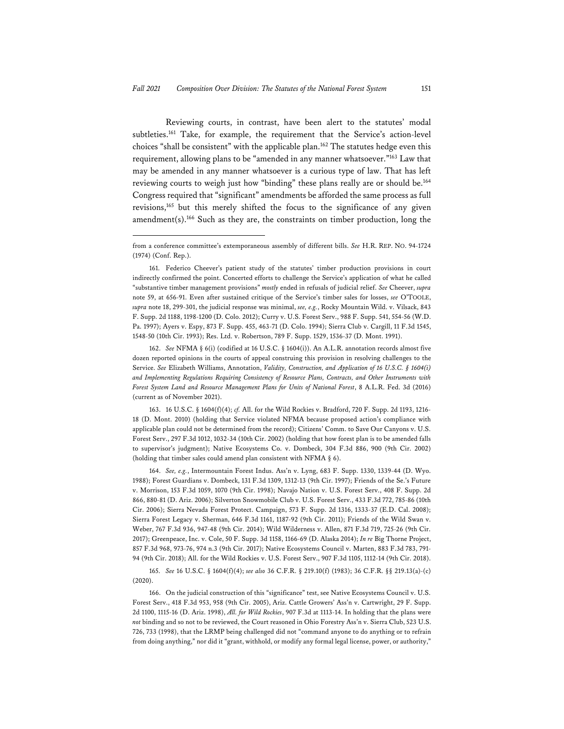Reviewing courts, in contrast, have been alert to the statutes' modal subtleties.161 Take, for example, the requirement that the Service's action-level choices "shall be consistent" with the applicable plan.<sup>162</sup> The statutes hedge even this requirement, allowing plans to be "amended in any manner whatsoever."163 Law that may be amended in any manner whatsoever is a curious type of law. That has left reviewing courts to weigh just how "binding" these plans really are or should be.164 Congress required that "significant" amendments be afforded the same process as full revisions,165 but this merely shifted the focus to the significance of any given amendment(s).166 Such as they are, the constraints on timber production, long the

162. *See* NFMA § 6(i) (codified at 16 U.S.C. § 1604(i)). An A.L.R. annotation records almost five dozen reported opinions in the courts of appeal construing this provision in resolving challenges to the Service. *See* Elizabeth Williams, Annotation, *Validity, Construction, and Application of 16 U.S.C. § 1604(i) and Implementing Regulations Requiring Consistency of Resource Plans, Contracts, and Other Instruments with Forest System Land and Resource Management Plans for Units of National Forest*, 8 A.L.R. Fed. 3d (2016) (current as of November 2021).

163. 16 U.S.C. § 1604(f)(4); *cf.* All. for the Wild Rockies v. Bradford, 720 F. Supp. 2d 1193, 1216- 18 (D. Mont. 2010) (holding that Service violated NFMA because proposed action's compliance with applicable plan could not be determined from the record); Citizens' Comm. to Save Our Canyons v. U.S. Forest Serv., 297 F.3d 1012, 1032-34 (10th Cir. 2002) (holding that how forest plan is to be amended falls to supervisor's judgment); Native Ecosystems Co. v. Dombeck, 304 F.3d 886, 900 (9th Cir. 2002) (holding that timber sales could amend plan consistent with NFMA § 6).

164. *See, e.g.*, Intermountain Forest Indus. Ass'n v. Lyng, 683 F. Supp. 1330, 1339-44 (D. Wyo. 1988); Forest Guardians v. Dombeck, 131 F.3d 1309, 1312-13 (9th Cir. 1997); Friends of the Se.'s Future v. Morrison, 153 F.3d 1059, 1070 (9th Cir. 1998); Navajo Nation v. U.S. Forest Serv., 408 F. Supp. 2d 866, 880-81 (D. Ariz. 2006); Silverton Snowmobile Club v. U.S. Forest Serv., 433 F.3d 772, 785-86 (10th Cir. 2006); Sierra Nevada Forest Protect. Campaign, 573 F. Supp. 2d 1316, 1333-37 (E.D. Cal. 2008); Sierra Forest Legacy v. Sherman, 646 F.3d 1161, 1187-92 (9th Cir. 2011); Friends of the Wild Swan v. Weber, 767 F.3d 936, 947-48 (9th Cir. 2014); Wild Wilderness v. Allen, 871 F.3d 719, 725-26 (9th Cir. 2017); Greenpeace, Inc. v. Cole, 50 F. Supp. 3d 1158, 1166-69 (D. Alaska 2014); *In re* Big Thorne Project, 857 F.3d 968, 973-76, 974 n.3 (9th Cir. 2017); Native Ecosystems Council v. Marten, 883 F.3d 783, 791- 94 (9th Cir. 2018); All. for the Wild Rockies v. U.S. Forest Serv., 907 F.3d 1105, 1112-14 (9th Cir. 2018).

165. *See* 16 U.S.C. § 1604(f)(4); *see also* 36 C.F.R. § 219.10(f) (1983); 36 C.F.R. §§ 219.13(a)-(c) (2020).

166. On the judicial construction of this "significance" test, see Native Ecosystems Council v. U.S. Forest Serv., 418 F.3d 953, 958 (9th Cir. 2005), Ariz. Cattle Growers' Ass'n v. Cartwright, 29 F. Supp. 2d 1100, 1115-16 (D. Ariz. 1998), *All. for Wild Rockies*, 907 F.3d at 1113-14. In holding that the plans were *not* binding and so not to be reviewed, the Court reasoned in Ohio Forestry Ass'n v. Sierra Club, 523 U.S. 726, 733 (1998), that the LRMP being challenged did not "command anyone to do anything or to refrain from doing anything," nor did it "grant, withhold, or modify any formal legal license, power, or authority,"

from a conference committee's extemporaneous assembly of different bills. *See* H.R. REP. NO. 94-1724 (1974) (Conf. Rep.).

<sup>161.</sup> Federico Cheever's patient study of the statutes' timber production provisions in court indirectly confirmed the point. Concerted efforts to challenge the Service's application of what he called "substantive timber management provisions" *mostly* ended in refusals of judicial relief. *See* Cheever, *supra* note 59, at 656-91. Even after sustained critique of the Service's timber sales for losses, *see* O'TOOLE, *supra* note 18, 299-301, the judicial response was minimal, *see, e.g.*, Rocky Mountain Wild. v. Vilsack, 843 F. Supp. 2d 1188, 1198-1200 (D. Colo. 2012); Curry v. U.S. Forest Serv., 988 F. Supp. 541, 554-56 (W.D. Pa. 1997); Ayers v. Espy, 873 F. Supp. 455, 463-71 (D. Colo. 1994); Sierra Club v. Cargill, 11 F.3d 1545, 1548-50 (10th Cir. 1993); Res. Ltd. v. Robertson, 789 F. Supp. 1529, 1536-37 (D. Mont. 1991).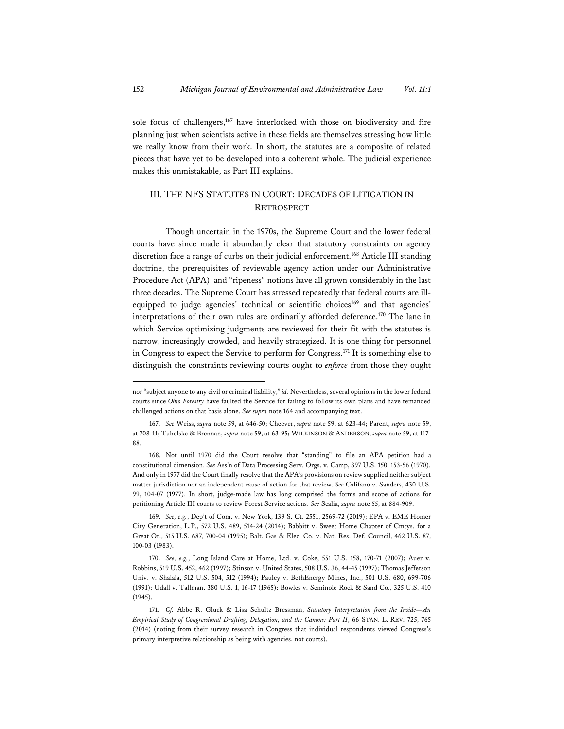sole focus of challengers,167 have interlocked with those on biodiversity and fire planning just when scientists active in these fields are themselves stressing how little we really know from their work. In short, the statutes are a composite of related pieces that have yet to be developed into a coherent whole. The judicial experience makes this unmistakable, as Part III explains.

## III. THE NFS STATUTES IN COURT: DECADES OF LITIGATION IN **RETROSPECT**

Though uncertain in the 1970s, the Supreme Court and the lower federal courts have since made it abundantly clear that statutory constraints on agency discretion face a range of curbs on their judicial enforcement.168 Article III standing doctrine, the prerequisites of reviewable agency action under our Administrative Procedure Act (APA), and "ripeness" notions have all grown considerably in the last three decades. The Supreme Court has stressed repeatedly that federal courts are illequipped to judge agencies' technical or scientific choices<sup>169</sup> and that agencies' interpretations of their own rules are ordinarily afforded deference.170 The lane in which Service optimizing judgments are reviewed for their fit with the statutes is narrow, increasingly crowded, and heavily strategized. It is one thing for personnel in Congress to expect the Service to perform for Congress.171 It is something else to distinguish the constraints reviewing courts ought to *enforce* from those they ought

nor "subject anyone to any civil or criminal liability," *id.* Nevertheless, several opinions in the lower federal courts since *Ohio Forestry* have faulted the Service for failing to follow its own plans and have remanded challenged actions on that basis alone. *See supra* note 164 and accompanying text.

<sup>167.</sup> *See* Weiss, *supra* note 59, at 646-50; Cheever, *supra* note 59, at 623-44; Parent, *supra* note 59, at 708-11; Tuholske & Brennan, *supra* note 59, at 63-95; WILKINSON & ANDERSON, *supra* note 59, at 117- 88.

<sup>168.</sup> Not until 1970 did the Court resolve that "standing" to file an APA petition had a constitutional dimension. *See* Ass'n of Data Processing Serv. Orgs. v. Camp, 397 U.S. 150, 153-56 (1970). And only in 1977 did the Court finally resolve that the APA's provisions on review supplied neither subject matter jurisdiction nor an independent cause of action for that review. *See* Califano v. Sanders, 430 U.S. 99, 104-07 (1977). In short, judge-made law has long comprised the forms and scope of actions for petitioning Article III courts to review Forest Service actions. *See* Scalia, *supra* note 55, at 884-909.

<sup>169.</sup> *See, e.g.*, Dep't of Com. v. New York, 139 S. Ct. 2551, 2569-72 (2019); EPA v. EME Homer City Generation, L.P., 572 U.S. 489, 514-24 (2014); Babbitt v. Sweet Home Chapter of Cmtys. for a Great Or., 515 U.S. 687, 700-04 (1995); Balt. Gas & Elec. Co. v. Nat. Res. Def. Council, 462 U.S. 87, 100-03 (1983).

<sup>170.</sup> *See, e.g.*, Long Island Care at Home, Ltd. v. Coke, 551 U.S. 158, 170-71 (2007); Auer v. Robbins, 519 U.S. 452, 462 (1997); Stinson v. United States, 508 U.S. 36, 44-45 (1997); Thomas Jefferson Univ. v. Shalala, 512 U.S. 504, 512 (1994); Pauley v. BethEnergy Mines, Inc., 501 U.S. 680, 699-706 (1991); Udall v. Tallman, 380 U.S. 1, 16-17 (1965); Bowles v. Seminole Rock & Sand Co., 325 U.S. 410 (1945).

<sup>171.</sup> *Cf.* Abbe R. Gluck & Lisa Schultz Bressman, *Statutory Interpretation from the Inside—An Empirical Study of Congressional Drafting, Delegation, and the Canons: Part II*, 66 STAN. L. REV. 725, 765 (2014) (noting from their survey research in Congress that individual respondents viewed Congress's primary interpretive relationship as being with agencies, not courts).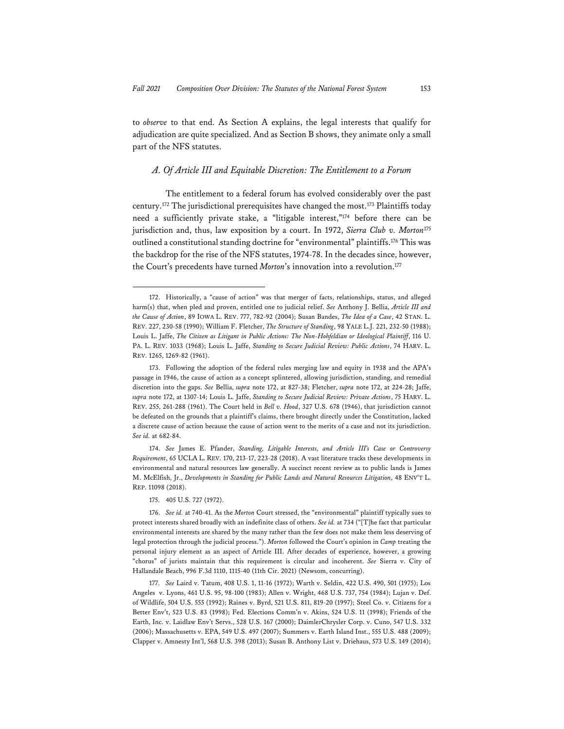to *observe* to that end. As Section A explains, the legal interests that qualify for adjudication are quite specialized. And as Section B shows, they animate only a small part of the NFS statutes.

## *A. Of Article III and Equitable Discretion: The Entitlement to a Forum*

The entitlement to a federal forum has evolved considerably over the past century.172 The jurisdictional prerequisites have changed the most.173 Plaintiffs today need a sufficiently private stake, a "litigable interest,"174 before there can be jurisdiction and, thus, law exposition by a court. In 1972, *Sierra Club v. Morton*<sup>175</sup> outlined a constitutional standing doctrine for "environmental" plaintiffs.<sup>176</sup> This was the backdrop for the rise of the NFS statutes, 1974-78. In the decades since, however, the Court's precedents have turned *Morton*'s innovation into a revolution.<sup>177</sup>

<sup>172.</sup> Historically, a "cause of action" was that merger of facts, relationships, status, and alleged harm(s) that, when pled and proven, entitled one to judicial relief. *See* Anthony J. Bellia, *Article III and the Cause of Action*, 89 IOWA L. REV. 777, 782-92 (2004); Susan Bandes, *The Idea of a Case*, 42 STAN. L. REV. 227, 230-58 (1990); William F. Fletcher, *The Structure of Standing*, 98 YALE L.J. 221, 232-50 (1988); Louis L. Jaffe, *The Citizen as Litigant in Public Actions: The Non-Hohfeldian or Ideological Plaintiff*, 116 U. PA. L. REV. 1033 (1968); Louis L. Jaffe, *Standing to Secure Judicial Review: Public Actions*, 74 HARV. L. REV. 1265, 1269-82 (1961).

<sup>173.</sup> Following the adoption of the federal rules merging law and equity in 1938 and the APA's passage in 1946, the cause of action as a concept splintered, allowing jurisdiction, standing, and remedial discretion into the gaps. *See* Bellia, *supra* note 172, at 827-38; Fletcher, *supra* note 172, at 224-28; Jaffe, *supra* note 172, at 1307-14; Louis L. Jaffe, *Standing to Secure Judicial Review: Private Actions*, 75 HARV. L. REV. 255, 261-288 (1961). The Court held in *Bell v. Hood*, 327 U.S. 678 (1946), that jurisdiction cannot be defeated on the grounds that a plaintiff's claims, there brought directly under the Constitution, lacked a discrete cause of action because the cause of action went to the merits of a case and not its jurisdiction. *See id.* at 682-84.

<sup>174.</sup> *See* James E. Pfander, *Standing, Litigable Interests, and Article III's Case or Controversy Requirement*, 65 UCLA L. REV. 170, 213-17, 223-28 (2018). A vast literature tracks these developments in environmental and natural resources law generally. A succinct recent review as to public lands is James M. McElfish, Jr., *Developments in Standing for Public Lands and Natural Resources Litigation*, 48 ENV'T L. REP. 11098 (2018).

<sup>175. 405</sup> U.S. 727 (1972).

<sup>176.</sup> *See id.* at 740-41. As the *Morton* Court stressed, the "environmental" plaintiff typically sues to protect interests shared broadly with an indefinite class of others. *See id.* at 734 ("[T]he fact that particular environmental interests are shared by the many rather than the few does not make them less deserving of legal protection through the judicial process."). *Morton* followed the Court's opinion in *Camp* treating the personal injury element as an aspect of Article III. After decades of experience, however, a growing "chorus" of jurists maintain that this requirement is circular and incoherent. *See* Sierra v. City of Hallandale Beach, 996 F.3d 1110, 1115-40 (11th Cir. 2021) (Newsom, concurring).

<sup>177.</sup> *See* Laird v. Tatum, 408 U.S. 1, 11-16 (1972); Warth v. Seldin, 422 U.S. 490, 501 (1975); Los Angeles v. Lyons, 461 U.S. 95, 98-100 (1983); Allen v. Wright, 468 U.S. 737, 754 (1984); Lujan v. Def. of Wildlife, 504 U.S. 555 (1992); Raines v. Byrd, 521 U.S. 811, 819-20 (1997); Steel Co. v. Citizens for a Better Env't, 523 U.S. 83 (1998); Fed. Elections Comm'n v. Akins, 524 U.S. 11 (1998); Friends of the Earth, Inc. v. Laidlaw Env't Servs., 528 U.S. 167 (2000); DaimlerChrysler Corp. v. Cuno, 547 U.S. 332 (2006); Massachusetts v. EPA, 549 U.S. 497 (2007); Summers v. Earth Island Inst., 555 U.S. 488 (2009); Clapper v. Amnesty Int'l, 568 U.S. 398 (2013); Susan B. Anthony List v. Driehaus, 573 U.S. 149 (2014);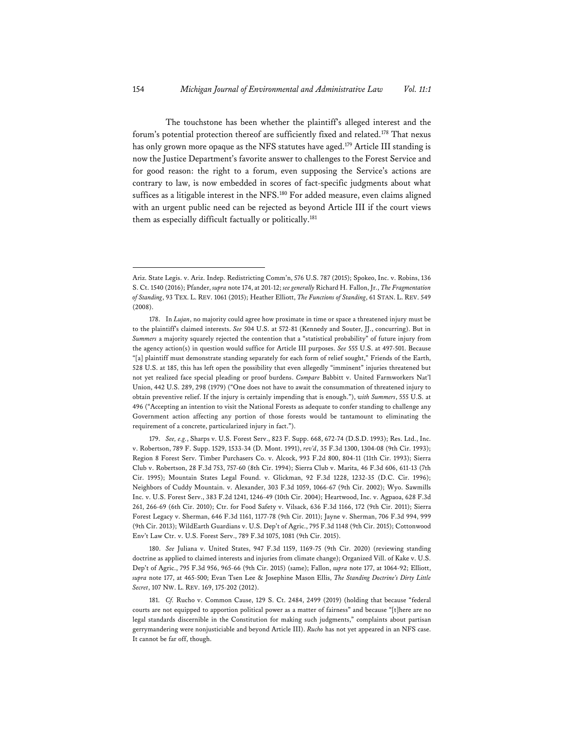The touchstone has been whether the plaintiff's alleged interest and the forum's potential protection thereof are sufficiently fixed and related.178 That nexus has only grown more opaque as the NFS statutes have aged.<sup>179</sup> Article III standing is now the Justice Department's favorite answer to challenges to the Forest Service and for good reason: the right to a forum, even supposing the Service's actions are contrary to law, is now embedded in scores of fact-specific judgments about what suffices as a litigable interest in the NFS.<sup>180</sup> For added measure, even claims aligned with an urgent public need can be rejected as beyond Article III if the court views them as especially difficult factually or politically.<sup>181</sup>

179. *See, e.g.*, Sharps v. U.S. Forest Serv., 823 F. Supp. 668, 672-74 (D.S.D. 1993); Res. Ltd., Inc. v. Robertson, 789 F. Supp. 1529, 1533-34 (D. Mont. 1991), *rev'd*, 35 F.3d 1300, 1304-08 (9th Cir. 1993); Region 8 Forest Serv. Timber Purchasers Co. v. Alcock, 993 F.2d 800, 804-11 (11th Cir. 1993); Sierra Club v. Robertson, 28 F.3d 753, 757-60 (8th Cir. 1994); Sierra Club v. Marita, 46 F.3d 606, 611-13 (7th Cir. 1995); Mountain States Legal Found. v. Glickman, 92 F.3d 1228, 1232-35 (D.C. Cir. 1996); Neighbors of Cuddy Mountain. v. Alexander, 303 F.3d 1059, 1066-67 (9th Cir. 2002); Wyo. Sawmills Inc. v. U.S. Forest Serv., 383 F.2d 1241, 1246-49 (10th Cir. 2004); Heartwood, Inc. v. Agpaoa, 628 F.3d 261, 266-69 (6th Cir. 2010); Ctr. for Food Safety v. Vilsack, 636 F.3d 1166, 172 (9th Cir. 2011); Sierra Forest Legacy v. Sherman, 646 F.3d 1161, 1177-78 (9th Cir. 2011); Jayne v. Sherman, 706 F.3d 994, 999 (9th Cir. 2013); WildEarth Guardians v. U.S. Dep't of Agric., 795 F.3d 1148 (9th Cir. 2015); Cottonwood Env't Law Ctr. v. U.S. Forest Serv., 789 F.3d 1075, 1081 (9th Cir. 2015).

180. *See* Juliana v. United States, 947 F.3d 1159, 1169-75 (9th Cir. 2020) (reviewing standing doctrine as applied to claimed interests and injuries from climate change); Organized Vill. of Kake v. U.S. Dep't of Agric., 795 F.3d 956, 965-66 (9th Cir. 2015) (same); Fallon, *supra* note 177, at 1064-92; Elliott, *supra* note 177, at 465-500; Evan Tsen Lee & Josephine Mason Ellis, *The Standing Doctrine's Dirty Little Secret*, 107 NW. L. REV. 169, 175-202 (2012).

181. *Cf.* Rucho v. Common Cause, 129 S. Ct. 2484, 2499 (2019) (holding that because "federal courts are not equipped to apportion political power as a matter of fairness" and because "[t]here are no legal standards discernible in the Constitution for making such judgments," complaints about partisan gerrymandering were nonjusticiable and beyond Article III). *Rucho* has not yet appeared in an NFS case. It cannot be far off, though.

Ariz. State Legis. v. Ariz. Indep. Redistricting Comm'n, 576 U.S. 787 (2015); Spokeo, Inc. v. Robins, 136 S. Ct. 1540 (2016); Pfander, *supra* note 174, at 201-12; *see generally* Richard H. Fallon, Jr., *The Fragmentation of Standing*, 93 TEX. L. REV. 1061 (2015); Heather Elliott, *The Functions of Standing*, 61 STAN. L. REV. 549 (2008).

<sup>178.</sup> In *Lujan*, no majority could agree how proximate in time or space a threatened injury must be to the plaintiff's claimed interests. *See* 504 U.S. at 572-81 (Kennedy and Souter, JJ., concurring). But in *Summers* a majority squarely rejected the contention that a "statistical probability" of future injury from the agency action(s) in question would suffice for Article III purposes. *See* 555 U.S. at 497-501. Because "[a] plaintiff must demonstrate standing separately for each form of relief sought," Friends of the Earth, 528 U.S. at 185, this has left open the possibility that even allegedly "imminent" injuries threatened but not yet realized face special pleading or proof burdens. *Compare* Babbitt v. United Farmworkers Nat'l Union, 442 U.S. 289, 298 (1979) ("One does not have to await the consummation of threatened injury to obtain preventive relief. If the injury is certainly impending that is enough."), *with Summers*, 555 U.S. at 496 ("Accepting an intention to visit the National Forests as adequate to confer standing to challenge any Government action affecting any portion of those forests would be tantamount to eliminating the requirement of a concrete, particularized injury in fact.").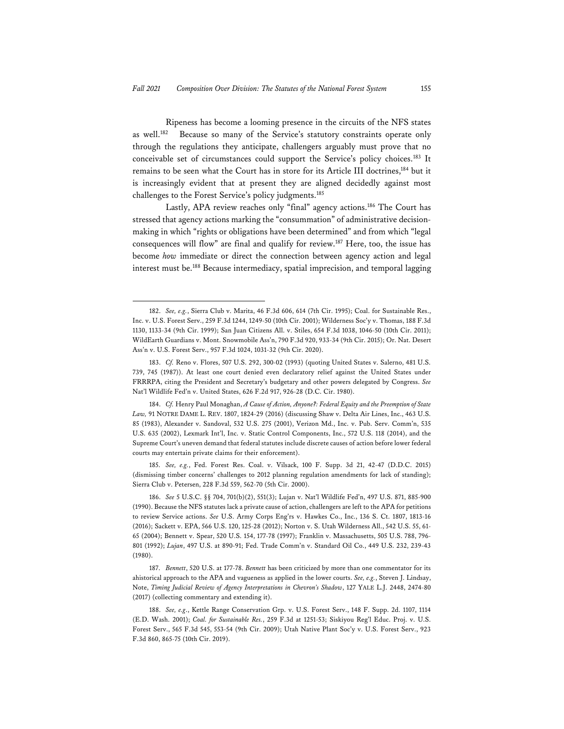Ripeness has become a looming presence in the circuits of the NFS states as well.<sup>182</sup> Because so many of the Service's statutory constraints operate only through the regulations they anticipate, challengers arguably must prove that no conceivable set of circumstances could support the Service's policy choices.183 It remains to be seen what the Court has in store for its Article III doctrines,<sup>184</sup> but it is increasingly evident that at present they are aligned decidedly against most challenges to the Forest Service's policy judgments.185

Lastly, APA review reaches only "final" agency actions.<sup>186</sup> The Court has stressed that agency actions marking the "consummation" of administrative decisionmaking in which "rights or obligations have been determined" and from which "legal consequences will flow" are final and qualify for review.187 Here, too, the issue has become *how* immediate or direct the connection between agency action and legal interest must be.188 Because intermediacy, spatial imprecision, and temporal lagging

185. *See, e.g.*, Fed. Forest Res. Coal. v. Vilsack, 100 F. Supp. 3d 21, 42-47 (D.D.C. 2015) (dismissing timber concerns' challenges to 2012 planning regulation amendments for lack of standing); Sierra Club v. Petersen, 228 F.3d 559, 562-70 (5th Cir. 2000).

<sup>182.</sup> *See, e.g.*, Sierra Club v. Marita, 46 F.3d 606, 614 (7th Cir. 1995); Coal. for Sustainable Res., Inc. v. U.S. Forest Serv., 259 F.3d 1244, 1249-50 (10th Cir. 2001); Wilderness Soc'y v. Thomas, 188 F.3d 1130, 1133-34 (9th Cir. 1999); San Juan Citizens All. v. Stiles, 654 F.3d 1038, 1046-50 (10th Cir. 2011); WildEarth Guardians v. Mont. Snowmobile Ass'n, 790 F.3d 920, 933-34 (9th Cir. 2015); Or. Nat. Desert Ass'n v. U.S. Forest Serv., 957 F.3d 1024, 1031-32 (9th Cir. 2020).

<sup>183.</sup> *Cf.* Reno v. Flores, 507 U.S. 292, 300-02 (1993) (quoting United States v. Salerno, 481 U.S. 739, 745 (1987)). At least one court denied even declaratory relief against the United States under FRRRPA, citing the President and Secretary's budgetary and other powers delegated by Congress. *See* Nat'l Wildlife Fed'n v. United States, 626 F.2d 917, 926-28 (D.C. Cir. 1980).

<sup>184.</sup> *Cf.* Henry Paul Monaghan, *A Cause of Action, Anyone?: Federal Equity and the Preemption of State Law,* 91 NOTRE DAME L. REV. 1807, 1824-29 (2016) (discussing Shaw v. Delta Air Lines, Inc., 463 U.S. 85 (1983), Alexander v. Sandoval, 532 U.S. 275 (2001), Verizon Md., Inc. v. Pub. Serv. Comm'n, 535 U.S. 635 (2002), Lexmark Int'l, Inc. v. Static Control Components, Inc., 572 U.S. 118 (2014), and the Supreme Court's uneven demand that federal statutes include discrete causes of action before lower federal courts may entertain private claims for their enforcement).

<sup>186.</sup> *See* 5 U.S.C. §§ 704, 701(b)(2), 551(3); Lujan v. Nat'l Wildlife Fed'n, 497 U.S. 871, 885-900 (1990). Because the NFS statutes lack a private cause of action, challengers are left to the APA for petitions to review Service actions. *See* U.S. Army Corps Eng'rs v. Hawkes Co., Inc., 136 S. Ct. 1807, 1813-16 (2016); Sackett v. EPA, 566 U.S. 120, 125-28 (2012); Norton v. S. Utah Wilderness All., 542 U.S. 55, 61- 65 (2004); Bennett v. Spear, 520 U.S. 154, 177-78 (1997); Franklin v. Massachusetts, 505 U.S. 788, 796- 801 (1992); *Lujan*, 497 U.S. at 890-91; Fed. Trade Comm'n v. Standard Oil Co., 449 U.S. 232, 239-43 (1980).

<sup>187.</sup> *Bennett*, 520 U.S. at 177-78. *Bennett* has been criticized by more than one commentator for its ahistorical approach to the APA and vagueness as applied in the lower courts. *See, e.g.*, Steven J. Lindsay, Note, *Timing Judicial Review of Agency Interpretations in Chevron's Shadow*, 127 YALE L.J. 2448, 2474-80 (2017) (collecting commentary and extending it).

<sup>188.</sup> *See, e.g*., Kettle Range Conservation Grp. v. U.S. Forest Serv., 148 F. Supp. 2d. 1107, 1114 (E.D. Wash. 2001); *Coal. for Sustainable Res.*, 259 F.3d at 1251-53; Siskiyou Reg'l Educ. Proj. v. U.S. Forest Serv., 565 F.3d 545, 553-54 (9th Cir. 2009); Utah Native Plant Soc'y v. U.S. Forest Serv., 923 F.3d 860, 865-75 (10th Cir. 2019).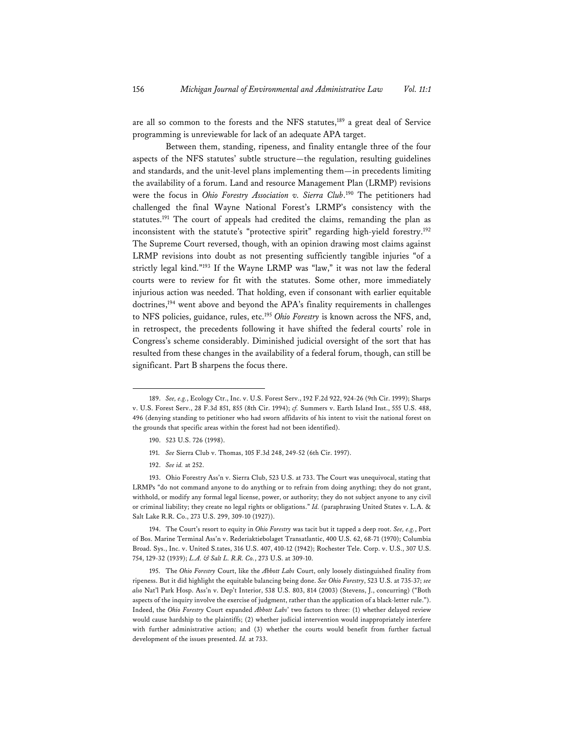are all so common to the forests and the NFS statutes,<sup>189</sup> a great deal of Service programming is unreviewable for lack of an adequate APA target.

Between them, standing, ripeness, and finality entangle three of the four aspects of the NFS statutes' subtle structure—the regulation, resulting guidelines and standards, and the unit-level plans implementing them—in precedents limiting the availability of a forum. Land and resource Management Plan (LRMP) revisions were the focus in *Ohio Forestry Association v. Sierra Club*. 190 The petitioners had challenged the final Wayne National Forest's LRMP's consistency with the statutes.191 The court of appeals had credited the claims, remanding the plan as inconsistent with the statute's "protective spirit" regarding high-yield forestry.192 The Supreme Court reversed, though, with an opinion drawing most claims against LRMP revisions into doubt as not presenting sufficiently tangible injuries "of a strictly legal kind."193 If the Wayne LRMP was "law," it was not law the federal courts were to review for fit with the statutes. Some other, more immediately injurious action was needed. That holding, even if consonant with earlier equitable doctrines,<sup>194</sup> went above and beyond the APA's finality requirements in challenges to NFS policies, guidance, rules, etc.195 *Ohio Forestry* is known across the NFS, and, in retrospect, the precedents following it have shifted the federal courts' role in Congress's scheme considerably. Diminished judicial oversight of the sort that has resulted from these changes in the availability of a federal forum, though, can still be significant. Part B sharpens the focus there.

190. 523 U.S. 726 (1998).

192. *See id.* at 252.

193. Ohio Forestry Ass'n v. Sierra Club, 523 U.S. at 733. The Court was unequivocal, stating that LRMPs "do not command anyone to do anything or to refrain from doing anything; they do not grant, withhold, or modify any formal legal license, power, or authority; they do not subject anyone to any civil or criminal liability; they create no legal rights or obligations." *Id.* (paraphrasing United States v. L.A. & Salt Lake R.R. Co., 273 U.S. 299, 309-10 (1927)).

194. The Court's resort to equity in *Ohio Forestry* was tacit but it tapped a deep root. *See, e.g.*, Port of Bos. Marine Terminal Ass'n v. Rederiaktiebolaget Transatlantic, 400 U.S. 62, 68-71 (1970); Columbia Broad. Sys., Inc. v. United S.tates, 316 U.S. 407, 410-12 (1942); Rochester Tele. Corp. v. U.S., 307 U.S. 754, 129-32 (1939); *L.A. & Salt L. R.R. Co.*, 273 U.S. at 309-10.

<sup>189.</sup> *See, e.g.*, Ecology Ctr., Inc. v. U.S. Forest Serv., 192 F.2d 922, 924-26 (9th Cir. 1999); Sharps v. U.S. Forest Serv., 28 F.3d 851, 855 (8th Cir. 1994); *cf.* Summers v. Earth Island Inst., 555 U.S. 488, 496 (denying standing to petitioner who had sworn affidavits of his intent to visit the national forest on the grounds that specific areas within the forest had not been identified).

<sup>191.</sup> *See* Sierra Club v. Thomas, 105 F.3d 248, 249-52 (6th Cir. 1997).

<sup>195.</sup> The *Ohio Forestry* Court, like the *Abbott Labs* Court, only loosely distinguished finality from ripeness. But it did highlight the equitable balancing being done. *See Ohio Forestry*, 523 U.S. at 735-37; *see also* Nat'l Park Hosp. Ass'n v. Dep't Interior, 538 U.S. 803, 814 (2003) (Stevens, J., concurring) ("Both aspects of the inquiry involve the exercise of judgment, rather than the application of a black-letter rule."). Indeed, the *Ohio Forestry* Court expanded *Abbott Labs*' two factors to three: (1) whether delayed review would cause hardship to the plaintiffs; (2) whether judicial intervention would inappropriately interfere with further administrative action; and (3) whether the courts would benefit from further factual development of the issues presented. *Id.* at 733.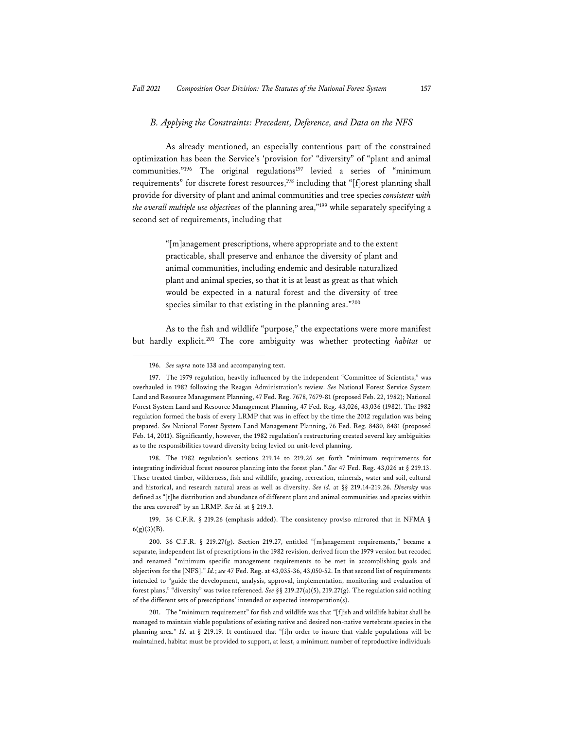#### *B. Applying the Constraints: Precedent, Deference, and Data on the NFS*

As already mentioned, an especially contentious part of the constrained optimization has been the Service's 'provision for' "diversity" of "plant and animal communities."<sup>196</sup> The original regulations<sup>197</sup> levied a series of "minimum requirements" for discrete forest resources,<sup>198</sup> including that "[f]orest planning shall provide for diversity of plant and animal communities and tree species *consistent with the overall multiple use objectives* of the planning area,"199 while separately specifying a second set of requirements, including that

> "[m]anagement prescriptions, where appropriate and to the extent practicable, shall preserve and enhance the diversity of plant and animal communities, including endemic and desirable naturalized plant and animal species, so that it is at least as great as that which would be expected in a natural forest and the diversity of tree species similar to that existing in the planning area."200

As to the fish and wildlife "purpose," the expectations were more manifest but hardly explicit.201 The core ambiguity was whether protecting *habitat* or

198. The 1982 regulation's sections 219.14 to 219.26 set forth "minimum requirements for integrating individual forest resource planning into the forest plan." *See* 47 Fed. Reg. 43,026 at § 219.13. These treated timber, wilderness, fish and wildlife, grazing, recreation, minerals, water and soil, cultural and historical, and research natural areas as well as diversity. *See id.* at §§ 219.14-219.26. *Diversity* was defined as "[t]he distribution and abundance of different plant and animal communities and species within the area covered" by an LRMP. *See id.* at § 219.3.

199. 36 C.F.R. § 219.26 (emphasis added). The consistency proviso mirrored that in NFMA §  $6(g)(3)(B)$ .

200. 36 C.F.R. § 219.27(g). Section 219.27, entitled "[m]anagement requirements," became a separate, independent list of prescriptions in the 1982 revision, derived from the 1979 version but recoded and renamed "minimum specific management requirements to be met in accomplishing goals and objectives for the [NFS]." *Id.*; *see* 47 Fed. Reg. at 43,035-36, 43,050-52. In that second list of requirements intended to "guide the development, analysis, approval, implementation, monitoring and evaluation of forest plans," "diversity" was twice referenced. *See* §§ 219.27(a)(5), 219.27(g). The regulation said nothing of the different sets of prescriptions' intended or expected interoperation(s).

201. The "minimum requirement" for fish and wildlife was that "[f]ish and wildlife habitat shall be managed to maintain viable populations of existing native and desired non-native vertebrate species in the planning area." *Id.* at § 219.19. It continued that "[i]n order to insure that viable populations will be maintained, habitat must be provided to support, at least, a minimum number of reproductive individuals

<sup>196.</sup> *See supra* note 138 and accompanying text.

<sup>197.</sup> The 1979 regulation, heavily influenced by the independent "Committee of Scientists," was overhauled in 1982 following the Reagan Administration's review. *See* National Forest Service System Land and Resource Management Planning, 47 Fed. Reg. 7678, 7679-81 (proposed Feb. 22, 1982); National Forest System Land and Resource Management Planning, 47 Fed. Reg. 43,026, 43,036 (1982). The 1982 regulation formed the basis of every LRMP that was in effect by the time the 2012 regulation was being prepared. *See* National Forest System Land Management Planning, 76 Fed. Reg. 8480, 8481 (proposed Feb. 14, 2011). Significantly, however, the 1982 regulation's restructuring created several key ambiguities as to the responsibilities toward diversity being levied on unit-level planning.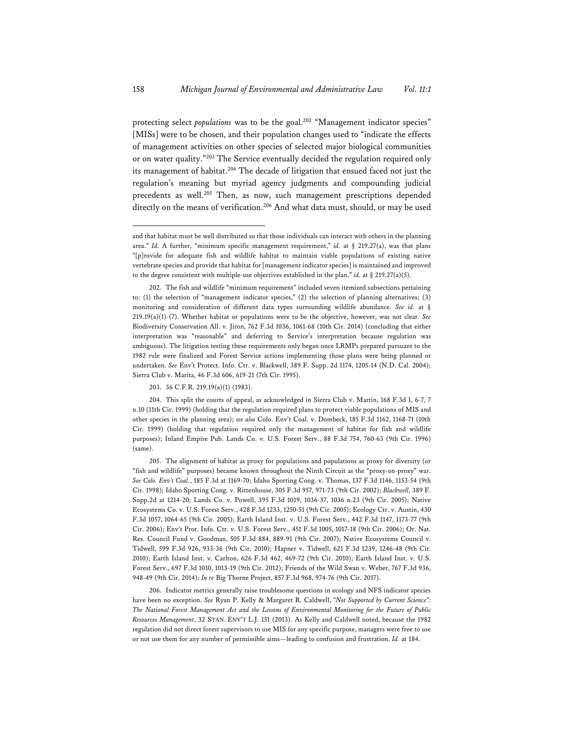protecting select *populations* was to be the goal.<sup>202</sup> "Management indicator species" [MISs] were to be chosen, and their population changes used to "indicate the effects of management activities on other species of selected major biological communities or on water quality."203 The Service eventually decided the regulation required only its management of habitat.<sup>204</sup> The decade of litigation that ensued faced not just the regulation's meaning but myriad agency judgments and compounding judicial precedents as well.<sup>205</sup> Then, as now, such management prescriptions depended directly on the means of verification.<sup>206</sup> And what data must, should, or may be used

203. 36 C.F.R. 219.19(a)(1) (1983).

204. This split the courts of appeal, as acknowledged in Sierra Club v. Martin, 168 F.3d 1, 6-7, 7 n.10 (11th Cir. 1999) (holding that the regulation required plans to protect viable populations of MIS and other species in the planning area); *see also* Colo. Env't Coal. v. Dombeck, 185 F.3d 1162, 1168-71 (10th Cir. 1999) (holding that regulation required only the management of habitat for fish and wildlife purposes); Inland Empire Pub. Lands Co. v. U.S. Forest Serv., 88 F.3d 754, 760-63 (9th Cir. 1996) (same).

205. The alignment of habitat as proxy for populations and populations as proxy for diversity (or "fish and wildlife" purposes) became known throughout the Ninth Circuit as the "proxy-on-proxy" war. *See Colo. Env't Coal.*, 185 F.3d at 1169-70; Idaho Sporting Cong. v. Thomas, 137 F.3d 1146, 1153-54 (9th Cir. 1998); Idaho Sporting Cong. v. Rittenhouse, 305 F.3d 957, 971-73 (9th Cir. 2002); *Blackwell*, 389 F. Supp.2d at 1214-20; Lands Co. v. Powell, 395 F.3d 1019, 1036-37, 1036 n.23 (9th Cir. 2005); Native Ecosystems Co. v. U.S. Forest Serv., 428 F.3d 1233, 1250-51 (9th Cir. 2005); Ecology Ctr. v. Austin, 430 F.3d 1057, 1064-65 (9th Cir. 2005); Earth Island Inst. v. U.S. Forest Serv., 442 F.3d 1147, 1173-77 (9th Cir. 2006); Env't Prot. Info. Ctr. v. U.S. Forest Serv., 451 F.3d 1005, 1017-18 (9th Cir. 2006); Or. Nat. Res. Council Fund v. Goodman, 505 F.3d 884, 889-91 (9th Cir. 2007); Native Ecosystems Council v. Tidwell, 599 F.3d 926, 933-36 (9th Cir. 2010); Hapner v. Tidwell, 621 F.3d 1239, 1246-48 (9th Cir. 2010); Earth Island Inst. v. Carlton, 626 F.3d 462, 469-72 (9th Cir. 2010); Earth Island Inst. v. U.S. Forest Serv., 697 F.3d 1010, 1013-19 (9th Cir. 2012); Friends of the Wild Swan v. Weber, 767 F.3d 936, 948-49 (9th Cir. 2014); *In re* Big Thorne Project, 857 F.3d 968, 974-76 (9th Cir. 2017).

206. Indicator metrics generally raise troublesome questions in ecology and NFS indicator species have been no exception. *See* Ryan P. Kelly & Margaret R. Caldwell, *"Not Supported by Current Science": The National Forest Management Act and the Lessons of Environmental Monitoring for the Future of Public Resources Management*, 32 STAN. ENV'T L.J. 151 (2013). As Kelly and Caldwell noted, because the 1982 regulation did not direct forest supervisors to use MIS for any specific purpose, managers were free to use or not use them for any number of permissible aims—leading to confusion and frustration. *Id.* at 184.

and that habitat must be well distributed so that those individuals can interact with others in the planning area." *Id.* A further, "minimum specific management requirement," *id.* at § 219.27(a), was that plans "[p]rovide for adequate fish and wildlife habitat to maintain viable populations of existing native vertebrate species and provide that habitat for [management indicator species] is maintained and improved to the degree consistent with multiple-use objectives established in the plan," *id.* at § 219.27(a)(5).

<sup>202.</sup> The fish and wildlife "minimum requirement" included seven itemized subsections pertaining to: (1) the selection of "management indicator species," (2) the selection of planning alternatives; (3) monitoring and consideration of different data types surrounding wildlife abundance. *See id.* at § 219.19(a)(1)-(7). Whether habitat or populations were to be the objective, however, was not clear. *See* Biodiversity Conservation All. v. Jiron, 762 F.3d 1036, 1061-68 (10th Cir. 2014) (concluding that either interpretation was "reasonable" and deferring to Service's interpretation because regulation was ambiguous). The litigation testing these requirements only began once LRMPs prepared pursuant to the 1982 rule were finalized and Forest Service actions implementing those plans were being planned or undertaken. *See* Env't Protect. Info. Ctr. v. Blackwell, 389 F. Supp. 2d 1174, 1205-14 (N.D. Cal. 2004); Sierra Club v. Marita, 46 F.3d 606, 619-21 (7th Cir. 1995).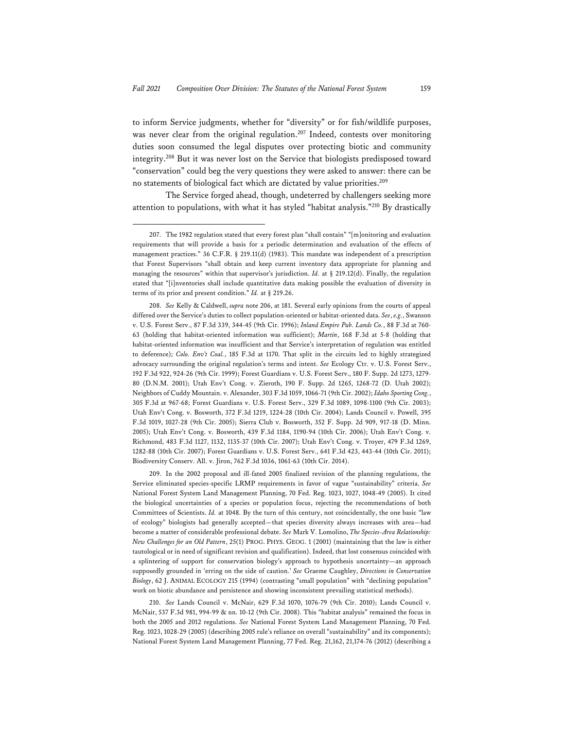to inform Service judgments, whether for "diversity" or for fish/wildlife purposes, was never clear from the original regulation.<sup>207</sup> Indeed, contests over monitoring duties soon consumed the legal disputes over protecting biotic and community integrity.208 But it was never lost on the Service that biologists predisposed toward "conservation" could beg the very questions they were asked to answer: there can be no statements of biological fact which are dictated by value priorities.209

The Service forged ahead, though, undeterred by challengers seeking more attention to populations, with what it has styled "habitat analysis."210 By drastically

209. In the 2002 proposal and ill-fated 2005 finalized revision of the planning regulations, the Service eliminated species-specific LRMP requirements in favor of vague "sustainability" criteria. *See* National Forest System Land Management Planning, 70 Fed. Reg. 1023, 1027, 1048-49 (2005). It cited the biological uncertainties of a species or population focus, rejecting the recommendations of both Committees of Scientists. *Id.* at 1048. By the turn of this century, not coincidentally, the one basic "law of ecology" biologists had generally accepted—that species diversity always increases with area—had become a matter of considerable professional debate. *See* Mark V. Lomolino, *The Species-Area Relationship: New Challenges for an Old Pattern*, 25(1) PROG. PHYS. GEOG. 1 (2001) (maintaining that the law is either tautological or in need of significant revision and qualification). Indeed, that lost consensus coincided with a splintering of support for conservation biology's approach to hypothesis uncertainty—an approach supposedly grounded in 'erring on the side of caution.' *See* Graeme Caughley, *Directions in Conservation Biology*, 62 J. ANIMAL ECOLOGY 215 (1994) (contrasting "small population" with "declining population" work on biotic abundance and persistence and showing inconsistent prevailing statistical methods).

210. *See* Lands Council v. McNair, 629 F.3d 1070, 1076-79 (9th Cir. 2010); Lands Council v. McNair, 537 F.3d 981, 994-99 & nn. 10-12 (9th Cir. 2008). This "habitat analysis" remained the focus in both the 2005 and 2012 regulations. *See* National Forest System Land Management Planning, 70 Fed. Reg. 1023, 1028-29 (2005) (describing 2005 rule's reliance on overall "sustainability" and its components); National Forest System Land Management Planning, 77 Fed. Reg. 21,162, 21,174-76 (2012) (describing a

<sup>207.</sup> The 1982 regulation stated that every forest plan "shall contain" "[m]onitoring and evaluation requirements that will provide a basis for a periodic determination and evaluation of the effects of management practices." 36 C.F.R. § 219.11(d) (1983). This mandate was independent of a prescription that Forest Supervisors "shall obtain and keep current inventory data appropriate for planning and managing the resources" within that supervisor's jurisdiction. *Id.* at § 219.12(d). Finally, the regulation stated that "[i]nventories shall include quantitative data making possible the evaluation of diversity in terms of its prior and present condition." *Id.* at § 219.26.

<sup>208.</sup> *See* Kelly & Caldwell, *supra* note 206, at 181. Several early opinions from the courts of appeal differed over the Service's duties to collect population-oriented or habitat-oriented data. *See*, *e.g.*, Swanson v. U.S. Forest Serv., 87 F.3d 339, 344-45 (9th Cir. 1996); *Inland Empire Pub. Lands Co.*, 88 F.3d at 760- 63 (holding that habitat-oriented information was sufficient); *Martin*, 168 F.3d at 5-8 (holding that habitat-oriented information was insufficient and that Service's interpretation of regulation was entitled to deference); *Colo. Env't Coal.*, 185 F.3d at 1170. That split in the circuits led to highly strategized advocacy surrounding the original regulation's terms and intent. *See* Ecology Ctr. v. U.S. Forest Serv., 192 F.3d 922, 924-26 (9th Cir. 1999); Forest Guardians v. U.S. Forest Serv., 180 F. Supp. 2d 1273, 1279- 80 (D.N.M. 2001); Utah Env't Cong. v. Zieroth, 190 F. Supp. 2d 1265, 1268-72 (D. Utah 2002); Neighbors of Cuddy Mountain. v. Alexander, 303 F.3d 1059, 1066-71 (9th Cir. 2002); *Idaho Sporting Cong.*, 305 F.3d at 967-68; Forest Guardians v. U.S. Forest Serv., 329 F.3d 1089, 1098-1100 (9th Cir. 2003); Utah Env't Cong. v. Bosworth, 372 F.3d 1219, 1224-28 (10th Cir. 2004); Lands Council v. Powell, 395 F.3d 1019, 1027-28 (9th Cir. 2005); Sierra Club v. Bosworth, 352 F. Supp. 2d 909, 917-18 (D. Minn. 2005); Utah Env't Cong. v. Bosworth, 439 F.3d 1184, 1190-94 (10th Cir. 2006); Utah Env't Cong. v. Richmond, 483 F.3d 1127, 1132, 1135-37 (10th Cir. 2007); Utah Env't Cong. v. Troyer, 479 F.3d 1269, 1282-88 (10th Cir. 2007); Forest Guardians v. U.S. Forest Serv., 641 F.3d 423, 443-44 (10th Cir. 2011); Biodiversity Conserv. All. v. Jiron, 762 F.3d 1036, 1061-63 (10th Cir. 2014).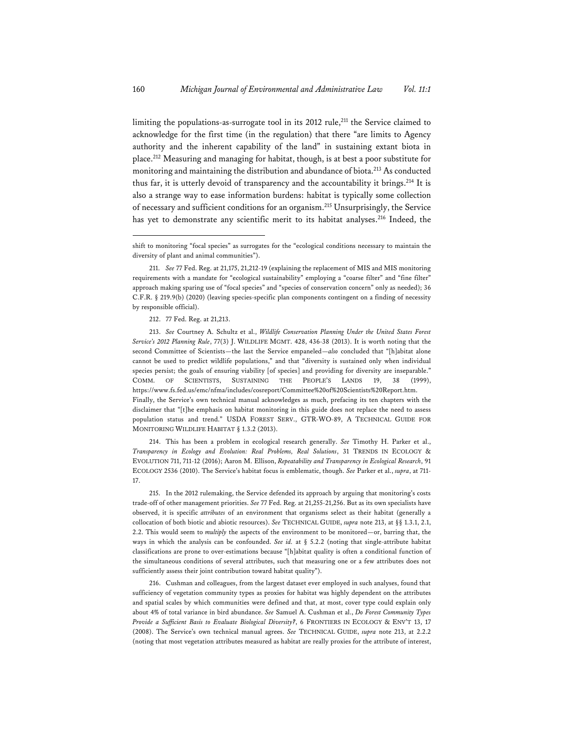limiting the populations-as-surrogate tool in its 2012 rule,<sup>211</sup> the Service claimed to acknowledge for the first time (in the regulation) that there "are limits to Agency authority and the inherent capability of the land" in sustaining extant biota in place.212 Measuring and managing for habitat, though, is at best a poor substitute for monitoring and maintaining the distribution and abundance of biota.<sup>213</sup> As conducted thus far, it is utterly devoid of transparency and the accountability it brings.<sup>214</sup> It is also a strange way to ease information burdens: habitat is typically some collection of necessary and sufficient conditions for an organism.215 Unsurprisingly, the Service has yet to demonstrate any scientific merit to its habitat analyses.<sup>216</sup> Indeed, the

212. 77 Fed. Reg. at 21,213.

213. *See* Courtney A. Schultz et al., *Wildlife Conservation Planning Under the United States Forest Service's 2012 Planning Rule*, 77(3) J. WILDLIFE MGMT. 428, 436-38 (2013). It is worth noting that the second Committee of Scientists—the last the Service empaneled—*also* concluded that "[h]abitat alone cannot be used to predict wildlife populations," and that "diversity is sustained only when individual species persist; the goals of ensuring viability [of species] and providing for diversity are inseparable." COMM. OF SCIENTISTS, SUSTAINING THE PEOPLE'S LANDS 19, 38 (1999), https://www.fs.fed.us/emc/nfma/includes/cosreport/Committee%20of%20Scientists%20Report.htm. Finally, the Service's own technical manual acknowledges as much, prefacing its ten chapters with the disclaimer that "[t]he emphasis on habitat monitoring in this guide does not replace the need to assess population status and trend." USDA FOREST SERV., GTR-WO-89, A TECHNICAL GUIDE FOR MONITORING WILDLIFE HABITAT § 1.3.2 (2013).

214. This has been a problem in ecological research generally. *See* Timothy H. Parker et al., *Transparency in Ecology and Evolution: Real Problems, Real Solutions*, 31 TRENDS IN ECOLOGY & EVOLUTION 711, 711-12 (2016); Aaron M. Ellison, *Repeatability and Transparency in Ecological Research*, 91 ECOLOGY 2536 (2010). The Service's habitat focus is emblematic, though. *See* Parker et al., *supra*, at 711- 17.

215. In the 2012 rulemaking, the Service defended its approach by arguing that monitoring's costs trade-off of other management priorities. *See* 77 Fed. Reg. at 21,255-21,256. But as its own specialists have observed, it is specific *attributes* of an environment that organisms select as their habitat (generally a collocation of both biotic and abiotic resources). *See* TECHNICAL GUIDE, *supra* note 213, at §§ 1.3.1, 2.1, 2.2. This would seem to *multiply* the aspects of the environment to be monitored—or, barring that, the ways in which the analysis can be confounded. *See id.* at § 5.2.2 (noting that single-attribute habitat classifications are prone to over-estimations because "[h]abitat quality is often a conditional function of the simultaneous conditions of several attributes, such that measuring one or a few attributes does not sufficiently assess their joint contribution toward habitat quality").

216. Cushman and colleagues, from the largest dataset ever employed in such analyses, found that sufficiency of vegetation community types as proxies for habitat was highly dependent on the attributes and spatial scales by which communities were defined and that, at most, cover type could explain only about 4% of total variance in bird abundance. *See* Samuel A. Cushman et al., *Do Forest Community Types Provide a Sufficient Basis to Evaluate Biological Diversity?*, 6 FRONTIERS IN ECOLOGY & ENV'T 13, 17 (2008). The Service's own technical manual agrees. *See* TECHNICAL GUIDE, *supra* note 213, at 2.2.2 (noting that most vegetation attributes measured as habitat are really proxies for the attribute of interest,

shift to monitoring "focal species" as surrogates for the "ecological conditions necessary to maintain the diversity of plant and animal communities").

<sup>211.</sup> *See* 77 Fed. Reg. at 21,175, 21,212-19 (explaining the replacement of MIS and MIS monitoring requirements with a mandate for "ecological sustainability" employing a "coarse filter" and "fine filter" approach making sparing use of "focal species" and "species of conservation concern" only as needed); 36 C.F.R. § 219.9(b) (2020) (leaving species-specific plan components contingent on a finding of necessity by responsible official).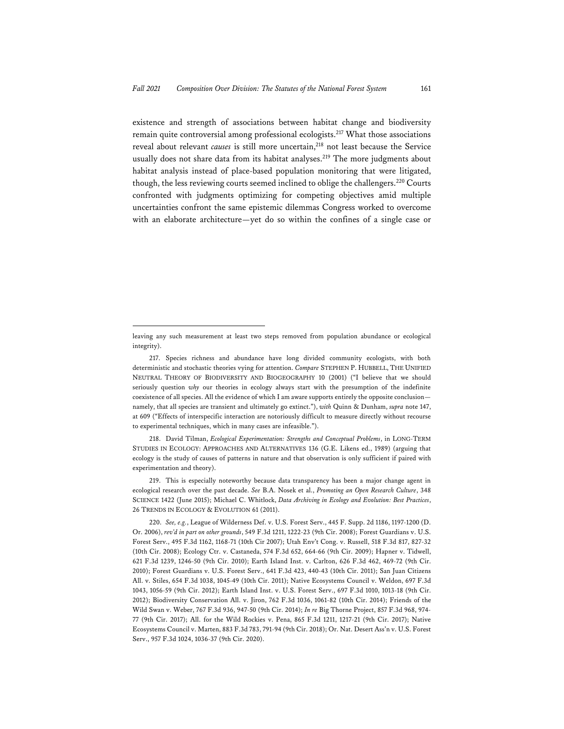existence and strength of associations between habitat change and biodiversity remain quite controversial among professional ecologists.217 What those associations reveal about relevant *causes* is still more uncertain,<sup>218</sup> not least because the Service usually does not share data from its habitat analyses.<sup>219</sup> The more judgments about habitat analysis instead of place-based population monitoring that were litigated, though, the less reviewing courts seemed inclined to oblige the challengers.220 Courts confronted with judgments optimizing for competing objectives amid multiple uncertainties confront the same epistemic dilemmas Congress worked to overcome with an elaborate architecture—yet do so within the confines of a single case or

218. David Tilman, *Ecological Experimentation: Strengths and Conceptual Problems*, in LONG-TERM STUDIES IN ECOLOGY: APPROACHES AND ALTERNATIVES 136 (G.E. Likens ed., 1989) (arguing that ecology is the study of causes of patterns in nature and that observation is only sufficient if paired with experimentation and theory).

219. This is especially noteworthy because data transparency has been a major change agent in ecological research over the past decade. *See* B.A. Nosek et al., *Promoting an Open Research Culture*, 348 SCIENCE 1422 (June 2015); Michael C. Whitlock, *Data Archiving in Ecology and Evolution: Best Practices*, 26 TRENDS IN ECOLOGY & EVOLUTION 61 (2011).

leaving any such measurement at least two steps removed from population abundance or ecological integrity).

<sup>217.</sup> Species richness and abundance have long divided community ecologists, with both deterministic and stochastic theories vying for attention. *Compare* STEPHEN P. HUBBELL, THE UNIFIED NEUTRAL THEORY OF BIODIVERSITY AND BIOGEOGRAPHY 10 (2001) ("I believe that we should seriously question *why* our theories in ecology always start with the presumption of the indefinite coexistence of all species. All the evidence of which I am aware supports entirely the opposite conclusion namely, that all species are transient and ultimately go extinct."), *with* Quinn & Dunham, *supra* note 147, at 609 ("Effects of interspecific interaction are notoriously difficult to measure directly without recourse to experimental techniques, which in many cases are infeasible.").

<sup>220.</sup> *See, e.g.*, League of Wilderness Def. v. U.S. Forest Serv., 445 F. Supp. 2d 1186, 1197-1200 (D. Or. 2006), *rev'd in part on other grounds*, 549 F.3d 1211, 1222-23 (9th Cir. 2008); Forest Guardians v. U.S. Forest Serv., 495 F.3d 1162, 1168-71 (10th Cir 2007); Utah Env't Cong. v. Russell, 518 F.3d 817, 827-32 (10th Cir. 2008); Ecology Ctr. v. Castaneda, 574 F.3d 652, 664-66 (9th Cir. 2009); Hapner v. Tidwell, 621 F.3d 1239, 1246-50 (9th Cir. 2010); Earth Island Inst. v. Carlton, 626 F.3d 462, 469-72 (9th Cir. 2010); Forest Guardians v. U.S. Forest Serv., 641 F.3d 423, 440-43 (10th Cir. 2011); San Juan Citizens All. v. Stiles, 654 F.3d 1038, 1045-49 (10th Cir. 2011); Native Ecosystems Council v. Weldon, 697 F.3d 1043, 1056-59 (9th Cir. 2012); Earth Island Inst. v. U.S. Forest Serv., 697 F.3d 1010, 1013-18 (9th Cir. 2012); Biodiversity Conservation All. v. Jiron, 762 F.3d 1036, 1061-82 (10th Cir. 2014); Friends of the Wild Swan v. Weber, 767 F.3d 936, 947-50 (9th Cir. 2014); *In re* Big Thorne Project, 857 F.3d 968, 974- 77 (9th Cir. 2017); All. for the Wild Rockies v. Pena, 865 F.3d 1211, 1217-21 (9th Cir. 2017); Native Ecosystems Council v. Marten, 883 F.3d 783, 791-94 (9th Cir. 2018); Or. Nat. Desert Ass'n v. U.S. Forest Serv., 957 F.3d 1024, 1036-37 (9th Cir. 2020).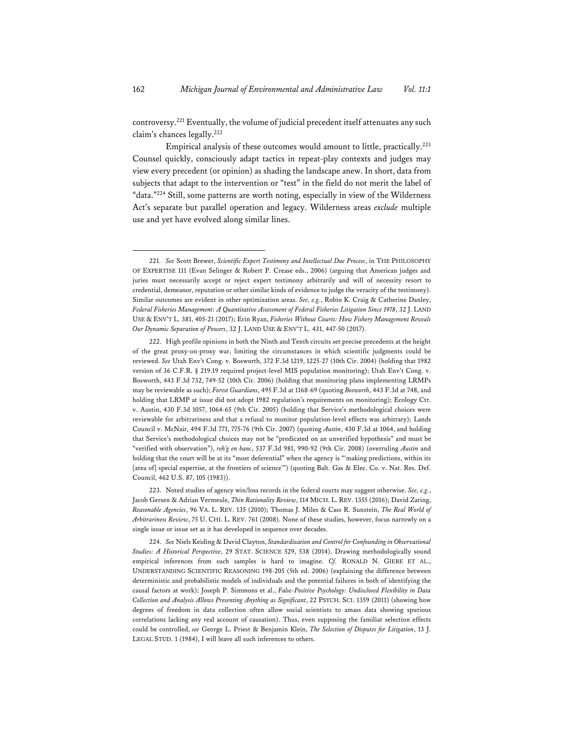controversy.221 Eventually, the volume of judicial precedent itself attenuates any such claim's chances legally.222

Empirical analysis of these outcomes would amount to little, practically.<sup>223</sup> Counsel quickly, consciously adapt tactics in repeat-play contexts and judges may view every precedent (or opinion) as shading the landscape anew. In short, data from subjects that adapt to the intervention or "test" in the field do not merit the label of "data."224 Still, some patterns are worth noting, especially in view of the Wilderness Act's separate but parallel operation and legacy. Wilderness areas *exclude* multiple use and yet have evolved along similar lines.

223. Noted studies of agency win/loss records in the federal courts may suggest otherwise. *See, e.g.*, Jacob Gersen & Adrian Vermeule, *Thin Rationality Review*, 114 MICH. L. REV. 1355 (2016); David Zaring, *Reasonable Agencies*, 96 VA. L. REV. 135 (2010); Thomas J. Miles & Cass R. Sunstein, *The Real World of Arbitrariness Review*, 75 U. CHI. L. REV. 761 (2008). None of these studies, however, focus narrowly on a single issue or issue set as it has developed in sequence over decades.

224. *See* Niels Keiding & David Clayton, *Standardization and Control for Confounding in Observational Studies: A Historical Perspective*, 29 STAT. SCIENCE 529, 538 (2014). Drawing methodologically sound empirical inferences from such samples is hard to imagine. *Cf.* RONALD N. GIERE ET AL., UNDERSTANDING SCIENTIFIC REASONING 198-205 (5th ed. 2006) (explaining the difference between deterministic and probabilistic models of individuals and the potential failures in both of identifying the causal factors at work); Joseph P. Simmons et al., *False-Positive Psychology: Undisclosed Flexibility in Data Collection and Analysis Allows Presenting Anything as Significant*, 22 PSYCH. SCI. 1359 (2011) (showing how degrees of freedom in data collection often allow social scientists to amass data showing spurious correlations lacking any real account of causation). Thus, even supposing the familiar selection effects could be controlled, *see* George L. Priest & Benjamin Klein, *The Selection of Disputes for Litigation*, 13 J. LEGAL STUD. 1 (1984), I will leave all such inferences to others.

<sup>221.</sup> *See* Scott Brewer, *Scientific Expert Testimony and Intellectual Due Process*, in THE PHILOSOPHY OF EXPERTISE 111 (Evan Selinger & Robert P. Crease eds., 2006) (arguing that American judges and juries must necessarily accept or reject expert testimony arbitrarily and will of necessity resort to credential, demeanor, reputation or other similar kinds of evidence to judge the veracity of the testimony). Similar outcomes are evident in other optimization areas. *See, e.g.*, Robin K. Craig & Catherine Danley, *Federal Fisheries Management: A Quantitative Assessment of Federal Fisheries Litigation Since 1978*, 32 J. LAND USE & ENV'T L. 381, 405-21 (2017); Erin Ryan, *Fisheries Without Courts: How Fishery Management Reveals Our Dynamic Separation of Powers*, 32 J. LAND USE & ENV'T L. 431, 447-50 (2017).

<sup>222.</sup> High profile opinions in both the Ninth and Tenth circuits set precise precedents at the height of the great proxy-on-proxy war, limiting the circumstances in which scientific judgments could be reviewed. *See* Utah Env't Cong. v. Bosworth, 372 F.3d 1219, 1225-27 (10th Cir. 2004) (holding that 1982 version of 36 C.F.R. § 219.19 required project-level MIS population monitoring); Utah Env't Cong. v. Bosworth, 443 F.3d 732, 749-52 (10th Cir. 2006) (holding that monitoring plans implementing LRMPs may be reviewable as such); *Forest Guardians*, 495 F.3d at 1168-69 (quoting *Bosworth*, 443 F.3d at 748, and holding that LRMP at issue did not adopt 1982 regulation's requirements on monitoring); Ecology Ctr. v. Austin, 430 F.3d 1057, 1064-65 (9th Cir. 2005) (holding that Service's methodological choices were reviewable for arbitrariness and that a refusal to monitor population-level effects was arbitrary); Lands Council v. McNair, 494 F.3d 771, 775-76 (9th Cir. 2007) (quoting *Austin*, 430 F.3d at 1064, and holding that Service's methodological choices may not be "predicated on an unverified hypothesis" and must be "verified with observation"), *reh'g en banc*, 537 F.3d 981, 990-92 (9th Cir. 2008) (overruling *Austin* and holding that the court will be at its "most deferential" when the agency is "'making predictions, within its [area of] special expertise, at the frontiers of science'") (quoting Balt. Gas & Elec. Co. v. Nat. Res. Def. Council, 462 U.S. 87, 105 (1983)).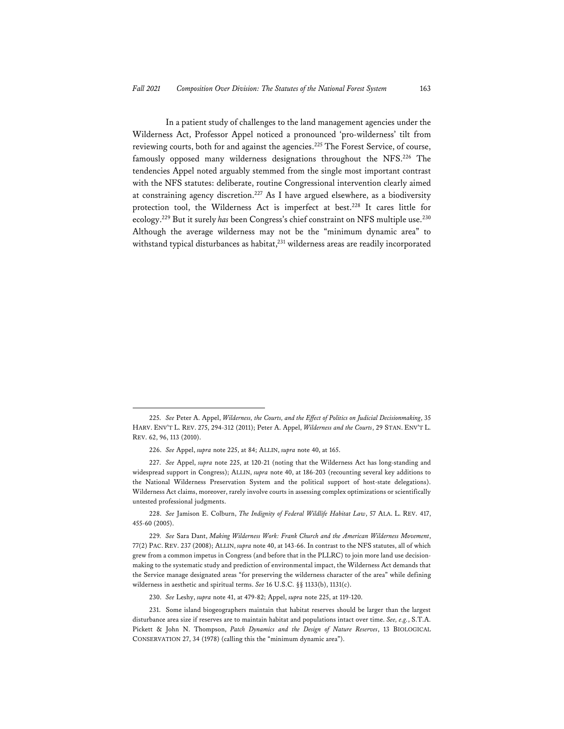In a patient study of challenges to the land management agencies under the Wilderness Act, Professor Appel noticed a pronounced 'pro-wilderness' tilt from reviewing courts, both for and against the agencies.<sup>225</sup> The Forest Service, of course, famously opposed many wilderness designations throughout the NFS.226 The tendencies Appel noted arguably stemmed from the single most important contrast with the NFS statutes: deliberate, routine Congressional intervention clearly aimed at constraining agency discretion.227 As I have argued elsewhere, as a biodiversity protection tool, the Wilderness Act is imperfect at best.<sup>228</sup> It cares little for ecology.229 But it surely *has* been Congress's chief constraint on NFS multiple use.230 Although the average wilderness may not be the "minimum dynamic area" to withstand typical disturbances as habitat,<sup>231</sup> wilderness areas are readily incorporated

<sup>225.</sup> *See* Peter A. Appel, *Wilderness, the Courts, and the Effect of Politics on Judicial Decisionmaking*, 35 HARV. ENV'T L. REV. 275, 294-312 (2011); Peter A. Appel, *Wilderness and the Courts*, 29 STAN. ENV'T L. REV. 62, 96, 113 (2010).

<sup>226.</sup> *See* Appel, *supra* note 225, at 84; ALLIN, *supra* note 40, at 165.

<sup>227.</sup> *See* Appel, *supra* note 225, at 120-21 (noting that the Wilderness Act has long-standing and widespread support in Congress); ALLIN, *supra* note 40, at 186-203 (recounting several key additions to the National Wilderness Preservation System and the political support of host-state delegations). Wilderness Act claims, moreover, rarely involve courts in assessing complex optimizations or scientifically untested professional judgments.

<sup>228.</sup> *See* Jamison E. Colburn, *The Indignity of Federal Wildlife Habitat Law*, 57 ALA. L. REV. 417, 455-60 (2005).

<sup>229</sup>*. See* Sara Dant, *Making Wilderness Work: Frank Church and the American Wilderness Movement*, 77(2) PAC. REV. 237 (2008); ALLIN, *supra* note 40, at 143-66. In contrast to the NFS statutes, all of which grew from a common impetus in Congress (and before that in the PLLRC) to join more land use decisionmaking to the systematic study and prediction of environmental impact, the Wilderness Act demands that the Service manage designated areas "for preserving the wilderness character of the area" while defining wilderness in aesthetic and spiritual terms. *See* 16 U.S.C. §§ 1133(b), 1131(c).

<sup>230.</sup> *See* Leshy, *supra* note 41, at 479-82; Appel, *supra* note 225, at 119-120.

<sup>231.</sup> Some island biogeographers maintain that habitat reserves should be larger than the largest disturbance area size if reserves are to maintain habitat and populations intact over time. *See, e.g.*, S.T.A. Pickett & John N. Thompson, *Patch Dynamics and the Design of Nature Reserves*, 13 BIOLOGICAL CONSERVATION 27, 34 (1978) (calling this the "minimum dynamic area").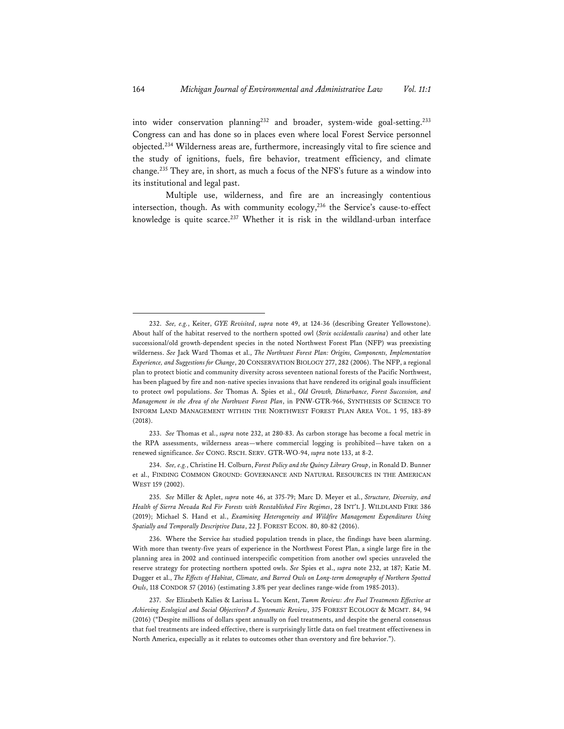into wider conservation planning<sup>232</sup> and broader, system-wide goal-setting.<sup>233</sup> Congress can and has done so in places even where local Forest Service personnel objected.234 Wilderness areas are, furthermore, increasingly vital to fire science and the study of ignitions, fuels, fire behavior, treatment efficiency, and climate change.235 They are, in short, as much a focus of the NFS's future as a window into its institutional and legal past.

Multiple use, wilderness, and fire are an increasingly contentious intersection, though. As with community ecology,<sup>236</sup> the Service's cause-to-effect knowledge is quite scarce.<sup>237</sup> Whether it is risk in the wildland-urban interface

<sup>232.</sup> *See, e.g.*, Keiter, *GYE Revisited*, *supra* note 49, at 124-36 (describing Greater Yellowstone). About half of the habitat reserved to the northern spotted owl (*Strix occidentalis caurina*) and other late successional/old growth-dependent species in the noted Northwest Forest Plan (NFP) was preexisting wilderness. *See* Jack Ward Thomas et al., *The Northwest Forest Plan: Origins, Components, Implementation Experience, and Suggestions for Change*, 20 CONSERVATION BIOLOGY 277, 282 (2006). The NFP, a regional plan to protect biotic and community diversity across seventeen national forests of the Pacific Northwest, has been plagued by fire and non-native species invasions that have rendered its original goals insufficient to protect owl populations. *See* Thomas A. Spies et al., *Old Growth, Disturbance, Forest Succession, and Management in the Area of the Northwest Forest Plan*, in PNW-GTR-966, SYNTHESIS OF SCIENCE TO INFORM LAND MANAGEMENT WITHIN THE NORTHWEST FOREST PLAN AREA VOL. 1 95, 183-89 (2018).

<sup>233.</sup> *See* Thomas et al., *supra* note 232, at 280-83. As carbon storage has become a focal metric in the RPA assessments, wilderness areas—where commercial logging is prohibited—have taken on a renewed significance. *See* CONG. RSCH. SERV. GTR-WO-94, *supra* note 133, at 8-2.

<sup>234.</sup> *See, e.g.*, Christine H. Colburn, *Forest Policy and the Quincy Library Group*, in Ronald D. Bunner et al., FINDING COMMON GROUND: GOVERNANCE AND NATURAL RESOURCES IN THE AMERICAN WEST 159 (2002).

<sup>235.</sup> *See* Miller & Aplet, *supra* note 46, at 375-79; Marc D. Meyer et al., *Structure, Diversity, and Health of Sierra Nevada Red Fir Forests with Reestablished Fire Regimes*, 28 INT'L J. WILDLAND FIRE 386 (2019); Michael S. Hand et al., *Examining Heterogeneity and Wildfire Management Expenditures Using Spatially and Temporally Descriptive Data*, 22 J. FOREST ECON. 80, 80-82 (2016).

<sup>236.</sup> Where the Service *has* studied population trends in place, the findings have been alarming. With more than twenty-five years of experience in the Northwest Forest Plan, a single large fire in the planning area in 2002 and continued interspecific competition from another owl species unraveled the reserve strategy for protecting northern spotted owls. *See* Spies et al., *supra* note 232, at 187; Katie M. Dugger et al., *The Effects of Habitat, Climate, and Barred Owls on Long-term demography of Northern Spotted Owls*, 118 CONDOR 57 (2016) (estimating 3.8% per year declines range-wide from 1985-2013).

<sup>237.</sup> *See* Elizabeth Kalies & Larissa L. Yocum Kent, *Tamm Review: Are Fuel Treatments Effective at Achieving Ecological and Social Objectives? A Systematic Review*, 375 FOREST ECOLOGY & MGMT. 84, 94 (2016) ("Despite millions of dollars spent annually on fuel treatments, and despite the general consensus that fuel treatments are indeed effective, there is surprisingly little data on fuel treatment effectiveness in North America, especially as it relates to outcomes other than overstory and fire behavior.").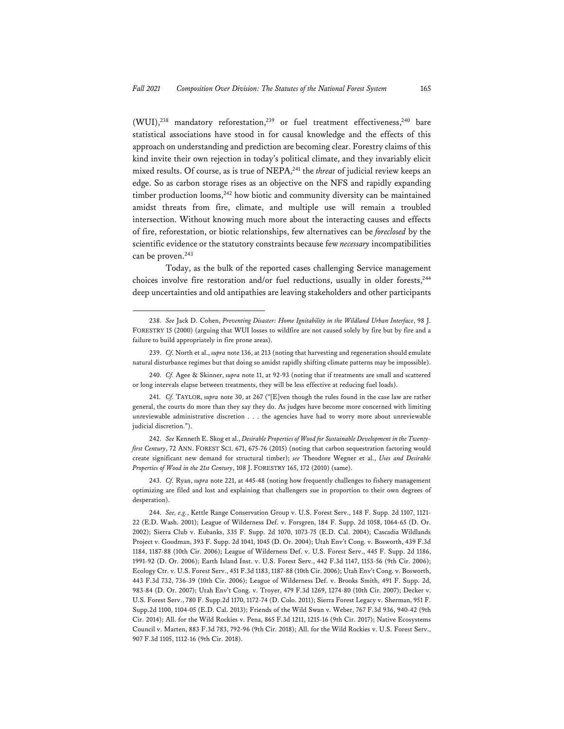(WUI),<sup>238</sup> mandatory reforestation,<sup>239</sup> or fuel treatment effectiveness,<sup>240</sup> bare statistical associations have stood in for causal knowledge and the effects of this approach on understanding and prediction are becoming clear. Forestry claims of this kind invite their own rejection in today's political climate, and they invariably elicit mixed results. Of course, as is true of NEPA,<sup>241</sup> the *threat* of judicial review keeps an edge. So as carbon storage rises as an objective on the NFS and rapidly expanding timber production looms, $242$  how biotic and community diversity can be maintained amidst threats from fire, climate, and multiple use will remain a troubled intersection. Without knowing much more about the interacting causes and effects of fire, reforestation, or biotic relationships, few alternatives can be *foreclosed* by the scientific evidence or the statutory constraints because few *necessary* incompatibilities can be proven.<sup>243</sup>

Today, as the bulk of the reported cases challenging Service management choices involve fire restoration and/or fuel reductions, usually in older forests, $244$ deep uncertainties and old antipathies are leaving stakeholders and other participants

<sup>238.</sup> *See* Jack D. Cohen, *Preventing Disaster: Home Ignitability in the Wildland Urban Interface*, 98 J. FORESTRY 15 (2000) (arguing that WUI losses to wildfire are not caused solely by fire but by fire and a failure to build appropriately in fire prone areas).

<sup>239.</sup> *Cf.* North et al., *supra* note 136, at 213 (noting that harvesting and regeneration should emulate natural disturbance regimes but that doing so amidst rapidly shifting climate patterns may be impossible).

<sup>240.</sup> *Cf.* Agee & Skinner, *supra* note 11, at 92-93 (noting that if treatments are small and scattered or long intervals elapse between treatments, they will be less effective at reducing fuel loads).

<sup>241.</sup> *Cf.* TAYLOR, *supra* note 30, at 267 ("[E]ven though the rules found in the case law are rather general, the courts do more than they say they do. As judges have become more concerned with limiting unreviewable administrative discretion . . . the agencies have had to worry more about unreviewable judicial discretion.").

<sup>242.</sup> *See* Kenneth E. Skog et al., *Desirable Properties of Wood for Sustainable Development in the Twentyfirst Century*, 72 ANN. FOREST SCI. 671, 675-76 (2015) (noting that carbon sequestration factoring would create significant new demand for structural timber); *see* Theodore Wegner et al., *Uses and Desirable Properties of Wood in the 21st Century*, 108 J. FORESTRY 165, 172 (2010) (same).

<sup>243.</sup> *Cf.* Ryan, *supra* note 221, at 445-48 (noting how frequently challenges to fishery management optimizing are filed and lost and explaining that challengers sue in proportion to their own degrees of desperation).

<sup>244.</sup> *See, e.g.*, Kettle Range Conservation Group v. U.S. Forest Serv., 148 F. Supp. 2d 1107, 1121- 22 (E.D. Wash. 2001); League of Wilderness Def. v. Forsgren, 184 F. Supp. 2d 1058, 1064-65 (D. Or. 2002); Sierra Club v. Eubanks, 335 F. Supp. 2d 1070, 1073-75 (E.D. Cal. 2004); Cascadia Wildlands Project v. Goodman, 393 F. Supp. 2d 1041, 1045 (D. Or. 2004); Utah Env't Cong. v. Bosworth, 439 F.3d 1184, 1187-88 (10th Cir. 2006); League of Wilderness Def. v. U.S. Forest Serv., 445 F. Supp. 2d 1186, 1991-92 (D. Or. 2006); Earth Island Inst. v. U.S. Forest Serv., 442 F.3d 1147, 1153-56 (9th Cir. 2006); Ecology Ctr. v. U.S. Forest Serv., 451 F.3d 1183, 1187-88 (10th Cir. 2006); Utah Env't Cong. v. Bosworth, 443 F.3d 732, 736-39 (10th Cir. 2006); League of Wilderness Def. v. Brooks Smith, 491 F. Supp. 2d, 983-84 (D. Or. 2007); Utah Env't Cong. v. Troyer, 479 F.3d 1269, 1274-80 (10th Cir. 2007); Decker v. U.S. Forest Serv., 780 F. Supp.2d 1170, 1172-74 (D. Colo. 2011); Sierra Forest Legacy v. Sherman, 951 F. Supp.2d 1100, 1104-05 (E.D. Cal. 2013); Friends of the Wild Swan v. Weber, 767 F.3d 936, 940-42 (9th Cir. 2014); All. for the Wild Rockies v. Pena, 865 F.3d 1211, 1215-16 (9th Cir. 2017); Native Ecosystems Council v. Marten, 883 F.3d 783, 792-96 (9th Cir. 2018); All. for the Wild Rockies v. U.S. Forest Serv., 907 F.3d 1105, 1112-16 (9th Cir. 2018).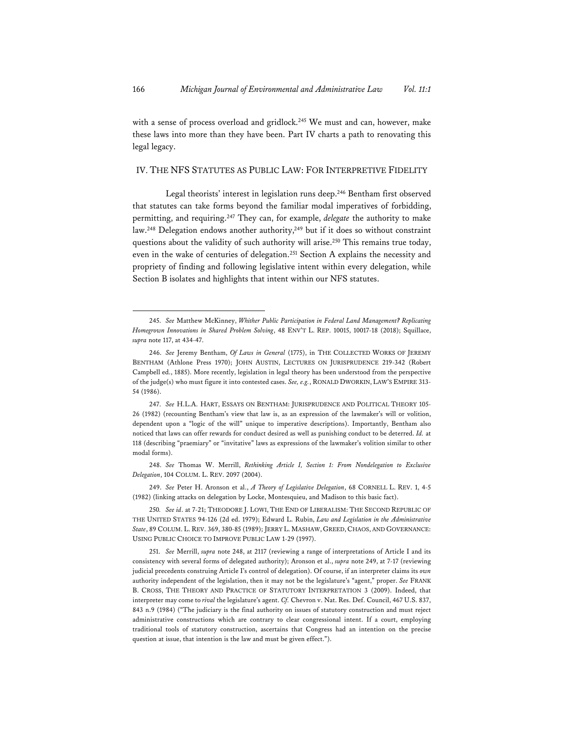with a sense of process overload and gridlock.<sup>245</sup> We must and can, however, make these laws into more than they have been. Part IV charts a path to renovating this legal legacy.

## IV. THE NFS STATUTES AS PUBLIC LAW: FOR INTERPRETIVE FIDELITY

Legal theorists' interest in legislation runs deep.<sup>246</sup> Bentham first observed that statutes can take forms beyond the familiar modal imperatives of forbidding, permitting, and requiring.247 They can, for example, *delegate* the authority to make law.<sup>248</sup> Delegation endows another authority,<sup>249</sup> but if it does so without constraint questions about the validity of such authority will arise.<sup>250</sup> This remains true today, even in the wake of centuries of delegation.251 Section A explains the necessity and propriety of finding and following legislative intent within every delegation, while Section B isolates and highlights that intent within our NFS statutes.

248. *See* Thomas W. Merrill, *Rethinking Article I, Section 1: From Nondelegation to Exclusive Delegation*, 104 COLUM. L. REV. 2097 (2004).

249. *See* Peter H. Aronson et al., *A Theory of Legislative Delegation*, 68 CORNELL L. REV. 1, 4-5 (1982) (linking attacks on delegation by Locke, Montesquieu, and Madison to this basic fact).

250*. See id*. at 7-21; THEODORE J. LOWI, THE END OF LIBERALISM: THE SECOND REPUBLIC OF THE UNITED STATES 94-126 (2d ed. 1979); Edward L. Rubin, *Law and Legislation in the Administrative State*, 89 COLUM. L. REV. 369, 380-85 (1989); JERRY L. MASHAW, GREED, CHAOS, AND GOVERNANCE: USING PUBLIC CHOICE TO IMPROVE PUBLIC LAW 1-29 (1997).

251. *See* Merrill, *supra* note 248, at 2117 (reviewing a range of interpretations of Article I and its consistency with several forms of delegated authority); Aronson et al., *supra* note 249, at 7-17 (reviewing judicial precedents construing Article I's control of delegation). Of course, if an interpreter claims its *own* authority independent of the legislation, then it may not be the legislature's "agent," proper. *See* FRANK B. CROSS, THE THEORY AND PRACTICE OF STATUTORY INTERPRETATION 3 (2009). Indeed, that interpreter may come to *rival* the legislature's agent. *Cf.* Chevron v. Nat. Res. Def. Council, 467 U.S. 837, 843 n.9 (1984) ("The judiciary is the final authority on issues of statutory construction and must reject administrative constructions which are contrary to clear congressional intent. If a court, employing traditional tools of statutory construction, ascertains that Congress had an intention on the precise question at issue, that intention is the law and must be given effect.").

<sup>245.</sup> *See* Matthew McKinney, *Whither Public Participation in Federal Land Management? Replicating Homegrown Innovations in Shared Problem Solving*, 48 ENV'T L. REP. 10015, 10017-18 (2018); Squillace, *supra* note 117, at 434-47.

<sup>246.</sup> *See* Jeremy Bentham, *Of Laws in General* (1775), in THE COLLECTED WORKS OF JEREMY BENTHAM (Athlone Press 1970); JOHN AUSTIN, LECTURES ON JURISPRUDENCE 219-342 (Robert Campbell ed., 1885). More recently, legislation in legal theory has been understood from the perspective of the judge(s) who must figure it into contested cases. *See, e.g.*, RONALD DWORKIN, LAW'S EMPIRE 313- 54 (1986).

<sup>247.</sup> *See* H.L.A. HART, ESSAYS ON BENTHAM: JURISPRUDENCE AND POLITICAL THEORY 105- 26 (1982) (recounting Bentham's view that law is, as an expression of the lawmaker's will or volition, dependent upon a "logic of the will" unique to imperative descriptions). Importantly, Bentham also noticed that laws can offer rewards for conduct desired as well as punishing conduct to be deterred. *Id.* at 118 (describing "praemiary" or "invitative" laws as expressions of the lawmaker's volition similar to other modal forms).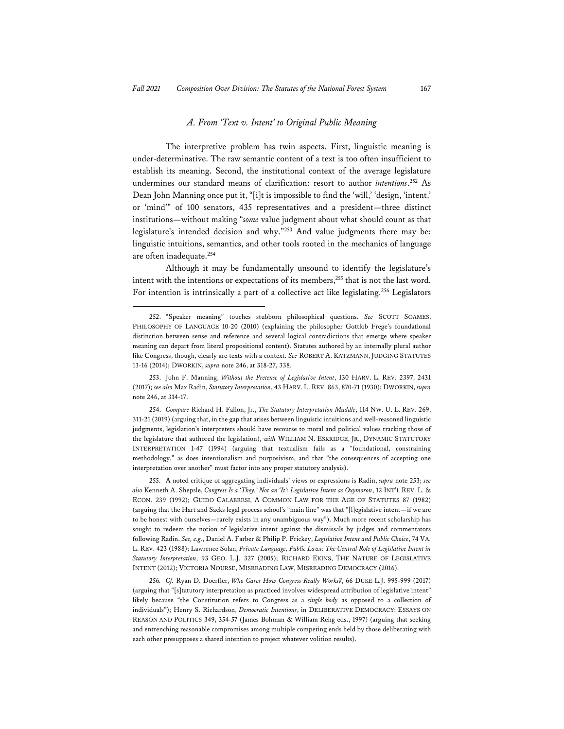#### *A. From 'Text v. Intent' to Original Public Meaning*

The interpretive problem has twin aspects. First, linguistic meaning is under-determinative. The raw semantic content of a text is too often insufficient to establish its meaning. Second, the institutional context of the average legislature undermines our standard means of clarification: resort to author *intentions*. 252 As Dean John Manning once put it, "[i]t is impossible to find the 'will,' 'design, 'intent,' or 'mind'" of 100 senators, 435 representatives and a president—three distinct institutions—without making "*some* value judgment about what should count as that legislature's intended decision and why."253 And value judgments there may be: linguistic intuitions, semantics, and other tools rooted in the mechanics of language are often inadequate.254

Although it may be fundamentally unsound to identify the legislature's intent with the intentions or expectations of its members,<sup>255</sup> that is not the last word. For intention is intrinsically a part of a collective act like legislating.<sup>256</sup> Legislators

253. John F. Manning, *Without the Pretense of Legislative Intent*, 130 HARV. L. REV. 2397, 2431 (2017); *see also* Max Radin, *Statutory Interpretation*, 43 HARV. L. REV. 863, 870-71 (1930); DWORKIN, *supra* note 246, at 314-17.

254. *Compare* Richard H. Fallon, Jr., *The Statutory Interpretation Muddle*, 114 NW. U. L. REV. 269, 311-21 (2019) (arguing that, in the gap that arises between linguistic intuitions and well-reasoned linguistic judgments, legislation's interpreters should have recourse to moral and political values tracking those of the legislature that authored the legislation), *with* WILLIAM N. ESKRIDGE, JR., DYNAMIC STATUTORY INTERPRETATION 1-47 (1994) (arguing that textualism fails as a "foundational, constraining methodology," as does intentionalism and purposivism, and that "the consequences of accepting one interpretation over another" must factor into any proper statutory analysis).

255. A noted critique of aggregating individuals' views or expressions is Radin, *supra* note 253; *see also* Kenneth A. Shepsle, *Congress Is a 'They,' Not an 'It': Legislative Intent as Oxymoron*, 12 INT'L REV. L. & ECON. 239 (1992); GUIDO CALABRESI, A COMMON LAW FOR THE AGE OF STATUTES 87 (1982) (arguing that the Hart and Sacks legal process school's "main line" was that "[l]egislative intent—if we are to be honest with ourselves—rarely exists in any unambiguous way"). Much more recent scholarship has sought to redeem the notion of legislative intent against the dismissals by judges and commentators following Radin. *See, e.g.*, Daniel A. Farber & Philip P. Frickey, *Legislative Intent and Public Choice*, 74 VA. L. REV. 423 (1988); Lawrence Solan, *Private Language, Public Laws: The Central Role of Legislative Intent in Statutory Interpretation*, 93 GEO. L.J. 327 (2005); RICHARD EKINS, THE NATURE OF LEGISLATIVE INTENT (2012); VICTORIA NOURSE, MISREADING LAW, MISREADING DEMOCRACY (2016).

256*. Cf.* Ryan D. Doerfler, *Who Cares How Congress Really Works?*, 66 DUKE L.J. 995-999 (2017) (arguing that "[s]tatutory interpretation as practiced involves widespread attribution of legislative intent" likely because "the Constitution refers to Congress as a *single body* as opposed to a collection of individuals"); Henry S. Richardson, *Democratic Intentions*, in DELIBERATIVE DEMOCRACY: ESSAYS ON REASON AND POLITICS 349, 354-57 (James Bohman & William Rehg eds., 1997) (arguing that seeking and entrenching reasonable compromises among multiple competing ends held by those deliberating with each other presupposes a shared intention to project whatever volition results).

<sup>252. &</sup>quot;Speaker meaning" touches stubborn philosophical questions. *See* SCOTT SOAMES, PHILOSOPHY OF LANGUAGE 10-20 (2010) (explaining the philosopher Gottlob Frege's foundational distinction between sense and reference and several logical contradictions that emerge where speaker meaning can depart from literal propositional content). Statutes authored by an internally plural author like Congress, though, clearly are texts with a context. *See* ROBERT A. KATZMANN, JUDGING STATUTES 13-16 (2014); DWORKIN, *supra* note 246, at 318-27, 338.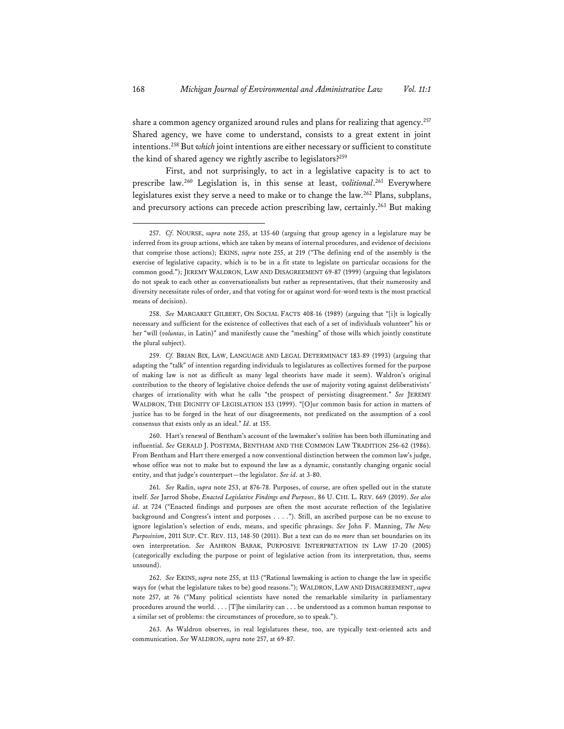share a common agency organized around rules and plans for realizing that agency.<sup>257</sup> Shared agency, we have come to understand, consists to a great extent in joint intentions.258 But *which* joint intentions are either necessary or sufficient to constitute the kind of shared agency we rightly ascribe to legislators?<sup>259</sup>

First, and not surprisingly, to act in a legislative capacity is to act to prescribe law.260 Legislation is, in this sense at least, *volitional*. 261 Everywhere legislatures exist they serve a need to make or to change the law.262 Plans, subplans, and precursory actions can precede action prescribing law, certainly.<sup>263</sup> But making

260. Hart's renewal of Bentham's account of the lawmaker's *volition* has been both illuminating and influential. *See* GERALD J. POSTEMA, BENTHAM AND THE COMMON LAW TRADITION 256-62 (1986). From Bentham and Hart there emerged a now conventional distinction between the common law's judge, whose office was not to make but to expound the law as a dynamic, constantly changing organic social entity, and that judge's counterpart—the legislator. *See id*. at 3-80.

261. *See* Radin, *supra* note 253, at 876-78. Purposes, of course, are often spelled out in the statute itself. *See* Jarrod Shobe, *Enacted Legislative Findings and Purposes*, 86 U. CHI. L. REV. 669 (2019). *See also id*. at 724 ("Enacted findings and purposes are often the most accurate reflection of the legislative background and Congress's intent and purposes . . . ."). Still, an ascribed purpose can be no excuse to ignore legislation's selection of ends, means, and specific phrasings. *See* John F. Manning, *The New Purposivism*, 2011 SUP. CT. REV. 113, 148-50 (2011). But a text can do *no more* than set boundaries on its own interpretation. *See* AAHRON BARAK, PURPOSIVE INTERPRETATION IN LAW 17-20 (2005) (categorically excluding the purpose or point of legislative action from its interpretation, thus, seems unsound).

262. *See* EKINS, *supra* note 255, at 113 ("Rational lawmaking is action to change the law in specific ways for (what the legislature takes to be) good reasons."); WALDRON, LAW AND DISAGREEMENT, *supra* note 257, at 76 ("Many political scientists have noted the remarkable similarity in parliamentary procedures around the world. . . . [T]he similarity can . . . be understood as a common human response to a similar set of problems: the circumstances of procedure, so to speak.").

263. As Waldron observes, in real legislatures these, too, are typically text-oriented acts and communication. *See* WALDRON, *supra* note 257, at 69-87.

<sup>257.</sup> *Cf*. NOURSE, *supra* note 255, at 135-60 (arguing that group agency in a legislature may be inferred from its group actions, which are taken by means of internal procedures, and evidence of decisions that comprise those actions); EKINS, *supra* note 255, at 219 ("The defining end of the assembly is the exercise of legislative capacity, which is to be in a fit state to legislate on particular occasions for the common good."); JEREMY WALDRON, LAW AND DISAGREEMENT 69-87 (1999) (arguing that legislators do not speak to each other as conversationalists but rather as representatives, that their numerosity and diversity necessitate rules of order, and that voting for or against word-for-word texts is the most practical means of decision).

<sup>258.</sup> *See* MARGARET GILBERT, ON SOCIAL FACTS 408-16 (1989) (arguing that "[i]t is logically necessary and sufficient for the existence of collectives that each of a set of individuals volunteer" his or her "will (*voluntas*, in Latin)" and manifestly cause the "meshing" of those wills which jointly constitute the plural subject).

<sup>259.</sup> *Cf.* BRIAN BIX, LAW, LANGUAGE AND LEGAL DETERMINACY 183-89 (1993) (arguing that adapting the "talk" of intention regarding individuals to legislatures as collectives formed for the purpose of making law is not as difficult as many legal theorists have made it seem). Waldron's original contribution to the theory of legislative choice defends the use of majority voting against deliberativists' charges of irrationality with what he calls "the prospect of persisting disagreement." *See* JEREMY WALDRON, THE DIGNITY OF LEGISLATION 153 (1999). "[O]ur common basis for action in matters of justice has to be forged in the heat of our disagreements, not predicated on the assumption of a cool consensus that exists only as an ideal." *Id*. at 155.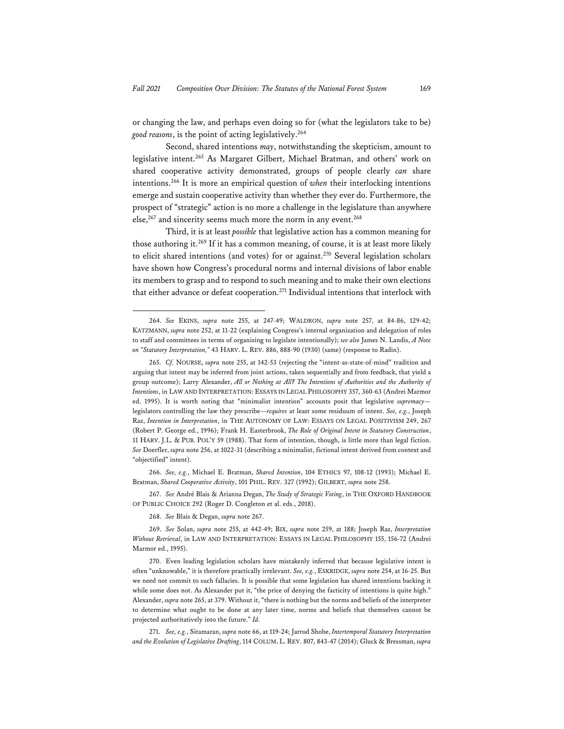or changing the law, and perhaps even doing so for (what the legislators take to be) *good reasons*, is the point of acting legislatively.264

Second, shared intentions *may*, notwithstanding the skepticism, amount to legislative intent.265 As Margaret Gilbert, Michael Bratman, and others' work on shared cooperative activity demonstrated, groups of people clearly *can* share intentions.266 It is more an empirical question of *when* their interlocking intentions emerge and sustain cooperative activity than whether they ever do. Furthermore, the prospect of "strategic" action is no more a challenge in the legislature than anywhere else,<sup>267</sup> and sincerity seems much more the norm in any event.<sup>268</sup>

Third, it is at least *possible* that legislative action has a common meaning for those authoring it.269 If it has a common meaning, of course, it is at least more likely to elicit shared intentions (and votes) for or against.<sup>270</sup> Several legislation scholars have shown how Congress's procedural norms and internal divisions of labor enable its members to grasp and to respond to such meaning and to make their own elections that either advance or defeat cooperation.271 Individual intentions that interlock with

266. *See, e.g.*, Michael E. Bratman, *Shared Intention*, 104 ETHICS 97, 108-12 (1993); Michael E. Bratman, *Shared Cooperative Activity*, 101 PHIL. REV. 327 (1992); GILBERT, *supra* note 258.

267. *See* André Blais & Arianna Degan, *The Study of Strategic Voting*, in THE OXFORD HANDBOOK OF PUBLIC CHOICE 292 (Roger D. Congleton et al. eds., 2018).

268. *See* Blais & Degan, *supra* note 267.

<sup>264.</sup> *See* EKINS, *supra* note 255, at 247-49; WALDRON, *supra* note 257, at 84-86, 129-42; KATZMANN, *supra* note 252, at 11-22 (explaining Congress's internal organization and delegation of roles to staff and committees in terms of organizing to legislate intentionally); *see also* James N. Landis, *A Note on "Statutory Interpretation,"* 43 HARV. L. REV. 886, 888-90 (1930) (same) (response to Radin).

<sup>265.</sup> *Cf.* NOURSE, *supra* note 255, at 142-53 (rejecting the "intent-as-state-of-mind" tradition and arguing that intent may be inferred from joint actions, taken sequentially and from feedback, that yield a group outcome); Larry Alexander, *All or Nothing at All? The Intentions of Authorities and the Authority of Intentions*, in LAW AND INTERPRETATION: ESSAYS IN LEGAL PHILOSOPHY 357, 360-63 (Andrei Marmor ed. 1995). It is worth noting that "minimalist intention" accounts posit that legislative *supremacy* legislators controlling the law they prescribe—*requires* at least some residuum of intent. *See, e.g.*, Joseph Raz, *Intention in Interpretation*, in THE AUTONOMY OF LAW: ESSAYS ON LEGAL POSITIVISM 249, 267 (Robert P. George ed., 1996); Frank H. Easterbrook, *The Role of Original Intent in Statutory Construction*, 11 HARV. J.L. & PUB. POL'Y 59 (1988). That form of intention, though, is little more than legal fiction. *See* Doerfler, *supra* note 256, at 1022-31 (describing a minimalist, fictional intent derived from context and "objectified" intent).

<sup>269.</sup> *See* Solan, *supra* note 255, at 442-49; BIX, *supra* note 259, at 188; Joseph Raz, *Interpretation Without Retrieval*, in LAW AND INTERPRETATION: ESSAYS IN LEGAL PHILOSOPHY 155, 156-72 (Andrei Marmor ed., 1995).

<sup>270.</sup> Even leading legislation scholars have mistakenly inferred that because legislative intent is often "unknowable," it is therefore practically irrelevant. *See, e.g.*, ESKRIDGE, *supra* note 254, at 16-25. But we need not commit to such fallacies. It is possible that some legislation has shared intentions backing it while some does not. As Alexander put it, "the price of denying the facticity of intentions is quite high." Alexander, *supra* note 265, at 379. Without it, "there is nothing but the norms and beliefs of the interpreter to determine what ought to be done at any later time, norms and beliefs that themselves cannot be projected authoritatively into the future." *Id.*

<sup>271.</sup> *See, e.g.*, Sitamaran, *supra* note 66, at 119-24; Jarrod Shobe, *Intertemporal Statutory Interpretation and the Evolution of Legislative Drafting*, 114 COLUM. L. REV. 807, 843-47 (2014); Gluck & Bressman, *supra*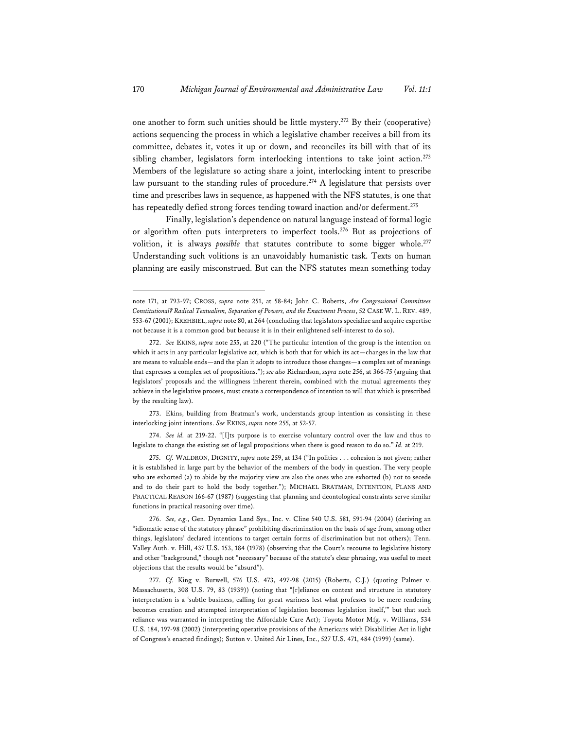one another to form such unities should be little mystery.272 By their (cooperative) actions sequencing the process in which a legislative chamber receives a bill from its committee, debates it, votes it up or down, and reconciles its bill with that of its sibling chamber, legislators form interlocking intentions to take joint action.<sup>273</sup> Members of the legislature so acting share a joint, interlocking intent to prescribe law pursuant to the standing rules of procedure.<sup>274</sup> A legislature that persists over time and prescribes laws in sequence, as happened with the NFS statutes, is one that has repeatedly defied strong forces tending toward inaction and/or deferment.<sup>275</sup>

Finally, legislation's dependence on natural language instead of formal logic or algorithm often puts interpreters to imperfect tools.<sup>276</sup> But as projections of volition, it is always *possible* that statutes contribute to some bigger whole.<sup>277</sup> Understanding such volitions is an unavoidably humanistic task. Texts on human planning are easily misconstrued. But can the NFS statutes mean something today

273. Ekins, building from Bratman's work, understands group intention as consisting in these interlocking joint intentions. *See* EKINS, *supra* note 255, at 52-57.

274. *See id.* at 219-22. "[I]ts purpose is to exercise voluntary control over the law and thus to legislate to change the existing set of legal propositions when there is good reason to do so." *Id.* at 219.

275. *Cf.* WALDRON, DIGNITY, *supra* note 259, at 134 ("In politics . . . cohesion is not given; rather it is established in large part by the behavior of the members of the body in question. The very people who are exhorted (a) to abide by the majority view are also the ones who are exhorted (b) not to secede and to do their part to hold the body together."); MICHAEL BRATMAN, INTENTION, PLANS AND PRACTICAL REASON 166-67 (1987) (suggesting that planning and deontological constraints serve similar functions in practical reasoning over time).

276. *See, e.g.*, Gen. Dynamics Land Sys., Inc. v. Cline 540 U.S. 581, 591-94 (2004) (deriving an "idiomatic sense of the statutory phrase" prohibiting discrimination on the basis of age from, among other things, legislators' declared intentions to target certain forms of discrimination but not others); Tenn. Valley Auth. v. Hill, 437 U.S. 153, 184 (1978) (observing that the Court's recourse to legislative history and other "background," though not "necessary" because of the statute's clear phrasing, was useful to meet objections that the results would be "absurd").

277. *Cf.* King v. Burwell, 576 U.S. 473, 497-98 (2015) (Roberts, C.J.) (quoting Palmer v. Massachusetts, 308 U.S. 79, 83 (1939)) (noting that "[r]eliance on context and structure in statutory interpretation is a 'subtle business, calling for great wariness lest what professes to be mere rendering becomes creation and attempted interpretation of legislation becomes legislation itself,'" but that such reliance was warranted in interpreting the Affordable Care Act); Toyota Motor Mfg. v. Williams, 534 U.S. 184, 197-98 (2002) (interpreting operative provisions of the Americans with Disabilities Act in light of Congress's enacted findings); Sutton v. United Air Lines, Inc., 527 U.S. 471, 484 (1999) (same).

note 171, at 793-97; CROSS, *supra* note 251, at 58-84; John C. Roberts, *Are Congressional Committees Constitutional? Radical Textualism, Separation of Powers, and the Enactment Process*, 52 CASE W. L. REV. 489, 553-67 (2001); KREHBIEL, *supra* note 80, at 264 (concluding that legislators specialize and acquire expertise not because it is a common good but because it is in their enlightened self-interest to do so).

<sup>272.</sup> *See* EKINS, *supra* note 255, at 220 ("The particular intention of the group is the intention on which it acts in any particular legislative act, which is both that for which its act—changes in the law that are means to valuable ends—and the plan it adopts to introduce those changes—a complex set of meanings that expresses a complex set of propositions."); *see also* Richardson, *supra* note 256, at 366-75 (arguing that legislators' proposals and the willingness inherent therein, combined with the mutual agreements they achieve in the legislative process, must create a correspondence of intention to will that which is prescribed by the resulting law).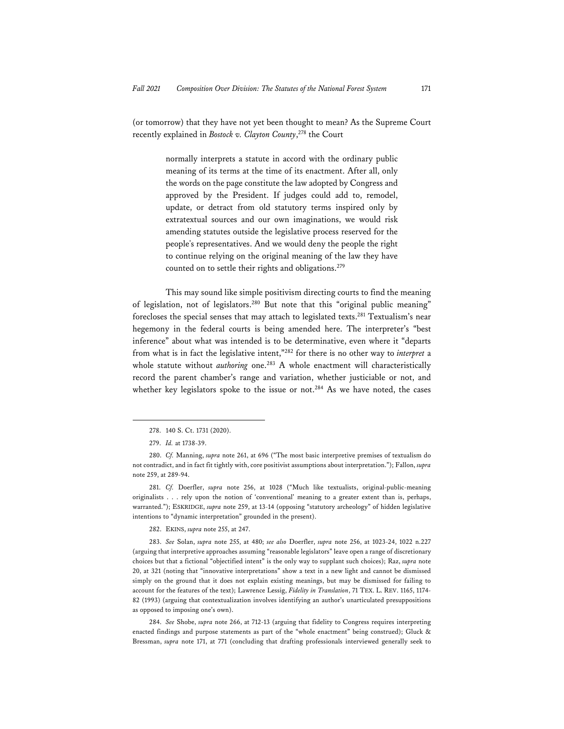(or tomorrow) that they have not yet been thought to mean? As the Supreme Court recently explained in *Bostock v. Clayton County*, 278 the Court

> normally interprets a statute in accord with the ordinary public meaning of its terms at the time of its enactment. After all, only the words on the page constitute the law adopted by Congress and approved by the President. If judges could add to, remodel, update, or detract from old statutory terms inspired only by extratextual sources and our own imaginations, we would risk amending statutes outside the legislative process reserved for the people's representatives. And we would deny the people the right to continue relying on the original meaning of the law they have counted on to settle their rights and obligations.<sup>279</sup>

This may sound like simple positivism directing courts to find the meaning of legislation, not of legislators.280 But note that this "original public meaning" forecloses the special senses that may attach to legislated texts.281 Textualism's near hegemony in the federal courts is being amended here. The interpreter's "best inference" about what was intended is to be determinative, even where it "departs from what is in fact the legislative intent,"282 for there is no other way to *interpret* a whole statute without *authoring* one.<sup>283</sup> A whole enactment will characteristically record the parent chamber's range and variation, whether justiciable or not, and whether key legislators spoke to the issue or not.<sup>284</sup> As we have noted, the cases

282. EKINS, *supra* note 255, at 247.

283. *See* Solan, *supra* note 255, at 480; *see also* Doerfler, *supra* note 256, at 1023-24, 1022 n.227 (arguing that interpretive approaches assuming "reasonable legislators" leave open a range of discretionary choices but that a fictional "objectified intent" is the only way to supplant such choices); Raz, *supra* note 20, at 321 (noting that "innovative interpretations" show a text in a new light and cannot be dismissed simply on the ground that it does not explain existing meanings, but may be dismissed for failing to account for the features of the text); Lawrence Lessig, *Fidelity in Translation*, 71 TEX. L. REV. 1165, 1174- 82 (1993) (arguing that contextualization involves identifying an author's unarticulated presuppositions as opposed to imposing one's own).

284. *See* Shobe, *supra* note 266, at 712-13 (arguing that fidelity to Congress requires interpreting enacted findings and purpose statements as part of the "whole enactment" being construed); Gluck & Bressman, *supra* note 171, at 771 (concluding that drafting professionals interviewed generally seek to

<sup>278. 140</sup> S. Ct. 1731 (2020).

<sup>279.</sup> *Id.* at 1738-39.

<sup>280.</sup> *Cf.* Manning, *supra* note 261, at 696 ("The most basic interpretive premises of textualism do not contradict, and in fact fit tightly with, core positivist assumptions about interpretation."); Fallon, *supra* note 259, at 289-94.

<sup>281.</sup> *Cf.* Doerfler, *supra* note 256, at 1028 ("Much like textualists, original-public-meaning originalists . . . rely upon the notion of 'conventional' meaning to a greater extent than is, perhaps, warranted."); ESKRIDGE, *supra* note 259, at 13-14 (opposing "statutory archeology" of hidden legislative intentions to "dynamic interpretation" grounded in the present).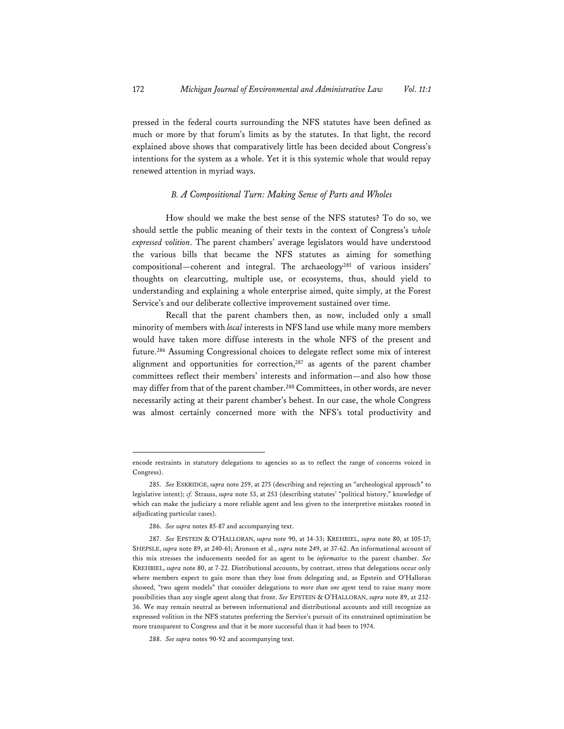pressed in the federal courts surrounding the NFS statutes have been defined as much or more by that forum's limits as by the statutes. In that light, the record explained above shows that comparatively little has been decided about Congress's intentions for the system as a whole. Yet it is this systemic whole that would repay renewed attention in myriad ways.

## *B. A Compositional Turn: Making Sense of Parts and Wholes*

How should we make the best sense of the NFS statutes? To do so, we should settle the public meaning of their texts in the context of Congress's *whole expressed volition*. The parent chambers' average legislators would have understood the various bills that became the NFS statutes as aiming for something compositional—coherent and integral. The archaeology<sup>285</sup> of various insiders' thoughts on clearcutting, multiple use, or ecosystems, thus, should yield to understanding and explaining a whole enterprise aimed, quite simply, at the Forest Service's and our deliberate collective improvement sustained over time.

Recall that the parent chambers then, as now, included only a small minority of members with *local* interests in NFS land use while many more members would have taken more diffuse interests in the whole NFS of the present and future.286 Assuming Congressional choices to delegate reflect some mix of interest alignment and opportunities for correction,<sup>287</sup> as agents of the parent chamber committees reflect their members' interests and information—and also how those may differ from that of the parent chamber.<sup>288</sup> Committees, in other words, are never necessarily acting at their parent chamber's behest. In our case, the whole Congress was almost certainly concerned more with the NFS's total productivity and

encode restraints in statutory delegations to agencies so as to reflect the range of concerns voiced in Congress).

<sup>285.</sup> *See* ESKRIDGE, *supra* note 259, at 275 (describing and rejecting an "archeological approach" to legislative intent); *cf.* Strauss, *supra* note 53, at 253 (describing statutes' "political history," knowledge of which can make the judiciary a more reliable agent and less given to the interpretive mistakes rooted in adjudicating particular cases).

<sup>286.</sup> *See supra* notes 85-87 and accompanying text.

<sup>287.</sup> *See* EPSTEIN & O'HALLORAN, *supra* note 90, at 14-33; KREHBIEL, *supra* note 80, at 105-17; SHEPSLE, *supra* note 89, at 240-61; Aronson et al., *supra* note 249, at 37-62. An informational account of this mix stresses the inducements needed for an agent to be *informative* to the parent chamber. *See* KREHBIEL, *supra* note 80, at 7-22. Distributional accounts, by contrast, stress that delegations occur only where members expect to gain more than they lose from delegating and, as Epstein and O'Halloran showed, "two agent models" that consider delegations to *more than one agent* tend to raise many more possibilities than any single agent along that front. *See* EPSTEIN & O'HALLORAN, *supra* note 89, at 232- 36. We may remain neutral as between informational and distributional accounts and still recognize an expressed volition in the NFS statutes preferring the Service's pursuit of its constrained optimization be more transparent to Congress and that it be more successful than it had been to 1974.

<sup>288.</sup> *See supra* notes 90-92 and accompanying text.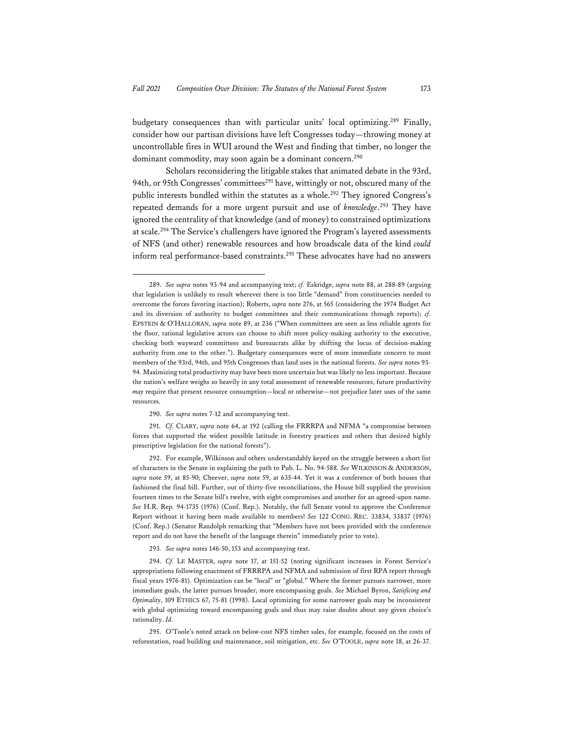budgetary consequences than with particular units' local optimizing.<sup>289</sup> Finally, consider how our partisan divisions have left Congresses today—throwing money at uncontrollable fires in WUI around the West and finding that timber, no longer the dominant commodity, may soon again be a dominant concern.<sup>290</sup>

Scholars reconsidering the litigable stakes that animated debate in the 93rd, 94th, or 95th Congresses' committees<sup>291</sup> have, wittingly or not, obscured many of the public interests bundled within the statutes as a whole.<sup>292</sup> They ignored Congress's repeated demands for a more urgent pursuit and use of *knowledge*. 293 They have ignored the centrality of that knowledge (and of money) to constrained optimizations at scale.294 The Service's challengers have ignored the Program's layered assessments of NFS (and other) renewable resources and how broadscale data of the kind *could* inform real performance-based constraints.295 These advocates have had no answers

290. *See supra* notes 7-12 and accompanying text.

291. *Cf.* CLARY, *supra* note 64, at 192 (calling the FRRRPA and NFMA "a compromise between forces that supported the widest possible latitude in forestry practices and others that desired highly prescriptive legislation for the national forests").

292. For example, Wilkinson and others understandably keyed on the struggle between a short list of characters in the Senate in explaining the path to Pub. L. No. 94-588. *See* WILKINSON & ANDERSON, *supra* note 59, at 85-90; Cheever, *supra* note 59, at 635-44. Yet it was a conference of both houses that fashioned the final bill. Further, out of thirty-five reconciliations, the House bill supplied the provision fourteen times to the Senate bill's twelve, with eight compromises and another for an agreed-upon name. *See* H.R. Rep. 94-1735 (1976) (Conf. Rep.). Notably, the full Senate voted to approve the Conference Report without it having been made available to members! *See* 122 CONG. REC. 33834, 33837 (1976) (Conf. Rep.) (Senator Randolph remarking that "Members have not been provided with the conference report and do not have the benefit of the language therein" immediately prior to vote).

293*. See supra* notes 146-50, 153 and accompanying text.

294. *Cf.* LE MASTER, *supra* note 17, at 151-52 (noting significant increases in Forest Service's appropriations following enactment of FRRRPA and NFMA and submission of first RPA report through fiscal years 1976-81). Optimization can be "local" or "global." Where the former pursues narrower, more immediate goals, the latter pursues broader, more encompassing goals. *See* Michael Byron, *Satisficing and Optimality*, 109 ETHICS 67, 75-81 (1998). Local optimizing for some narrower goals may be inconsistent with global optimizing toward encompassing goals and thus may raise doubts about any given choice's rationality. *Id.*

295. O'Toole's noted attack on below-cost NFS timber sales, for example, focused on the costs of reforestation, road building and maintenance, soil mitigation, etc. *See* O'TOOLE, *supra* note 18, at 26-37.

<sup>289.</sup> *See supra* notes 93-94 and accompanying text; *cf.* Eskridge, *supra* note 88, at 288-89 (arguing that legislation is unlikely to result wherever there is too little "demand" from constituencies needed to overcome the forces favoring inaction); Roberts, *supra* note 276, at 565 (considering the 1974 Budget Act and its diversion of authority to budget committees and their communications through reports); *cf.* EPSTEIN & O'HALLORAN, *supra* note 89, at 236 ("When committees are seen as less reliable agents for the floor, rational legislative actors can choose to shift more policy-making authority to the executive, checking both wayward committees and bureaucrats alike by shifting the locus of decision-making authority from one to the other."). Budgetary consequences were of more immediate concern to most members of the 93rd, 94th, and 95th Congresses than land uses in the national forests. *See supra* notes 93- 94. Maximizing total productivity may have been more uncertain but was likely no less important. Because the nation's welfare weighs so heavily in any total assessment of renewable resources, future productivity *may* require that present resource consumption—local or otherwise—not prejudice later uses of the same resources.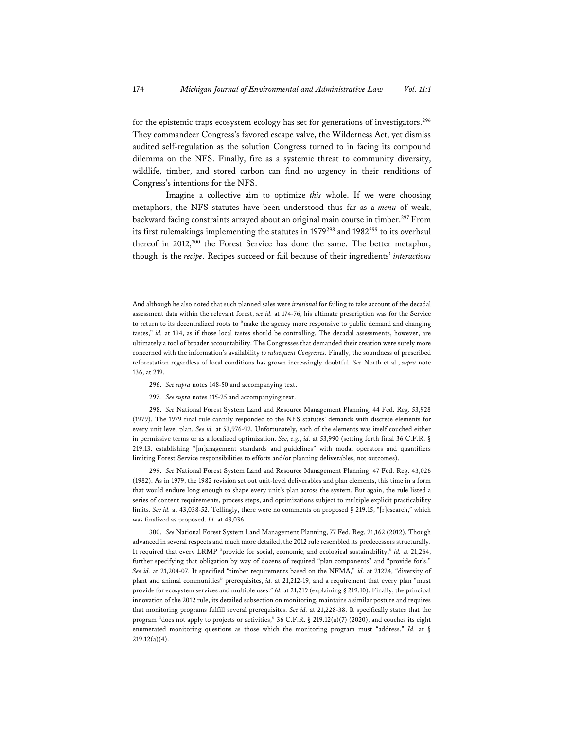for the epistemic traps ecosystem ecology has set for generations of investigators.<sup>296</sup> They commandeer Congress's favored escape valve, the Wilderness Act, yet dismiss audited self-regulation as the solution Congress turned to in facing its compound dilemma on the NFS. Finally, fire as a systemic threat to community diversity, wildlife, timber, and stored carbon can find no urgency in their renditions of Congress's intentions for the NFS.

Imagine a collective aim to optimize *this* whole. If we were choosing metaphors, the NFS statutes have been understood thus far as a *menu* of weak, backward facing constraints arrayed about an original main course in timber.<sup>297</sup> From its first rulemakings implementing the statutes in 1979<sup>298</sup> and 1982<sup>299</sup> to its overhaul thereof in 2012,300 the Forest Service has done the same. The better metaphor, though, is the *recipe*. Recipes succeed or fail because of their ingredients' *interactions*

- 296. *See supra* notes 148-50 and accompanying text.
- 297. *See supra* notes 115-25 and accompanying text.

299. *See* National Forest System Land and Resource Management Planning, 47 Fed. Reg. 43,026 (1982). As in 1979, the 1982 revision set out unit-level deliverables and plan elements, this time in a form that would endure long enough to shape every unit's plan across the system. But again, the rule listed a series of content requirements, process steps, and optimizations subject to multiple explicit practicability limits. *See id.* at 43,038-52. Tellingly, there were no comments on proposed § 219.15, "[r]esearch," which was finalized as proposed. *Id.* at 43,036.

And although he also noted that such planned sales were *irrational* for failing to take account of the decadal assessment data within the relevant forest, *see id.* at 174-76, his ultimate prescription was for the Service to return to its decentralized roots to "make the agency more responsive to public demand and changing tastes," *id.* at 194, as if those local tastes should be controlling. The decadal assessments, however, are ultimately a tool of broader accountability. The Congresses that demanded their creation were surely more concerned with the information's availability *to subsequent Congresses*. Finally, the soundness of prescribed reforestation regardless of local conditions has grown increasingly doubtful. *See* North et al., *supra* note 136, at 219.

<sup>298.</sup> *See* National Forest System Land and Resource Management Planning, 44 Fed. Reg. 53,928 (1979). The 1979 final rule cannily responded to the NFS statutes' demands with discrete elements for every unit level plan. *See id.* at 53,976-92. Unfortunately, each of the elements was itself couched either in permissive terms or as a localized optimization. *See, e.g.*, *id.* at 53,990 (setting forth final 36 C.F.R. § 219.13, establishing "[m]anagement standards and guidelines" with modal operators and quantifiers limiting Forest Service responsibilities to efforts and/or planning deliverables, not outcomes).

<sup>300.</sup> *See* National Forest System Land Management Planning, 77 Fed. Reg. 21,162 (2012). Though advanced in several respects and much more detailed, the 2012 rule resembled its predecessors structurally. It required that every LRMP "provide for social, economic, and ecological sustainability," *id.* at 21,264, further specifying that obligation by way of dozens of required "plan components" and "provide for's." *See id.* at 21,204-07. It specified "timber requirements based on the NFMA," *id.* at 21224, "diversity of plant and animal communities" prerequisites, *id.* at 21,212-19, and a requirement that every plan "must provide for ecosystem services and multiple uses." *Id.* at 21,219 (explaining § 219.10). Finally, the principal innovation of the 2012 rule, its detailed subsection on monitoring, maintains a similar posture and requires that monitoring programs fulfill several prerequisites. *See id.* at 21,228-38. It specifically states that the program "does not apply to projects or activities," 36 C.F.R. § 219.12(a)(7) (2020), and couches its eight enumerated monitoring questions as those which the monitoring program must "address." *Id.* at § 219.12(a)(4).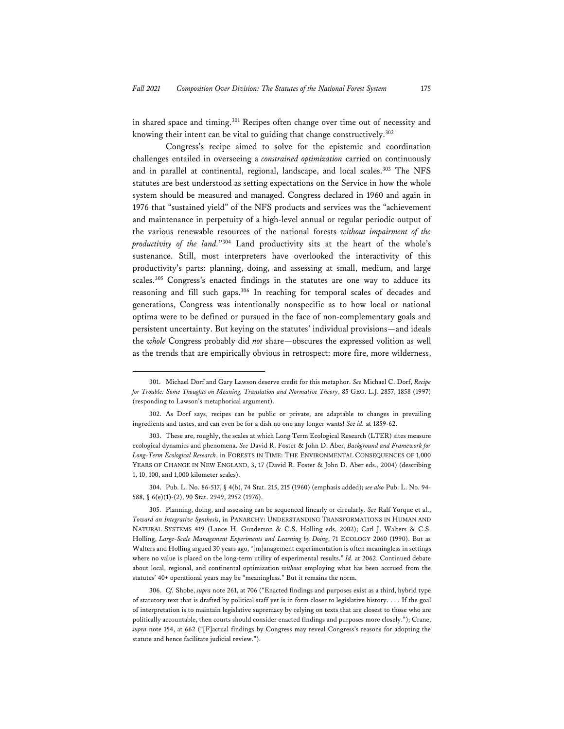in shared space and timing.<sup>301</sup> Recipes often change over time out of necessity and knowing their intent can be vital to guiding that change constructively.302

Congress's recipe aimed to solve for the epistemic and coordination challenges entailed in overseeing a *constrained optimization* carried on continuously and in parallel at continental, regional, landscape, and local scales.<sup>303</sup> The NFS statutes are best understood as setting expectations on the Service in how the whole system should be measured and managed. Congress declared in 1960 and again in 1976 that "sustained yield" of the NFS products and services was the "achievement and maintenance in perpetuity of a high-level annual or regular periodic output of the various renewable resources of the national forests *without impairment of the productivity of the land.*"304 Land productivity sits at the heart of the whole's sustenance. Still, most interpreters have overlooked the interactivity of this productivity's parts: planning, doing, and assessing at small, medium, and large scales.305 Congress's enacted findings in the statutes are one way to adduce its reasoning and fill such gaps.306 In reaching for temporal scales of decades and generations, Congress was intentionally nonspecific as to how local or national optima were to be defined or pursued in the face of non-complementary goals and persistent uncertainty. But keying on the statutes' individual provisions—and ideals the *whole* Congress probably did *not* share—obscures the expressed volition as well as the trends that are empirically obvious in retrospect: more fire, more wilderness,

<sup>301.</sup> Michael Dorf and Gary Lawson deserve credit for this metaphor. *See* Michael C. Dorf, *Recipe for Trouble: Some Thoughts on Meaning, Translation and Normative Theory*, 85 GEO. L.J. 2857, 1858 (1997) (responding to Lawson's metaphorical argument).

<sup>302.</sup> As Dorf says, recipes can be public or private, are adaptable to changes in prevailing ingredients and tastes, and can even be for a dish no one any longer wants! *See id.* at 1859-62.

<sup>303.</sup> These are, roughly, the scales at which Long Term Ecological Research (LTER) sites measure ecological dynamics and phenomena. *See* David R. Foster & John D. Aber, *Background and Framework for Long-Term Ecological Research*, in FORESTS IN TIME: THE ENVIRONMENTAL CONSEQUENCES OF 1,000 YEARS OF CHANGE IN NEW ENGLAND, 3, 17 (David R. Foster & John D. Aber eds., 2004) (describing 1, 10, 100, and 1,000 kilometer scales).

<sup>304.</sup> Pub. L. No. 86-517, § 4(b), 74 Stat. 215, 215 (1960) (emphasis added); *see also* Pub. L. No. 94- 588, § 6(e)(1)-(2), 90 Stat. 2949, 2952 (1976).

<sup>305.</sup> Planning, doing, and assessing can be sequenced linearly or circularly. *See* Ralf Yorque et al., *Toward an Integrative Synthesis*, in PANARCHY: UNDERSTANDING TRANSFORMATIONS IN HUMAN AND NATURAL SYSTEMS 419 (Lance H. Gunderson & C.S. Holling eds. 2002); Carl J. Walters & C.S. Holling, *Large-Scale Management Experiments and Learning by Doing*, 71 ECOLOGY 2060 (1990). But as Walters and Holling argued 30 years ago, "[m]anagement experimentation is often meaningless in settings where no value is placed on the long-term utility of experimental results." *Id.* at 2062. Continued debate about local, regional, and continental optimization *without* employing what has been accrued from the statutes' 40+ operational years may be "meaningless." But it remains the norm.

<sup>306</sup>*. Cf.* Shobe, *supra* note 261, at 706 ("Enacted findings and purposes exist as a third, hybrid type of statutory text that is drafted by political staff yet is in form closer to legislative history. . . . If the goal of interpretation is to maintain legislative supremacy by relying on texts that are closest to those who are politically accountable, then courts should consider enacted findings and purposes more closely."); Crane, *supra* note 154, at 662 ("[F]actual findings by Congress may reveal Congress's reasons for adopting the statute and hence facilitate judicial review.").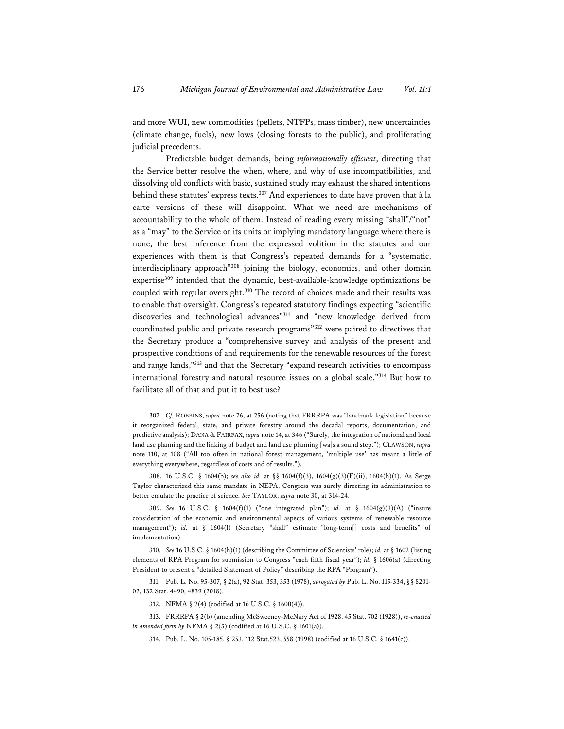and more WUI, new commodities (pellets, NTFPs, mass timber), new uncertainties (climate change, fuels), new lows (closing forests to the public), and proliferating judicial precedents.

Predictable budget demands, being *informationally efficient*, directing that the Service better resolve the when, where, and why of use incompatibilities, and dissolving old conflicts with basic, sustained study may exhaust the shared intentions behind these statutes' express texts.307 And experiences to date have proven that à la carte versions of these will disappoint. What we need are mechanisms of accountability to the whole of them. Instead of reading every missing "shall"/"not" as a "may" to the Service or its units or implying mandatory language where there is none, the best inference from the expressed volition in the statutes and our experiences with them is that Congress's repeated demands for a "systematic, interdisciplinary approach"308 joining the biology, economics, and other domain expertise<sup>309</sup> intended that the dynamic, best-available-knowledge optimizations be coupled with regular oversight.310 The record of choices made and their results was to enable that oversight. Congress's repeated statutory findings expecting "scientific discoveries and technological advances"311 and "new knowledge derived from coordinated public and private research programs"312 were paired to directives that the Secretary produce a "comprehensive survey and analysis of the present and prospective conditions of and requirements for the renewable resources of the forest and range lands,"313 and that the Secretary "expand research activities to encompass international forestry and natural resource issues on a global scale."314 But how to facilitate all of that and put it to best use?

<sup>307.</sup> *Cf.* ROBBINS, *supra* note 76, at 256 (noting that FRRRPA was "landmark legislation" because it reorganized federal, state, and private forestry around the decadal reports, documentation, and predictive analysis); DANA & FAIRFAX, *supra* note 14, at 346 ("Surely, the integration of national and local land use planning and the linking of budget and land use planning [wa]s a sound step."); CLAWSON, *supra* note 110, at 108 ("All too often in national forest management, 'multiple use' has meant a little of everything everywhere, regardless of costs and of results.").

<sup>308. 16</sup> U.S.C. § 1604(b); *see also id.* at §§ 1604(f)(3), 1604(g)(3)(F)(ii), 1604(h)(1). As Serge Taylor characterized this same mandate in NEPA, Congress was surely directing its administration to better emulate the practice of science. *See* TAYLOR, *supra* note 30, at 314-24.

<sup>309.</sup> *See* 16 U.S.C. § 1604(f)(1) ("one integrated plan"); *id.* at § 1604(g)(3)(A) ("insure consideration of the economic and environmental aspects of various systems of renewable resource management"); *id.* at § 1604(l) (Secretary "shall" estimate "long-term[] costs and benefits" of implementation).

<sup>310.</sup> *See* 16 U.S.C. § 1604(h)(1) (describing the Committee of Scientists' role); *id.* at § 1602 (listing elements of RPA Program for submission to Congress "each fifth fiscal year"); *id.* § 1606(a) (directing President to present a "detailed Statement of Policy" describing the RPA "Program").

<sup>311.</sup> Pub. L. No. 95-307, § 2(a), 92 Stat. 353, 353 (1978), *abrogated by* Pub. L. No. 115-334, §§ 8201- 02, 132 Stat. 4490, 4839 (2018).

<sup>312.</sup> NFMA § 2(4) (codified at 16 U.S.C. § 1600(4)).

<sup>313.</sup> FRRRPA § 2(b) (amending McSweeney-McNary Act of 1928, 45 Stat. 702 (1928)), *re-enacted in amended form by* NFMA § 2(3) (codified at 16 U.S.C. § 1601(a)).

<sup>314.</sup> Pub. L. No. 105-185, § 253, 112 Stat.523, 558 (1998) (codified at 16 U.S.C. § 1641(c)).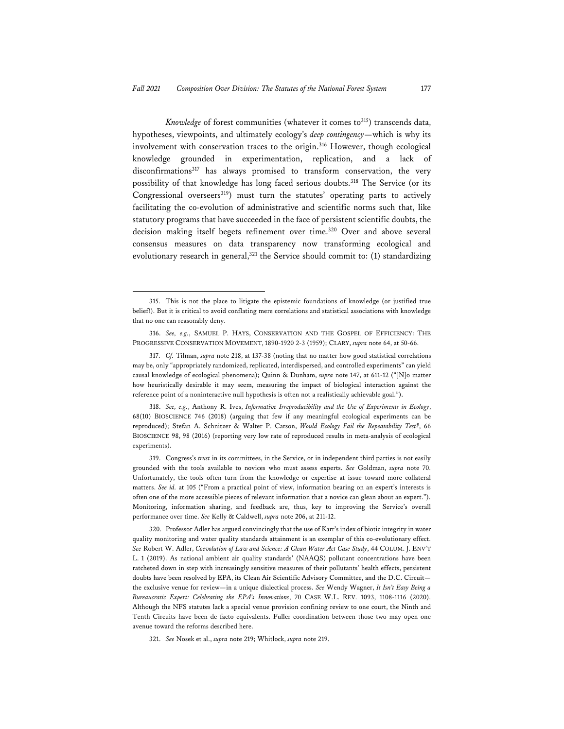*Knowledge* of forest communities (whatever it comes to<sup>315</sup>) transcends data, hypotheses, viewpoints, and ultimately ecology's *deep contingency*—which is why its involvement with conservation traces to the origin.<sup>316</sup> However, though ecological knowledge grounded in experimentation, replication, and a lack of disconfirmations<sup>317</sup> has always promised to transform conservation, the very possibility of that knowledge has long faced serious doubts.<sup>318</sup> The Service (or its Congressional overseers<sup>319</sup>) must turn the statutes' operating parts to actively facilitating the co-evolution of administrative and scientific norms such that, like statutory programs that have succeeded in the face of persistent scientific doubts, the decision making itself begets refinement over time.320 Over and above several consensus measures on data transparency now transforming ecological and evolutionary research in general,<sup>321</sup> the Service should commit to: (1) standardizing

318. *See, e.g.*, Anthony R. Ives, *Informative Irreproducibility and the Use of Experiments in Ecology*, 68(10) BIOSCIENCE 746 (2018) (arguing that few if any meaningful ecological experiments can be reproduced); Stefan A. Schnitzer & Walter P. Carson, *Would Ecology Fail the Repeatability Test?*, 66 BIOSCIENCE 98, 98 (2016) (reporting very low rate of reproduced results in meta-analysis of ecological experiments).

319. Congress's *trust* in its committees, in the Service, or in independent third parties is not easily grounded with the tools available to novices who must assess experts. *See* Goldman, *supra* note 70. Unfortunately, the tools often turn from the knowledge or expertise at issue toward more collateral matters. *See id.* at 105 ("From a practical point of view, information bearing on an expert's interests is often one of the more accessible pieces of relevant information that a novice can glean about an expert."). Monitoring, information sharing, and feedback are, thus, key to improving the Service's overall performance over time. *See* Kelly & Caldwell, *supra* note 206, at 211-12.

320. Professor Adler has argued convincingly that the use of Karr's index of biotic integrity in water quality monitoring and water quality standards attainment is an exemplar of this co-evolutionary effect. *See* Robert W. Adler, *Coevolution of Law and Science: A Clean Water Act Case Study*, 44 COLUM. J. ENV'T L. 1 (2019). As national ambient air quality standards' (NAAQS) pollutant concentrations have been ratcheted down in step with increasingly sensitive measures of their pollutants' health effects, persistent doubts have been resolved by EPA, its Clean Air Scientific Advisory Committee, and the D.C. Circuit the exclusive venue for review—in a unique dialectical process. *See* Wendy Wagner, *It Isn't Easy Being a Bureaucratic Expert: Celebrating the EPA's Innovations*, 70 CASE W.L. REV. 1093, 1108-1116 (2020). Although the NFS statutes lack a special venue provision confining review to one court, the Ninth and Tenth Circuits have been de facto equivalents. Fuller coordination between those two may open one avenue toward the reforms described here.

321. *See* Nosek et al., *supra* note 219; Whitlock, *supra* note 219.

<sup>315.</sup> This is not the place to litigate the epistemic foundations of knowledge (or justified true belief!). But it is critical to avoid conflating mere correlations and statistical associations with knowledge that no one can reasonably deny.

<sup>316.</sup> *See, e.g.*, SAMUEL P. HAYS, CONSERVATION AND THE GOSPEL OF EFFICIENCY: THE PROGRESSIVE CONSERVATION MOVEMENT, 1890-1920 2-3 (1959); CLARY, *supra* note 64, at 50-66.

<sup>317.</sup> *Cf.* Tilman, *supra* note 218, at 137-38 (noting that no matter how good statistical correlations may be, only "appropriately randomized, replicated, interdispersed, and controlled experiments" can yield causal knowledge of ecological phenomena); Quinn & Dunham, *supra* note 147, at 611-12 ("[N]o matter how heuristically desirable it may seem, measuring the impact of biological interaction against the reference point of a noninteractive null hypothesis is often not a realistically achievable goal.").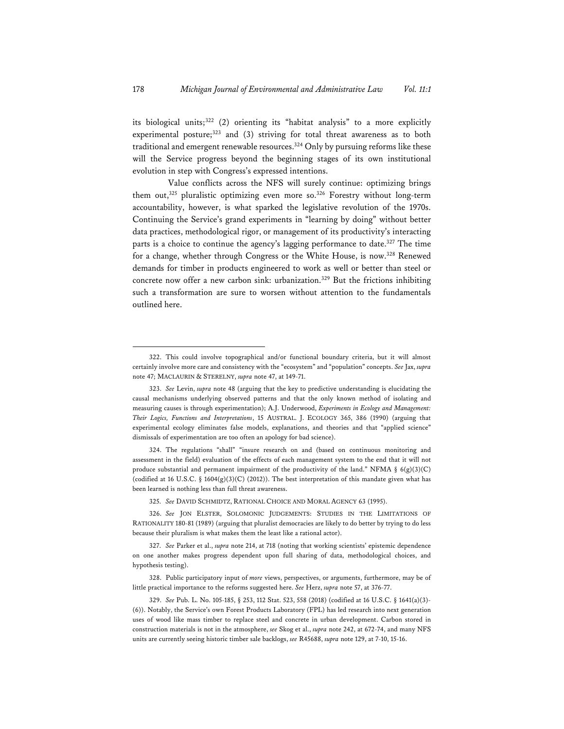its biological units;322 (2) orienting its "habitat analysis" to a more explicitly experimental posture;<sup>323</sup> and (3) striving for total threat awareness as to both traditional and emergent renewable resources.<sup>324</sup> Only by pursuing reforms like these will the Service progress beyond the beginning stages of its own institutional evolution in step with Congress's expressed intentions.

 Value conflicts across the NFS will surely continue: optimizing brings them out,<sup>325</sup> pluralistic optimizing even more so.<sup>326</sup> Forestry without long-term accountability, however, is what sparked the legislative revolution of the 1970s. Continuing the Service's grand experiments in "learning by doing" without better data practices, methodological rigor, or management of its productivity's interacting parts is a choice to continue the agency's lagging performance to date.<sup>327</sup> The time for a change, whether through Congress or the White House, is now.<sup>328</sup> Renewed demands for timber in products engineered to work as well or better than steel or concrete now offer a new carbon sink: urbanization.<sup>329</sup> But the frictions inhibiting such a transformation are sure to worsen without attention to the fundamentals outlined here.

324. The regulations "shall" "insure research on and (based on continuous monitoring and assessment in the field) evaluation of the effects of each management system to the end that it will not produce substantial and permanent impairment of the productivity of the land." NFMA §  $6(g)(3)(C)$ (codified at 16 U.S.C.  $\S$  1604(g)(3)(C) (2012)). The best interpretation of this mandate given what has been learned is nothing less than full threat awareness.

325. *See* DAVID SCHMIDTZ, RATIONAL CHOICE AND MORAL AGENCY 63 (1995).

326. *See* JON ELSTER, SOLOMONIC JUDGEMENTS: STUDIES IN THE LIMITATIONS OF RATIONALITY 180-81 (1989) (arguing that pluralist democracies are likely to do better by trying to do less because their pluralism is what makes them the least like a rational actor).

327. *See* Parker et al., *supra* note 214, at 718 (noting that working scientists' epistemic dependence on one another makes progress dependent upon full sharing of data, methodological choices, and hypothesis testing).

328. Public participatory input of *more* views, perspectives, or arguments, furthermore, may be of little practical importance to the reforms suggested here. *See* Herz, *supra* note 57, at 376-77.

<sup>322.</sup> This could involve topographical and/or functional boundary criteria, but it will almost certainly involve more care and consistency with the "ecosystem" and "population" concepts. *See* Jax, *supra* note 47; MACLAURIN & STERELNY, *supra* note 47, at 149-71.

<sup>323.</sup> *See* Levin, *supra* note 48 (arguing that the key to predictive understanding is elucidating the causal mechanisms underlying observed patterns and that the only known method of isolating and measuring causes is through experimentation); A.J. Underwood, *Experiments in Ecology and Management: Their Logics, Functions and Interpretations*, 15 AUSTRAL. J. ECOLOGY 365, 386 (1990) (arguing that experimental ecology eliminates false models, explanations, and theories and that "applied science" dismissals of experimentation are too often an apology for bad science).

<sup>329.</sup> *See* Pub. L. No. 105-185, § 253, 112 Stat. 523, 558 (2018) (codified at 16 U.S.C. § 1641(a)(3)- (6)). Notably, the Service's own Forest Products Laboratory (FPL) has led research into next generation uses of wood like mass timber to replace steel and concrete in urban development. Carbon stored in construction materials is not in the atmosphere, *see* Skog et al., *supra* note 242, at 672-74, and many NFS units are currently seeing historic timber sale backlogs, *see* R45688, *supra* note 129, at 7-10, 15-16.